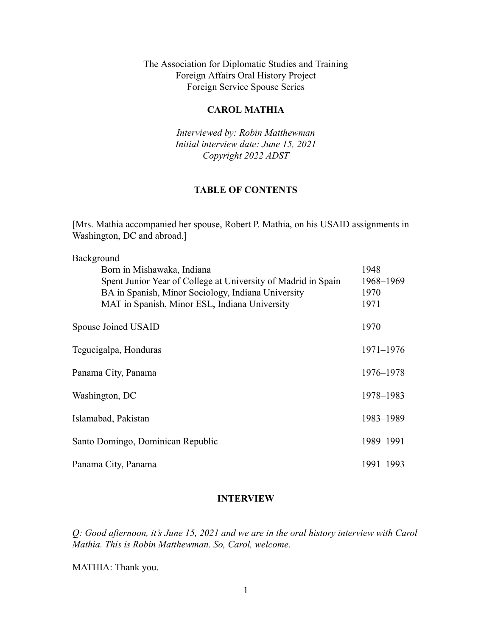The Association for Diplomatic Studies and Training Foreign Affairs Oral History Project Foreign Service Spouse Series

#### **CAROL MATHIA**

*Interviewed by: Robin Matthewman Initial interview date: June 15, 2021 Copyright 2022 ADST*

#### **TABLE OF CONTENTS**

[Mrs. Mathia accompanied her spouse, Robert P. Mathia, on his USAID assignments in Washington, DC and abroad.]

| Background                                                    |               |
|---------------------------------------------------------------|---------------|
| Born in Mishawaka, Indiana                                    | 1948          |
| Spent Junior Year of College at University of Madrid in Spain | 1968-1969     |
| BA in Spanish, Minor Sociology, Indiana University            | 1970          |
| MAT in Spanish, Minor ESL, Indiana University                 | 1971          |
| Spouse Joined USAID                                           | 1970          |
| Tegucigalpa, Honduras                                         | $1971 - 1976$ |
| Panama City, Panama                                           | 1976–1978     |
| Washington, DC                                                | 1978–1983     |
| Islamabad, Pakistan                                           | 1983-1989     |
| Santo Domingo, Dominican Republic                             | 1989-1991     |
| Panama City, Panama                                           | 1991-1993     |

#### **INTERVIEW**

*Q: Good afternoon, it's June 15, 2021 and we are in the oral history interview with Carol Mathia. This is Robin Matthewman. So, Carol, welcome.*

MATHIA: Thank you.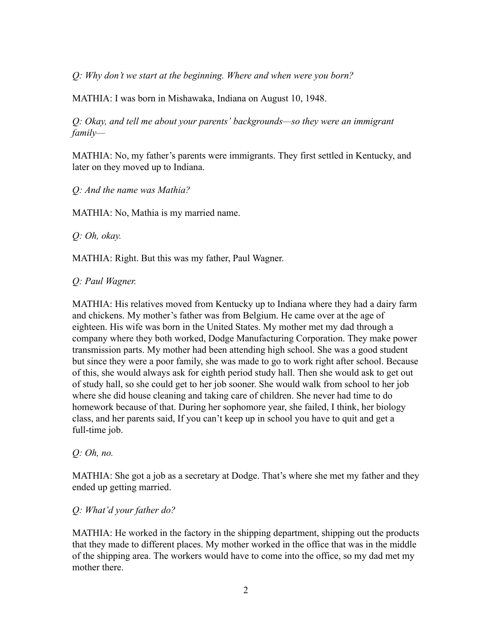*Q: Why don't we start at the beginning. Where and when were you born?*

MATHIA: I was born in Mishawaka, Indiana on August 10, 1948.

*Q: Okay, and tell me about your parents' backgrounds—so they were an immigrant family—*

MATHIA: No, my father's parents were immigrants. They first settled in Kentucky, and later on they moved up to Indiana.

*Q: And the name was Mathia?*

MATHIA: No, Mathia is my married name.

*Q: Oh, okay.*

MATHIA: Right. But this was my father, Paul Wagner.

*Q: Paul Wagner.*

MATHIA: His relatives moved from Kentucky up to Indiana where they had a dairy farm and chickens. My mother's father was from Belgium. He came over at the age of eighteen. His wife was born in the United States. My mother met my dad through a company where they both worked, Dodge Manufacturing Corporation. They make power transmission parts. My mother had been attending high school. She was a good student but since they were a poor family, she was made to go to work right after school. Because of this, she would always ask for eighth period study hall. Then she would ask to get out of study hall, so she could get to her job sooner. She would walk from school to her job where she did house cleaning and taking care of children. She never had time to do homework because of that. During her sophomore year, she failed, I think, her biology class, and her parents said, If you can't keep up in school you have to quit and get a full-time job.

*Q: Oh, no.*

MATHIA: She got a job as a secretary at Dodge. That's where she met my father and they ended up getting married.

#### *Q: What'd your father do?*

MATHIA: He worked in the factory in the shipping department, shipping out the products that they made to different places. My mother worked in the office that was in the middle of the shipping area. The workers would have to come into the office, so my dad met my mother there.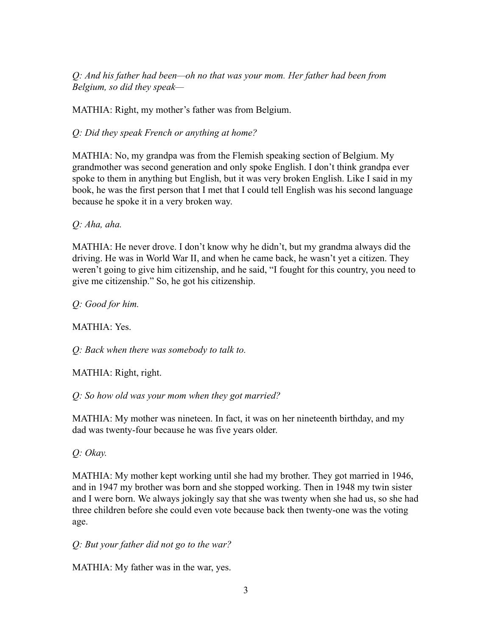*Q: And his father had been—oh no that was your mom. Her father had been from Belgium, so did they speak—*

MATHIA: Right, my mother's father was from Belgium.

*Q: Did they speak French or anything at home?*

MATHIA: No, my grandpa was from the Flemish speaking section of Belgium. My grandmother was second generation and only spoke English. I don't think grandpa ever spoke to them in anything but English, but it was very broken English. Like I said in my book, he was the first person that I met that I could tell English was his second language because he spoke it in a very broken way.

*Q: Aha, aha.*

MATHIA: He never drove. I don't know why he didn't, but my grandma always did the driving. He was in World War II, and when he came back, he wasn't yet a citizen. They weren't going to give him citizenship, and he said, "I fought for this country, you need to give me citizenship." So, he got his citizenship.

*Q: Good for him.*

MATHIA: Yes.

*Q: Back when there was somebody to talk to.*

MATHIA: Right, right.

*Q: So how old was your mom when they got married?*

MATHIA: My mother was nineteen. In fact, it was on her nineteenth birthday, and my dad was twenty-four because he was five years older.

*Q: Okay.*

MATHIA: My mother kept working until she had my brother. They got married in 1946, and in 1947 my brother was born and she stopped working. Then in 1948 my twin sister and I were born. We always jokingly say that she was twenty when she had us, so she had three children before she could even vote because back then twenty-one was the voting age.

*Q: But your father did not go to the war?*

MATHIA: My father was in the war, yes.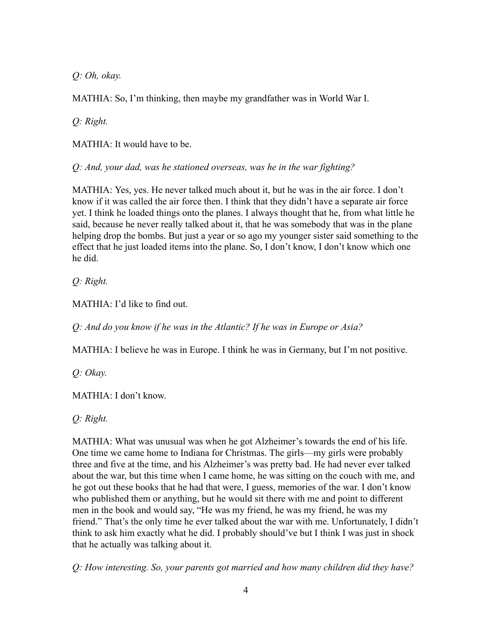*Q: Oh, okay.*

MATHIA: So, I'm thinking, then maybe my grandfather was in World War I.

*Q: Right.*

MATHIA: It would have to be.

*Q: And, your dad, was he stationed overseas, was he in the war fighting?*

MATHIA: Yes, yes. He never talked much about it, but he was in the air force. I don't know if it was called the air force then. I think that they didn't have a separate air force yet. I think he loaded things onto the planes. I always thought that he, from what little he said, because he never really talked about it, that he was somebody that was in the plane helping drop the bombs. But just a year or so ago my younger sister said something to the effect that he just loaded items into the plane. So, I don't know, I don't know which one he did.

*Q: Right.*

MATHIA: I'd like to find out.

*Q: And do you know if he was in the Atlantic? If he was in Europe or Asia?*

MATHIA: I believe he was in Europe. I think he was in Germany, but I'm not positive.

*Q: Okay.*

MATHIA: I don't know.

*Q: Right.*

MATHIA: What was unusual was when he got Alzheimer's towards the end of his life. One time we came home to Indiana for Christmas. The girls—my girls were probably three and five at the time, and his Alzheimer's was pretty bad. He had never ever talked about the war, but this time when I came home, he was sitting on the couch with me, and he got out these books that he had that were, I guess, memories of the war. I don't know who published them or anything, but he would sit there with me and point to different men in the book and would say, "He was my friend, he was my friend, he was my friend." That's the only time he ever talked about the war with me. Unfortunately, I didn't think to ask him exactly what he did. I probably should've but I think I was just in shock that he actually was talking about it.

*Q: How interesting. So, your parents got married and how many children did they have?*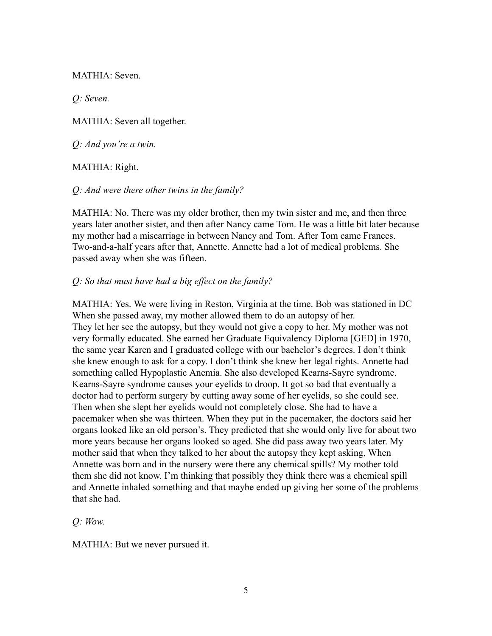MATHIA: Seven.

*Q: Seven.*

MATHIA: Seven all together.

*Q: And you're a twin.*

## MATHIA: Right.

## *Q: And were there other twins in the family?*

MATHIA: No. There was my older brother, then my twin sister and me, and then three years later another sister, and then after Nancy came Tom. He was a little bit later because my mother had a miscarriage in between Nancy and Tom. After Tom came Frances. Two-and-a-half years after that, Annette. Annette had a lot of medical problems. She passed away when she was fifteen.

## *Q: So that must have had a big effect on the family?*

MATHIA: Yes. We were living in Reston, Virginia at the time. Bob was stationed in DC When she passed away, my mother allowed them to do an autopsy of her. They let her see the autopsy, but they would not give a copy to her. My mother was not very formally educated. She earned her Graduate Equivalency Diploma [GED] in 1970, the same year Karen and I graduated college with our bachelor's degrees. I don't think she knew enough to ask for a copy. I don't think she knew her legal rights. Annette had something called Hypoplastic Anemia. She also developed Kearns-Sayre syndrome. Kearns-Sayre syndrome causes your eyelids to droop. It got so bad that eventually a doctor had to perform surgery by cutting away some of her eyelids, so she could see. Then when she slept her eyelids would not completely close. She had to have a pacemaker when she was thirteen. When they put in the pacemaker, the doctors said her organs looked like an old person's. They predicted that she would only live for about two more years because her organs looked so aged. She did pass away two years later. My mother said that when they talked to her about the autopsy they kept asking, When Annette was born and in the nursery were there any chemical spills? My mother told them she did not know. I'm thinking that possibly they think there was a chemical spill and Annette inhaled something and that maybe ended up giving her some of the problems that she had.

*Q: Wow.*

MATHIA: But we never pursued it.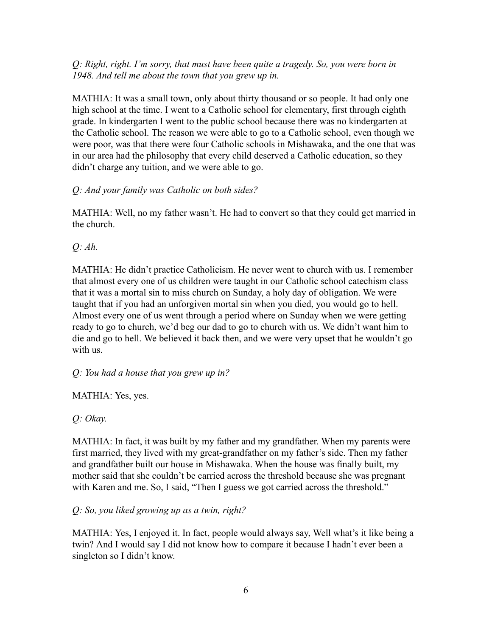*Q: Right, right. I'm sorry, that must have been quite a tragedy. So, you were born in 1948. And tell me about the town that you grew up in.*

MATHIA: It was a small town, only about thirty thousand or so people. It had only one high school at the time. I went to a Catholic school for elementary, first through eighth grade. In kindergarten I went to the public school because there was no kindergarten at the Catholic school. The reason we were able to go to a Catholic school, even though we were poor, was that there were four Catholic schools in Mishawaka, and the one that was in our area had the philosophy that every child deserved a Catholic education, so they didn't charge any tuition, and we were able to go.

## *Q: And your family was Catholic on both sides?*

MATHIA: Well, no my father wasn't. He had to convert so that they could get married in the church.

*Q: Ah.*

MATHIA: He didn't practice Catholicism. He never went to church with us. I remember that almost every one of us children were taught in our Catholic school catechism class that it was a mortal sin to miss church on Sunday, a holy day of obligation. We were taught that if you had an unforgiven mortal sin when you died, you would go to hell. Almost every one of us went through a period where on Sunday when we were getting ready to go to church, we'd beg our dad to go to church with us. We didn't want him to die and go to hell. We believed it back then, and we were very upset that he wouldn't go with us.

*Q: You had a house that you grew up in?*

MATHIA: Yes, yes.

*Q: Okay.*

MATHIA: In fact, it was built by my father and my grandfather. When my parents were first married, they lived with my great-grandfather on my father's side. Then my father and grandfather built our house in Mishawaka. When the house was finally built, my mother said that she couldn't be carried across the threshold because she was pregnant with Karen and me. So, I said, "Then I guess we got carried across the threshold."

*Q: So, you liked growing up as a twin, right?*

MATHIA: Yes, I enjoyed it. In fact, people would always say, Well what's it like being a twin? And I would say I did not know how to compare it because I hadn't ever been a singleton so I didn't know.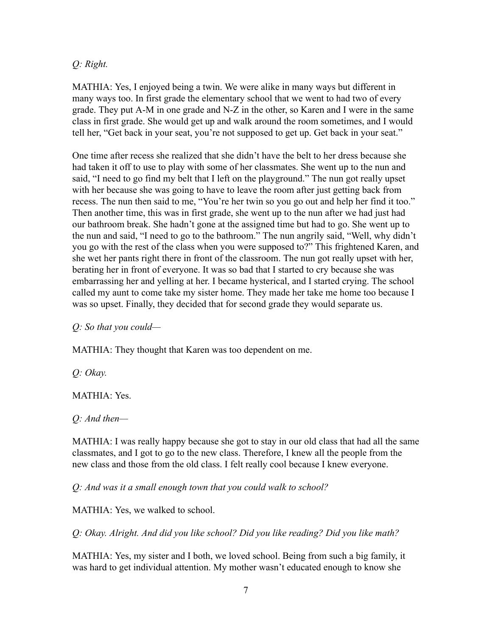## *Q: Right.*

MATHIA: Yes, I enjoyed being a twin. We were alike in many ways but different in many ways too. In first grade the elementary school that we went to had two of every grade. They put A-M in one grade and N-Z in the other, so Karen and I were in the same class in first grade. She would get up and walk around the room sometimes, and I would tell her, "Get back in your seat, you're not supposed to get up. Get back in your seat."

One time after recess she realized that she didn't have the belt to her dress because she had taken it off to use to play with some of her classmates. She went up to the nun and said, "I need to go find my belt that I left on the playground." The nun got really upset with her because she was going to have to leave the room after just getting back from recess. The nun then said to me, "You're her twin so you go out and help her find it too." Then another time, this was in first grade, she went up to the nun after we had just had our bathroom break. She hadn't gone at the assigned time but had to go. She went up to the nun and said, "I need to go to the bathroom." The nun angrily said, "Well, why didn't you go with the rest of the class when you were supposed to?" This frightened Karen, and she wet her pants right there in front of the classroom. The nun got really upset with her, berating her in front of everyone. It was so bad that I started to cry because she was embarrassing her and yelling at her. I became hysterical, and I started crying. The school called my aunt to come take my sister home. They made her take me home too because I was so upset. Finally, they decided that for second grade they would separate us.

*Q: So that you could—*

MATHIA: They thought that Karen was too dependent on me.

*Q: Okay.*

MATHIA: Yes.

*Q: And then—*

MATHIA: I was really happy because she got to stay in our old class that had all the same classmates, and I got to go to the new class. Therefore, I knew all the people from the new class and those from the old class. I felt really cool because I knew everyone.

*Q: And was it a small enough town that you could walk to school?*

MATHIA: Yes, we walked to school.

*Q: Okay. Alright. And did you like school? Did you like reading? Did you like math?*

MATHIA: Yes, my sister and I both, we loved school. Being from such a big family, it was hard to get individual attention. My mother wasn't educated enough to know she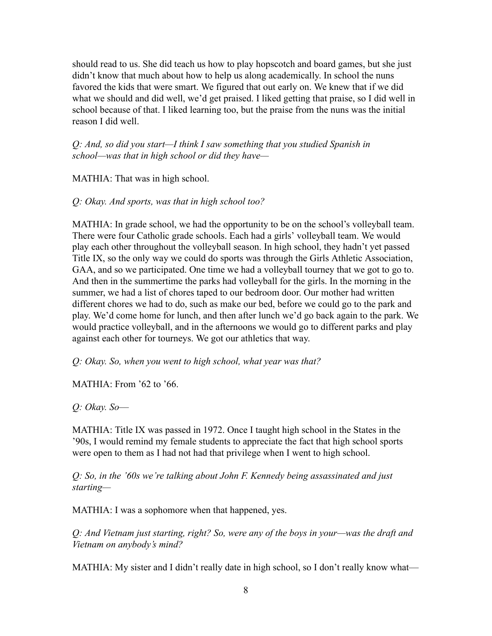should read to us. She did teach us how to play hopscotch and board games, but she just didn't know that much about how to help us along academically. In school the nuns favored the kids that were smart. We figured that out early on. We knew that if we did what we should and did well, we'd get praised. I liked getting that praise, so I did well in school because of that. I liked learning too, but the praise from the nuns was the initial reason I did well.

*Q: And, so did you start—I think I saw something that you studied Spanish in school—was that in high school or did they have—*

MATHIA: That was in high school.

*Q: Okay. And sports, was that in high school too?*

MATHIA: In grade school, we had the opportunity to be on the school's volleyball team. There were four Catholic grade schools. Each had a girls' volleyball team. We would play each other throughout the volleyball season. In high school, they hadn't yet passed Title IX, so the only way we could do sports was through the Girls Athletic Association, GAA, and so we participated. One time we had a volleyball tourney that we got to go to. And then in the summertime the parks had volleyball for the girls. In the morning in the summer, we had a list of chores taped to our bedroom door. Our mother had written different chores we had to do, such as make our bed, before we could go to the park and play. We'd come home for lunch, and then after lunch we'd go back again to the park. We would practice volleyball, and in the afternoons we would go to different parks and play against each other for tourneys. We got our athletics that way.

*Q: Okay. So, when you went to high school, what year was that?*

MATHIA: From '62 to '66.

*Q: Okay. So––*

MATHIA: Title IX was passed in 1972. Once I taught high school in the States in the '90s, I would remind my female students to appreciate the fact that high school sports were open to them as I had not had that privilege when I went to high school.

*Q: So, in the '60s we're talking about John F. Kennedy being assassinated and just starting—*

MATHIA: I was a sophomore when that happened, yes.

*Q: And Vietnam just starting, right? So, were any of the boys in your—was the draft and Vietnam on anybody's mind?*

MATHIA: My sister and I didn't really date in high school, so I don't really know what—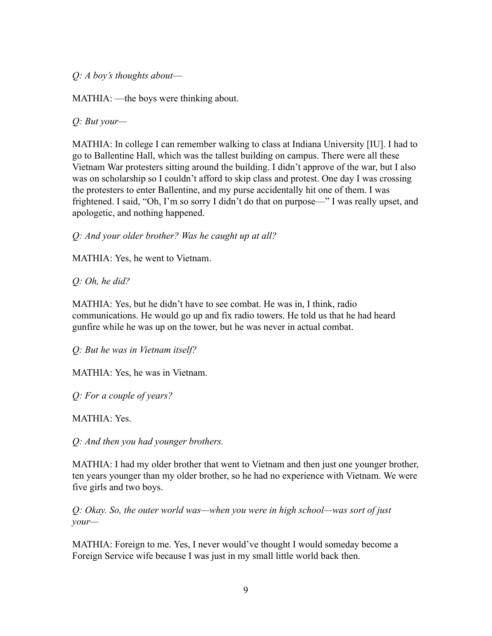*Q: A boy's thoughts about––*

MATHIA: —the boys were thinking about.

*Q: But your—*

MATHIA: In college I can remember walking to class at Indiana University [IU]. I had to go to Ballentine Hall, which was the tallest building on campus. There were all these Vietnam War protesters sitting around the building. I didn't approve of the war, but I also was on scholarship so I couldn't afford to skip class and protest. One day I was crossing the protesters to enter Ballentine, and my purse accidentally hit one of them. I was frightened. I said, "Oh, I'm so sorry I didn't do that on purpose—" I was really upset, and apologetic, and nothing happened.

*Q: And your older brother? Was he caught up at all?*

MATHIA: Yes, he went to Vietnam.

*Q: Oh, he did?*

MATHIA: Yes, but he didn't have to see combat. He was in, I think, radio communications. He would go up and fix radio towers. He told us that he had heard gunfire while he was up on the tower, but he was never in actual combat.

*Q: But he was in Vietnam itself?*

MATHIA: Yes, he was in Vietnam.

*Q: For a couple of years?*

MATHIA: Yes.

*Q: And then you had younger brothers.*

MATHIA: I had my older brother that went to Vietnam and then just one younger brother, ten years younger than my older brother, so he had no experience with Vietnam. We were five girls and two boys.

*Q: Okay. So, the outer world was—when you were in high school—was sort of just your—*

MATHIA: Foreign to me. Yes, I never would've thought I would someday become a Foreign Service wife because I was just in my small little world back then.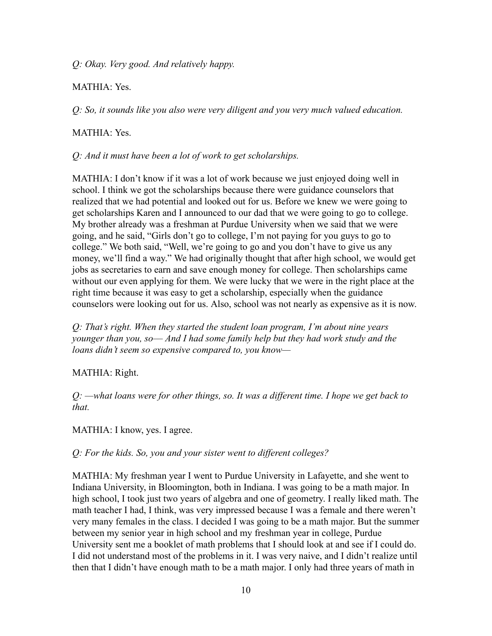*Q: Okay. Very good. And relatively happy.*

# MATHIA: Yes.

*Q: So, it sounds like you also were very diligent and you very much valued education.*

## MATHIA: Yes.

*Q: And it must have been a lot of work to get scholarships.*

MATHIA: I don't know if it was a lot of work because we just enjoyed doing well in school. I think we got the scholarships because there were guidance counselors that realized that we had potential and looked out for us. Before we knew we were going to get scholarships Karen and I announced to our dad that we were going to go to college. My brother already was a freshman at Purdue University when we said that we were going, and he said, "Girls don't go to college, I'm not paying for you guys to go to college." We both said, "Well, we're going to go and you don't have to give us any money, we'll find a way." We had originally thought that after high school, we would get jobs as secretaries to earn and save enough money for college. Then scholarships came without our even applying for them. We were lucky that we were in the right place at the right time because it was easy to get a scholarship, especially when the guidance counselors were looking out for us. Also, school was not nearly as expensive as it is now.

*Q: That's right. When they started the student loan program, I'm about nine years younger than you, so–– And I had some family help but they had work study and the loans didn't seem so expensive compared to, you know—*

## MATHIA: Right.

*Q: —what loans were for other things, so. It was a different time. I hope we get back to that.*

MATHIA: I know, yes. I agree.

*Q: For the kids. So, you and your sister went to different colleges?*

MATHIA: My freshman year I went to Purdue University in Lafayette, and she went to Indiana University, in Bloomington, both in Indiana. I was going to be a math major. In high school, I took just two years of algebra and one of geometry. I really liked math. The math teacher I had, I think, was very impressed because I was a female and there weren't very many females in the class. I decided I was going to be a math major. But the summer between my senior year in high school and my freshman year in college, Purdue University sent me a booklet of math problems that I should look at and see if I could do. I did not understand most of the problems in it. I was very naive, and I didn't realize until then that I didn't have enough math to be a math major. I only had three years of math in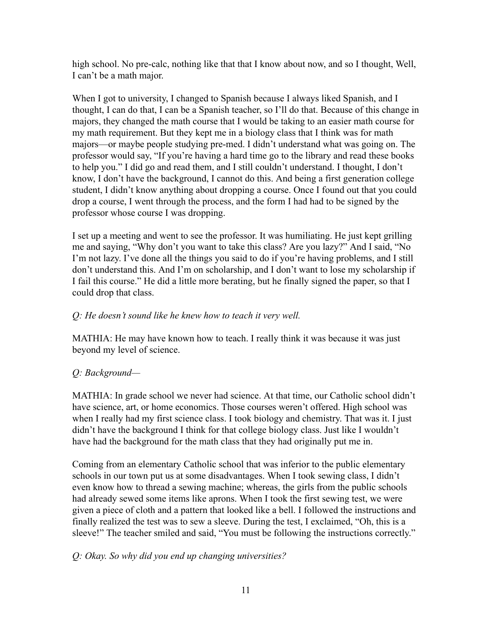high school. No pre-calc, nothing like that that I know about now, and so I thought, Well, I can't be a math major.

When I got to university, I changed to Spanish because I always liked Spanish, and I thought, I can do that, I can be a Spanish teacher, so I'll do that. Because of this change in majors, they changed the math course that I would be taking to an easier math course for my math requirement. But they kept me in a biology class that I think was for math majors—or maybe people studying pre-med. I didn't understand what was going on. The professor would say, "If you're having a hard time go to the library and read these books to help you." I did go and read them, and I still couldn't understand. I thought, I don't know, I don't have the background, I cannot do this. And being a first generation college student, I didn't know anything about dropping a course. Once I found out that you could drop a course, I went through the process, and the form I had had to be signed by the professor whose course I was dropping.

I set up a meeting and went to see the professor. It was humiliating. He just kept grilling me and saying, "Why don't you want to take this class? Are you lazy?" And I said, "No I'm not lazy. I've done all the things you said to do if you're having problems, and I still don't understand this. And I'm on scholarship, and I don't want to lose my scholarship if I fail this course." He did a little more berating, but he finally signed the paper, so that I could drop that class.

# *Q: He doesn't sound like he knew how to teach it very well.*

MATHIA: He may have known how to teach. I really think it was because it was just beyond my level of science.

# *Q: Background—*

MATHIA: In grade school we never had science. At that time, our Catholic school didn't have science, art, or home economics. Those courses weren't offered. High school was when I really had my first science class. I took biology and chemistry. That was it. I just didn't have the background I think for that college biology class. Just like I wouldn't have had the background for the math class that they had originally put me in.

Coming from an elementary Catholic school that was inferior to the public elementary schools in our town put us at some disadvantages. When I took sewing class, I didn't even know how to thread a sewing machine; whereas, the girls from the public schools had already sewed some items like aprons. When I took the first sewing test, we were given a piece of cloth and a pattern that looked like a bell. I followed the instructions and finally realized the test was to sew a sleeve. During the test, I exclaimed, "Oh, this is a sleeve!" The teacher smiled and said, "You must be following the instructions correctly."

## *Q: Okay. So why did you end up changing universities?*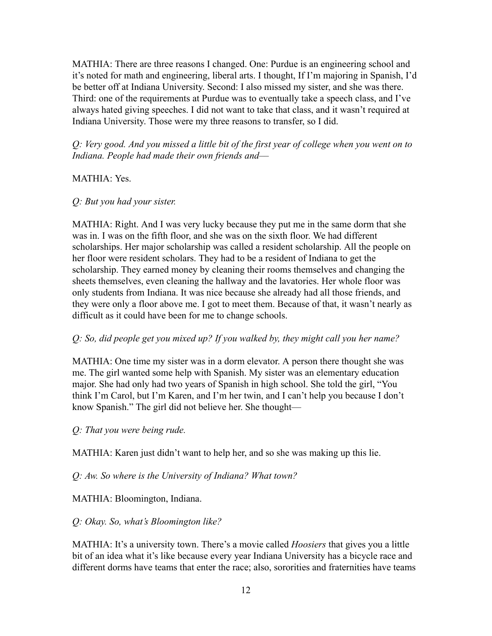MATHIA: There are three reasons I changed. One: Purdue is an engineering school and it's noted for math and engineering, liberal arts. I thought, If I'm majoring in Spanish, I'd be better off at Indiana University. Second: I also missed my sister, and she was there. Third: one of the requirements at Purdue was to eventually take a speech class, and I've always hated giving speeches. I did not want to take that class, and it wasn't required at Indiana University. Those were my three reasons to transfer, so I did.

*Q: Very good. And you missed a little bit of the first year of college when you went on to Indiana. People had made their own friends and––*

#### MATHIA: Yes.

#### *Q: But you had your sister.*

MATHIA: Right. And I was very lucky because they put me in the same dorm that she was in. I was on the fifth floor, and she was on the sixth floor. We had different scholarships. Her major scholarship was called a resident scholarship. All the people on her floor were resident scholars. They had to be a resident of Indiana to get the scholarship. They earned money by cleaning their rooms themselves and changing the sheets themselves, even cleaning the hallway and the lavatories. Her whole floor was only students from Indiana. It was nice because she already had all those friends, and they were only a floor above me. I got to meet them. Because of that, it wasn't nearly as difficult as it could have been for me to change schools.

#### *Q: So, did people get you mixed up? If you walked by, they might call you her name?*

MATHIA: One time my sister was in a dorm elevator. A person there thought she was me. The girl wanted some help with Spanish. My sister was an elementary education major. She had only had two years of Spanish in high school. She told the girl, "You think I'm Carol, but I'm Karen, and I'm her twin, and I can't help you because I don't know Spanish." The girl did not believe her. She thought—

*Q: That you were being rude.*

MATHIA: Karen just didn't want to help her, and so she was making up this lie.

*Q: Aw. So where is the University of Indiana? What town?*

MATHIA: Bloomington, Indiana.

#### *Q: Okay. So, what's Bloomington like?*

MATHIA: It's a university town. There's a movie called *Hoosiers* that gives you a little bit of an idea what it's like because every year Indiana University has a bicycle race and different dorms have teams that enter the race; also, sororities and fraternities have teams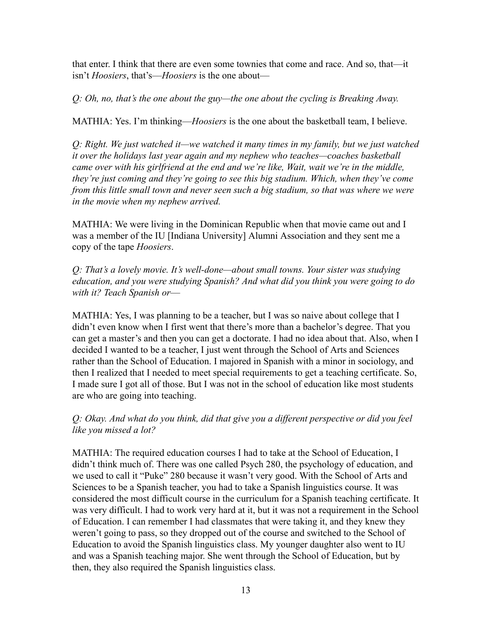that enter. I think that there are even some townies that come and race. And so, that—it isn't *Hoosiers*, that's––*Hoosiers* is the one about—

*Q: Oh, no, that's the one about the guy—the one about the cycling is Breaking Away.*

MATHIA: Yes. I'm thinking—*Hoosiers* is the one about the basketball team, I believe.

*Q: Right. We just watched it—we watched it many times in my family, but we just watched it over the holidays last year again and my nephew who teaches—coaches basketball came over with his girlfriend at the end and we're like, Wait, wait we're in the middle, they're just coming and they're going to see this big stadium. Which, when they've come from this little small town and never seen such a big stadium, so that was where we were in the movie when my nephew arrived.*

MATHIA: We were living in the Dominican Republic when that movie came out and I was a member of the IU [Indiana University] Alumni Association and they sent me a copy of the tape *Hoosiers*.

*Q: That's a lovely movie. It's well-done—about small towns. Your sister was studying education, and you were studying Spanish? And what did you think you were going to do with it? Teach Spanish or––*

MATHIA: Yes, I was planning to be a teacher, but I was so naive about college that I didn't even know when I first went that there's more than a bachelor's degree. That you can get a master's and then you can get a doctorate. I had no idea about that. Also, when I decided I wanted to be a teacher, I just went through the School of Arts and Sciences rather than the School of Education. I majored in Spanish with a minor in sociology, and then I realized that I needed to meet special requirements to get a teaching certificate. So, I made sure I got all of those. But I was not in the school of education like most students are who are going into teaching.

*Q: Okay. And what do you think, did that give you a different perspective or did you feel like you missed a lot?*

MATHIA: The required education courses I had to take at the School of Education, I didn't think much of. There was one called Psych 280, the psychology of education, and we used to call it "Puke" 280 because it wasn't very good. With the School of Arts and Sciences to be a Spanish teacher, you had to take a Spanish linguistics course. It was considered the most difficult course in the curriculum for a Spanish teaching certificate. It was very difficult. I had to work very hard at it, but it was not a requirement in the School of Education. I can remember I had classmates that were taking it, and they knew they weren't going to pass, so they dropped out of the course and switched to the School of Education to avoid the Spanish linguistics class. My younger daughter also went to IU and was a Spanish teaching major. She went through the School of Education, but by then, they also required the Spanish linguistics class.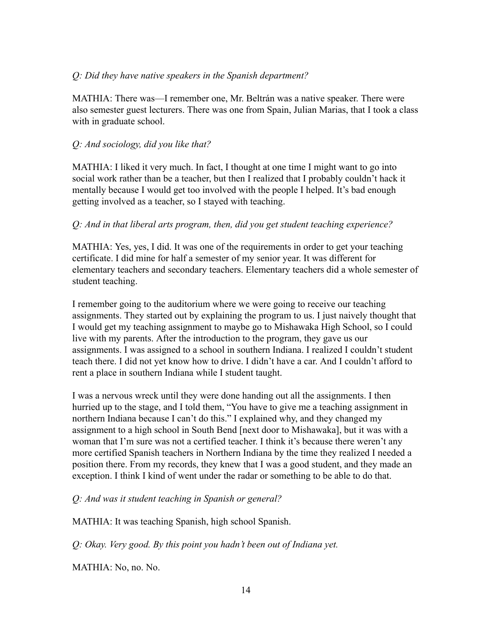## *Q: Did they have native speakers in the Spanish department?*

MATHIA: There was––I remember one, Mr. Beltrán was a native speaker. There were also semester guest lecturers. There was one from Spain, Julian Marias, that I took a class with in graduate school.

# *Q: And sociology, did you like that?*

MATHIA: I liked it very much. In fact, I thought at one time I might want to go into social work rather than be a teacher, but then I realized that I probably couldn't hack it mentally because I would get too involved with the people I helped. It's bad enough getting involved as a teacher, so I stayed with teaching.

## *Q: And in that liberal arts program, then, did you get student teaching experience?*

MATHIA: Yes, yes, I did. It was one of the requirements in order to get your teaching certificate. I did mine for half a semester of my senior year. It was different for elementary teachers and secondary teachers. Elementary teachers did a whole semester of student teaching.

I remember going to the auditorium where we were going to receive our teaching assignments. They started out by explaining the program to us. I just naively thought that I would get my teaching assignment to maybe go to Mishawaka High School, so I could live with my parents. After the introduction to the program, they gave us our assignments. I was assigned to a school in southern Indiana. I realized I couldn't student teach there. I did not yet know how to drive. I didn't have a car. And I couldn't afford to rent a place in southern Indiana while I student taught.

I was a nervous wreck until they were done handing out all the assignments. I then hurried up to the stage, and I told them, "You have to give me a teaching assignment in northern Indiana because I can't do this." I explained why, and they changed my assignment to a high school in South Bend [next door to Mishawaka], but it was with a woman that I'm sure was not a certified teacher. I think it's because there weren't any more certified Spanish teachers in Northern Indiana by the time they realized I needed a position there. From my records, they knew that I was a good student, and they made an exception. I think I kind of went under the radar or something to be able to do that.

## *Q: And was it student teaching in Spanish or general?*

MATHIA: It was teaching Spanish, high school Spanish.

*Q: Okay. Very good. By this point you hadn't been out of Indiana yet.*

MATHIA: No, no. No.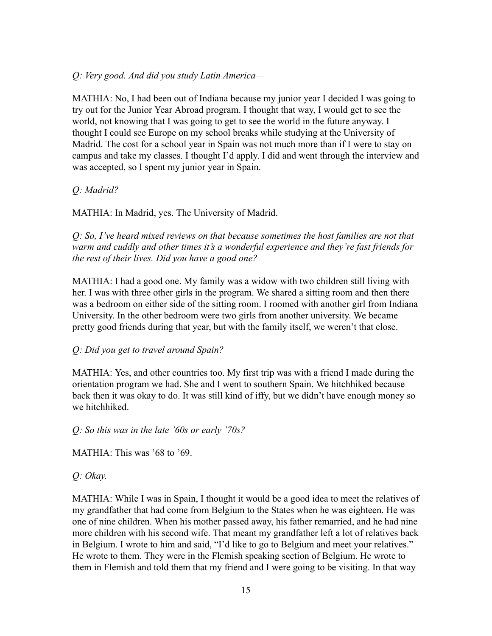## *Q: Very good. And did you study Latin America—*

MATHIA: No, I had been out of Indiana because my junior year I decided I was going to try out for the Junior Year Abroad program. I thought that way, I would get to see the world, not knowing that I was going to get to see the world in the future anyway. I thought I could see Europe on my school breaks while studying at the University of Madrid. The cost for a school year in Spain was not much more than if I were to stay on campus and take my classes. I thought I'd apply. I did and went through the interview and was accepted, so I spent my junior year in Spain.

## *Q: Madrid?*

MATHIA: In Madrid, yes. The University of Madrid.

*Q: So, I've heard mixed reviews on that because sometimes the host families are not that warm and cuddly and other times it's a wonderful experience and they're fast friends for the rest of their lives. Did you have a good one?*

MATHIA: I had a good one. My family was a widow with two children still living with her. I was with three other girls in the program. We shared a sitting room and then there was a bedroom on either side of the sitting room. I roomed with another girl from Indiana University. In the other bedroom were two girls from another university. We became pretty good friends during that year, but with the family itself, we weren't that close.

#### *Q: Did you get to travel around Spain?*

MATHIA: Yes, and other countries too. My first trip was with a friend I made during the orientation program we had. She and I went to southern Spain. We hitchhiked because back then it was okay to do. It was still kind of iffy, but we didn't have enough money so we hitchhiked.

*Q: So this was in the late '60s or early '70s?*

MATHIA: This was '68 to '69.

## *Q: Okay.*

MATHIA: While I was in Spain, I thought it would be a good idea to meet the relatives of my grandfather that had come from Belgium to the States when he was eighteen. He was one of nine children. When his mother passed away, his father remarried, and he had nine more children with his second wife. That meant my grandfather left a lot of relatives back in Belgium. I wrote to him and said, "I'd like to go to Belgium and meet your relatives." He wrote to them. They were in the Flemish speaking section of Belgium. He wrote to them in Flemish and told them that my friend and I were going to be visiting. In that way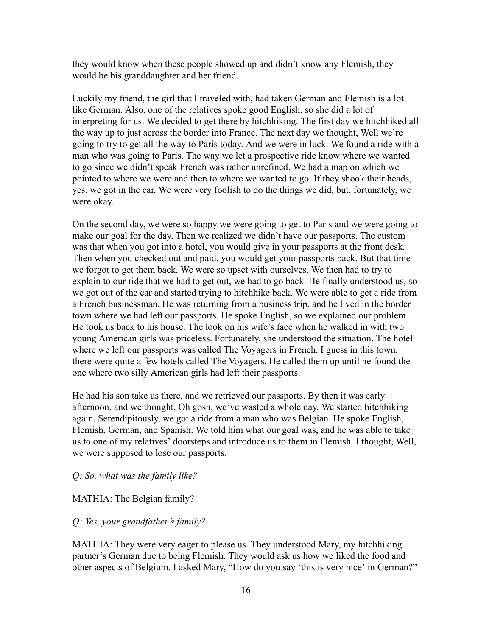they would know when these people showed up and didn't know any Flemish, they would be his granddaughter and her friend.

Luckily my friend, the girl that I traveled with, had taken German and Flemish is a lot like German. Also, one of the relatives spoke good English, so she did a lot of interpreting for us. We decided to get there by hitchhiking. The first day we hitchhiked all the way up to just across the border into France. The next day we thought, Well we're going to try to get all the way to Paris today. And we were in luck. We found a ride with a man who was going to Paris. The way we let a prospective ride know where we wanted to go since we didn't speak French was rather unrefined. We had a map on which we pointed to where we were and then to where we wanted to go. If they shook their heads, yes, we got in the car. We were very foolish to do the things we did, but, fortunately, we were okay.

On the second day, we were so happy we were going to get to Paris and we were going to make our goal for the day. Then we realized we didn't have our passports. The custom was that when you got into a hotel, you would give in your passports at the front desk. Then when you checked out and paid, you would get your passports back. But that time we forgot to get them back. We were so upset with ourselves. We then had to try to explain to our ride that we had to get out, we had to go back. He finally understood us, so we got out of the car and started trying to hitchhike back. We were able to get a ride from a French businessman. He was returning from a business trip, and he lived in the border town where we had left our passports. He spoke English, so we explained our problem. He took us back to his house. The look on his wife's face when he walked in with two young American girls was priceless. Fortunately, she understood the situation. The hotel where we left our passports was called The Voyagers in French. I guess in this town, there were quite a few hotels called The Voyagers. He called them up until he found the one where two silly American girls had left their passports.

He had his son take us there, and we retrieved our passports. By then it was early afternoon, and we thought, Oh gosh, we've wasted a whole day. We started hitchhiking again. Serendipitously, we got a ride from a man who was Belgian. He spoke English, Flemish, German, and Spanish. We told him what our goal was, and he was able to take us to one of my relatives' doorsteps and introduce us to them in Flemish. I thought, Well, we were supposed to lose our passports.

#### *Q: So, what was the family like?*

#### MATHIA: The Belgian family?

#### *Q: Yes, your grandfather's family?*

MATHIA: They were very eager to please us. They understood Mary, my hitchhiking partner's German due to being Flemish. They would ask us how we liked the food and other aspects of Belgium. I asked Mary, "How do you say 'this is very nice' in German?"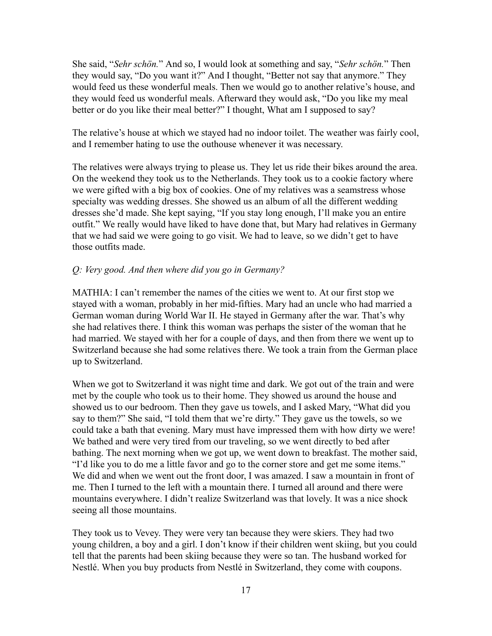She said, "*Sehr schön.*" And so, I would look at something and say, "*Sehr schön.*" Then they would say, "Do you want it?" And I thought, "Better not say that anymore." They would feed us these wonderful meals. Then we would go to another relative's house, and they would feed us wonderful meals. Afterward they would ask, "Do you like my meal better or do you like their meal better?" I thought, What am I supposed to say?

The relative's house at which we stayed had no indoor toilet. The weather was fairly cool, and I remember hating to use the outhouse whenever it was necessary.

The relatives were always trying to please us. They let us ride their bikes around the area. On the weekend they took us to the Netherlands. They took us to a cookie factory where we were gifted with a big box of cookies. One of my relatives was a seamstress whose specialty was wedding dresses. She showed us an album of all the different wedding dresses she'd made. She kept saying, "If you stay long enough, I'll make you an entire outfit." We really would have liked to have done that, but Mary had relatives in Germany that we had said we were going to go visit. We had to leave, so we didn't get to have those outfits made.

#### *Q: Very good. And then where did you go in Germany?*

MATHIA: I can't remember the names of the cities we went to. At our first stop we stayed with a woman, probably in her mid-fifties. Mary had an uncle who had married a German woman during World War II. He stayed in Germany after the war. That's why she had relatives there. I think this woman was perhaps the sister of the woman that he had married. We stayed with her for a couple of days, and then from there we went up to Switzerland because she had some relatives there. We took a train from the German place up to Switzerland.

When we got to Switzerland it was night time and dark. We got out of the train and were met by the couple who took us to their home. They showed us around the house and showed us to our bedroom. Then they gave us towels, and I asked Mary, "What did you say to them?" She said, "I told them that we're dirty." They gave us the towels, so we could take a bath that evening. Mary must have impressed them with how dirty we were! We bathed and were very tired from our traveling, so we went directly to bed after bathing. The next morning when we got up, we went down to breakfast. The mother said, "I'd like you to do me a little favor and go to the corner store and get me some items." We did and when we went out the front door, I was amazed. I saw a mountain in front of me. Then I turned to the left with a mountain there. I turned all around and there were mountains everywhere. I didn't realize Switzerland was that lovely. It was a nice shock seeing all those mountains.

They took us to Vevey. They were very tan because they were skiers. They had two young children, a boy and a girl. I don't know if their children went skiing, but you could tell that the parents had been skiing because they were so tan. The husband worked for Nestlé. When you buy products from Nestlé in Switzerland, they come with coupons.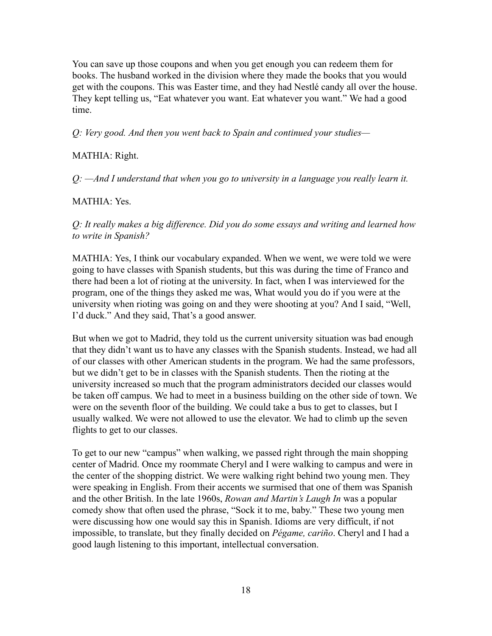You can save up those coupons and when you get enough you can redeem them for books. The husband worked in the division where they made the books that you would get with the coupons. This was Easter time, and they had Nestlé candy all over the house. They kept telling us, "Eat whatever you want. Eat whatever you want." We had a good time.

*Q: Very good. And then you went back to Spain and continued your studies—*

#### MATHIA: Right.

*Q: —And I understand that when you go to university in a language you really learn it.*

#### MATHIA: Yes.

*Q: It really makes a big difference. Did you do some essays and writing and learned how to write in Spanish?*

MATHIA: Yes, I think our vocabulary expanded. When we went, we were told we were going to have classes with Spanish students, but this was during the time of Franco and there had been a lot of rioting at the university. In fact, when I was interviewed for the program, one of the things they asked me was, What would you do if you were at the university when rioting was going on and they were shooting at you? And I said, "Well, I'd duck." And they said, That's a good answer.

But when we got to Madrid, they told us the current university situation was bad enough that they didn't want us to have any classes with the Spanish students. Instead, we had all of our classes with other American students in the program. We had the same professors, but we didn't get to be in classes with the Spanish students. Then the rioting at the university increased so much that the program administrators decided our classes would be taken off campus. We had to meet in a business building on the other side of town. We were on the seventh floor of the building. We could take a bus to get to classes, but I usually walked. We were not allowed to use the elevator. We had to climb up the seven flights to get to our classes.

To get to our new "campus" when walking, we passed right through the main shopping center of Madrid. Once my roommate Cheryl and I were walking to campus and were in the center of the shopping district. We were walking right behind two young men. They were speaking in English. From their accents we surmised that one of them was Spanish and the other British. In the late 1960s, *Rowan and Martin's Laugh In* was a popular comedy show that often used the phrase, "Sock it to me, baby." These two young men were discussing how one would say this in Spanish. Idioms are very difficult, if not impossible, to translate, but they finally decided on *Pégame, cariño*. Cheryl and I had a good laugh listening to this important, intellectual conversation.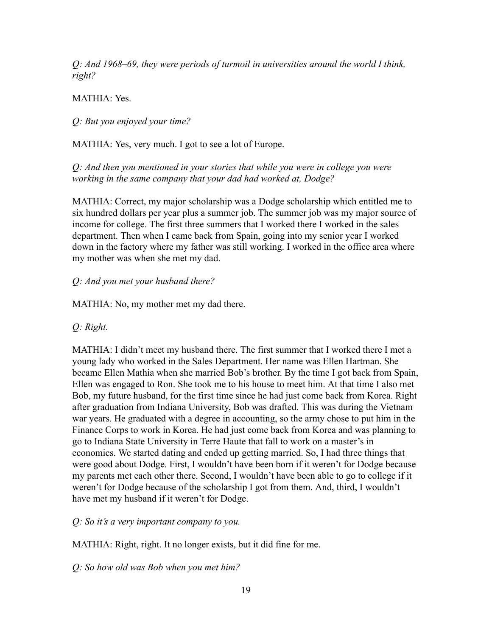*Q: And 1968–69, they were periods of turmoil in universities around the world I think, right?*

MATHIA: Yes.

*Q: But you enjoyed your time?*

MATHIA: Yes, very much. I got to see a lot of Europe.

*Q: And then you mentioned in your stories that while you were in college you were working in the same company that your dad had worked at, Dodge?*

MATHIA: Correct, my major scholarship was a Dodge scholarship which entitled me to six hundred dollars per year plus a summer job. The summer job was my major source of income for college. The first three summers that I worked there I worked in the sales department. Then when I came back from Spain, going into my senior year I worked down in the factory where my father was still working. I worked in the office area where my mother was when she met my dad.

# *Q: And you met your husband there?*

MATHIA: No, my mother met my dad there.

*Q: Right.*

MATHIA: I didn't meet my husband there. The first summer that I worked there I met a young lady who worked in the Sales Department. Her name was Ellen Hartman. She became Ellen Mathia when she married Bob's brother. By the time I got back from Spain, Ellen was engaged to Ron. She took me to his house to meet him. At that time I also met Bob, my future husband, for the first time since he had just come back from Korea. Right after graduation from Indiana University, Bob was drafted. This was during the Vietnam war years. He graduated with a degree in accounting, so the army chose to put him in the Finance Corps to work in Korea. He had just come back from Korea and was planning to go to Indiana State University in Terre Haute that fall to work on a master's in economics. We started dating and ended up getting married. So, I had three things that were good about Dodge. First, I wouldn't have been born if it weren't for Dodge because my parents met each other there. Second, I wouldn't have been able to go to college if it weren't for Dodge because of the scholarship I got from them. And, third, I wouldn't have met my husband if it weren't for Dodge.

*Q: So it's a very important company to you.*

MATHIA: Right, right. It no longer exists, but it did fine for me.

*Q: So how old was Bob when you met him?*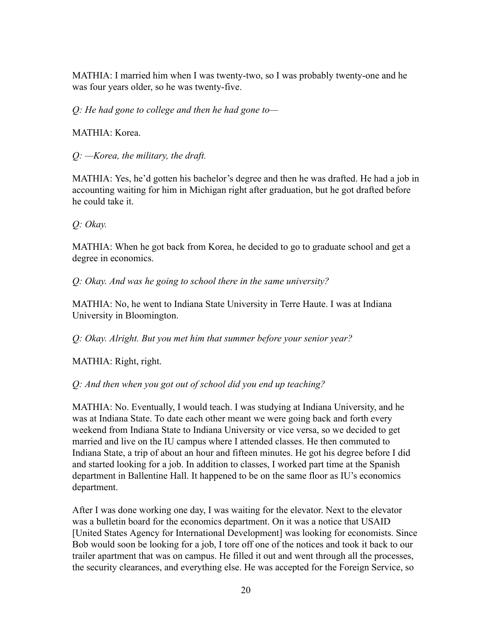MATHIA: I married him when I was twenty-two, so I was probably twenty-one and he was four years older, so he was twenty-five.

*Q: He had gone to college and then he had gone to—*

MATHIA: Korea.

*Q: —Korea, the military, the draft.*

MATHIA: Yes, he'd gotten his bachelor's degree and then he was drafted. He had a job in accounting waiting for him in Michigan right after graduation, but he got drafted before he could take it.

*Q: Okay.*

MATHIA: When he got back from Korea, he decided to go to graduate school and get a degree in economics.

*Q: Okay. And was he going to school there in the same university?*

MATHIA: No, he went to Indiana State University in Terre Haute. I was at Indiana University in Bloomington.

*Q: Okay. Alright. But you met him that summer before your senior year?*

MATHIA: Right, right.

*Q: And then when you got out of school did you end up teaching?*

MATHIA: No. Eventually, I would teach. I was studying at Indiana University, and he was at Indiana State. To date each other meant we were going back and forth every weekend from Indiana State to Indiana University or vice versa, so we decided to get married and live on the IU campus where I attended classes. He then commuted to Indiana State, a trip of about an hour and fifteen minutes. He got his degree before I did and started looking for a job. In addition to classes, I worked part time at the Spanish department in Ballentine Hall. It happened to be on the same floor as IU's economics department.

After I was done working one day, I was waiting for the elevator. Next to the elevator was a bulletin board for the economics department. On it was a notice that USAID [United States Agency for International Development] was looking for economists. Since Bob would soon be looking for a job, I tore off one of the notices and took it back to our trailer apartment that was on campus. He filled it out and went through all the processes, the security clearances, and everything else. He was accepted for the Foreign Service, so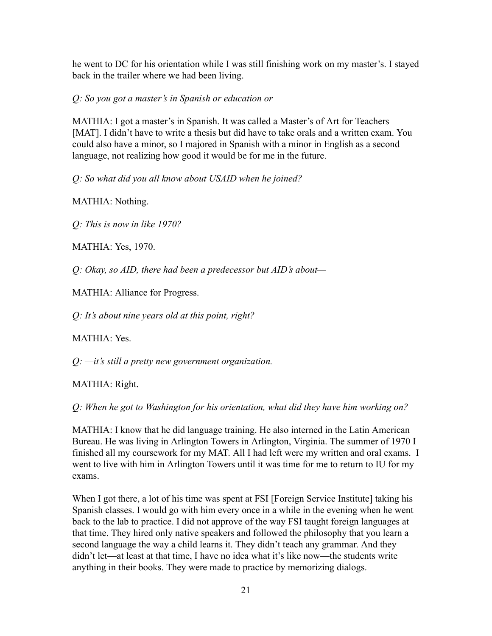he went to DC for his orientation while I was still finishing work on my master's. I stayed back in the trailer where we had been living.

*Q: So you got a master's in Spanish or education or––*

MATHIA: I got a master's in Spanish. It was called a Master's of Art for Teachers [MAT]. I didn't have to write a thesis but did have to take orals and a written exam. You could also have a minor, so I majored in Spanish with a minor in English as a second language, not realizing how good it would be for me in the future.

*Q: So what did you all know about USAID when he joined?*

MATHIA: Nothing.

*Q: This is now in like 1970?*

MATHIA: Yes, 1970.

*Q: Okay, so AID, there had been a predecessor but AID's about—*

MATHIA: Alliance for Progress.

*Q: It's about nine years old at this point, right?*

MATHIA: Yes.

*Q: —it's still a pretty new government organization.*

MATHIA: Right.

*Q: When he got to Washington for his orientation, what did they have him working on?*

MATHIA: I know that he did language training. He also interned in the Latin American Bureau. He was living in Arlington Towers in Arlington, Virginia. The summer of 1970 I finished all my coursework for my MAT. All I had left were my written and oral exams. I went to live with him in Arlington Towers until it was time for me to return to IU for my exams.

When I got there, a lot of his time was spent at FSI [Foreign Service Institute] taking his Spanish classes. I would go with him every once in a while in the evening when he went back to the lab to practice. I did not approve of the way FSI taught foreign languages at that time. They hired only native speakers and followed the philosophy that you learn a second language the way a child learns it. They didn't teach any grammar. And they didn't let—at least at that time, I have no idea what it's like now—the students write anything in their books. They were made to practice by memorizing dialogs.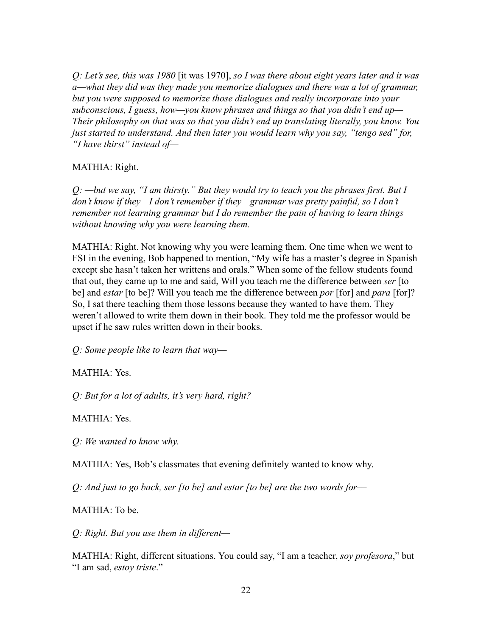*Q: Let's see, this was 1980* [it was 1970], *so I was there about eight years later and it was a—what they did was they made you memorize dialogues and there was a lot of grammar, but you were supposed to memorize those dialogues and really incorporate into your subconscious, I guess, how—you know phrases and things so that you didn't end up— Their philosophy on that was so that you didn't end up translating literally, you know. You just started to understand. And then later you would learn why you say, "tengo sed" for, "I have thirst" instead of—*

## MATHIA: Right.

*Q: —but we say, "I am thirsty." But they would try to teach you the phrases first. But I don't know if they—I don't remember if they—grammar was pretty painful, so I don't remember not learning grammar but I do remember the pain of having to learn things without knowing why you were learning them.*

MATHIA: Right. Not knowing why you were learning them. One time when we went to FSI in the evening, Bob happened to mention, "My wife has a master's degree in Spanish except she hasn't taken her writtens and orals." When some of the fellow students found that out, they came up to me and said, Will you teach me the difference between *ser* [to be] and *estar* [to be]? Will you teach me the difference between *por* [for] and *para* [for]? So, I sat there teaching them those lessons because they wanted to have them. They weren't allowed to write them down in their book. They told me the professor would be upset if he saw rules written down in their books.

*Q: Some people like to learn that way—*

MATHIA: Yes.

*Q: But for a lot of adults, it's very hard, right?*

MATHIA: Yes.

*Q: We wanted to know why.*

MATHIA: Yes, Bob's classmates that evening definitely wanted to know why.

*Q: And just to go back, ser [to be] and estar [to be] are the two words for––*

MATHIA: To be.

*Q: Right. But you use them in different—*

MATHIA: Right, different situations. You could say, "I am a teacher, *soy profesora*," but "I am sad, *estoy triste*."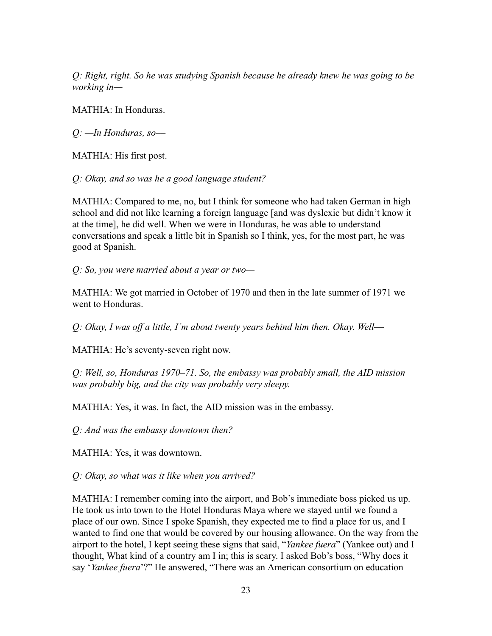*Q: Right, right. So he was studying Spanish because he already knew he was going to be working in—*

MATHIA: In Honduras.

*Q: —In Honduras, so––*

MATHIA: His first post.

*Q: Okay, and so was he a good language student?*

MATHIA: Compared to me, no, but I think for someone who had taken German in high school and did not like learning a foreign language [and was dyslexic but didn't know it at the time], he did well. When we were in Honduras, he was able to understand conversations and speak a little bit in Spanish so I think, yes, for the most part, he was good at Spanish.

*Q: So, you were married about a year or two—*

MATHIA: We got married in October of 1970 and then in the late summer of 1971 we went to Honduras.

*Q: Okay, I was off a little, I'm about twenty years behind him then. Okay. Well––*

MATHIA: He's seventy-seven right now.

*Q: Well, so, Honduras 1970–71. So, the embassy was probably small, the AID mission was probably big, and the city was probably very sleepy.*

MATHIA: Yes, it was. In fact, the AID mission was in the embassy.

*Q: And was the embassy downtown then?*

MATHIA: Yes, it was downtown.

*Q: Okay, so what was it like when you arrived?*

MATHIA: I remember coming into the airport, and Bob's immediate boss picked us up. He took us into town to the Hotel Honduras Maya where we stayed until we found a place of our own. Since I spoke Spanish, they expected me to find a place for us, and I wanted to find one that would be covered by our housing allowance. On the way from the airport to the hotel, I kept seeing these signs that said, "*Yankee fuera*" (Yankee out) and I thought, What kind of a country am I in; this is scary. I asked Bob's boss, "Why does it say '*Yankee fuera*'?" He answered, "There was an American consortium on education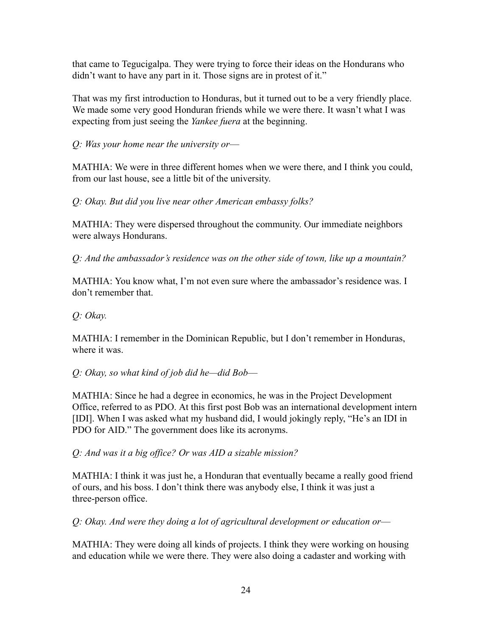that came to Tegucigalpa. They were trying to force their ideas on the Hondurans who didn't want to have any part in it. Those signs are in protest of it."

That was my first introduction to Honduras, but it turned out to be a very friendly place. We made some very good Honduran friends while we were there. It wasn't what I was expecting from just seeing the *Yankee fuera* at the beginning.

*Q: Was your home near the university or––*

MATHIA: We were in three different homes when we were there, and I think you could, from our last house, see a little bit of the university.

*Q: Okay. But did you live near other American embassy folks?*

MATHIA: They were dispersed throughout the community. Our immediate neighbors were always Hondurans.

*Q: And the ambassador's residence was on the other side of town, like up a mountain?*

MATHIA: You know what, I'm not even sure where the ambassador's residence was. I don't remember that.

*Q: Okay.*

MATHIA: I remember in the Dominican Republic, but I don't remember in Honduras, where it was.

*Q: Okay, so what kind of job did he—did Bob––*

MATHIA: Since he had a degree in economics, he was in the Project Development Office, referred to as PDO. At this first post Bob was an international development intern [IDI]. When I was asked what my husband did, I would jokingly reply, "He's an IDI in PDO for AID." The government does like its acronyms.

*Q: And was it a big office? Or was AID a sizable mission?*

MATHIA: I think it was just he, a Honduran that eventually became a really good friend of ours, and his boss. I don't think there was anybody else, I think it was just a three-person office.

*Q: Okay. And were they doing a lot of agricultural development or education or––*

MATHIA: They were doing all kinds of projects. I think they were working on housing and education while we were there. They were also doing a cadaster and working with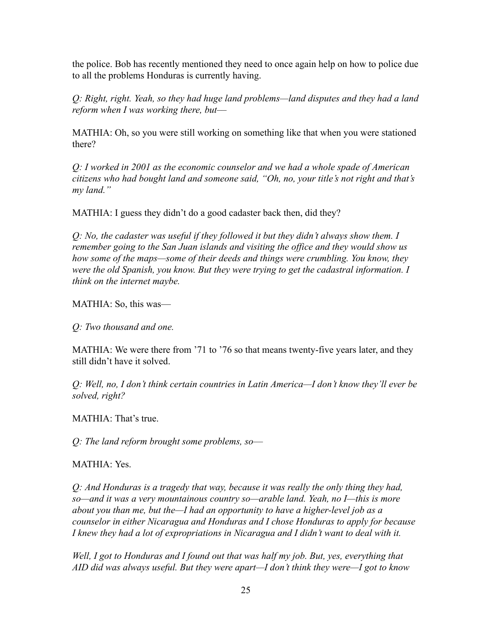the police. Bob has recently mentioned they need to once again help on how to police due to all the problems Honduras is currently having.

*Q: Right, right. Yeah, so they had huge land problems—land disputes and they had a land reform when I was working there, but––*

MATHIA: Oh, so you were still working on something like that when you were stationed there?

*Q: I worked in 2001 as the economic counselor and we had a whole spade of American citizens who had bought land and someone said, "Oh, no, your title's not right and that's my land."*

MATHIA: I guess they didn't do a good cadaster back then, did they?

*Q: No, the cadaster was useful if they followed it but they didn't always show them. I remember going to the San Juan islands and visiting the office and they would show us how some of the maps—some of their deeds and things were crumbling. You know, they were the old Spanish, you know. But they were trying to get the cadastral information. I think on the internet maybe.*

MATHIA: So, this was—

*Q: Two thousand and one.*

MATHIA: We were there from '71 to '76 so that means twenty-five years later, and they still didn't have it solved.

*Q: Well, no, I don't think certain countries in Latin America—I don't know they'll ever be solved, right?*

MATHIA: That's true.

*Q: The land reform brought some problems, so––*

MATHIA: Yes.

*Q: And Honduras is a tragedy that way, because it was really the only thing they had, so—and it was a very mountainous country so—arable land. Yeah, no I—this is more about you than me, but the—I had an opportunity to have a higher-level job as a counselor in either Nicaragua and Honduras and I chose Honduras to apply for because I knew they had a lot of expropriations in Nicaragua and I didn't want to deal with it.*

*Well, I got to Honduras and I found out that was half my job. But, yes, everything that AID did was always useful. But they were apart—I don't think they were—I got to know*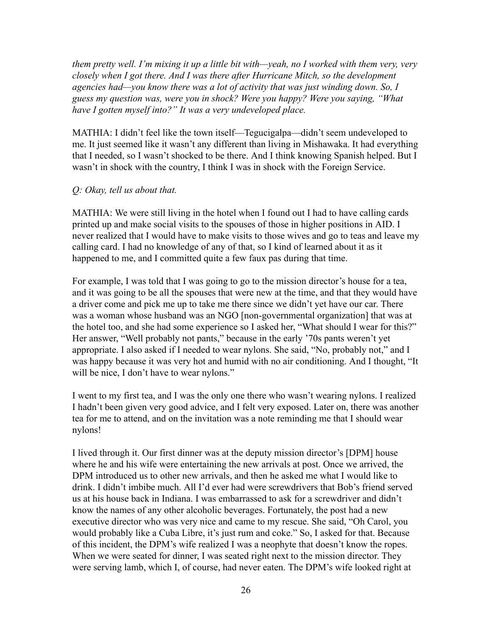*them pretty well. I'm mixing it up a little bit with—yeah, no I worked with them very, very closely when I got there. And I was there after Hurricane Mitch, so the development agencies had—you know there was a lot of activity that was just winding down. So, I guess my question was, were you in shock? Were you happy? Were you saying, "What have I gotten myself into?" It was a very undeveloped place.*

MATHIA: I didn't feel like the town itself—Tegucigalpa—didn't seem undeveloped to me. It just seemed like it wasn't any different than living in Mishawaka. It had everything that I needed, so I wasn't shocked to be there. And I think knowing Spanish helped. But I wasn't in shock with the country, I think I was in shock with the Foreign Service.

#### *Q: Okay, tell us about that.*

MATHIA: We were still living in the hotel when I found out I had to have calling cards printed up and make social visits to the spouses of those in higher positions in AID. I never realized that I would have to make visits to those wives and go to teas and leave my calling card. I had no knowledge of any of that, so I kind of learned about it as it happened to me, and I committed quite a few faux pas during that time.

For example, I was told that I was going to go to the mission director's house for a tea, and it was going to be all the spouses that were new at the time, and that they would have a driver come and pick me up to take me there since we didn't yet have our car. There was a woman whose husband was an NGO [non-governmental organization] that was at the hotel too, and she had some experience so I asked her, "What should I wear for this?" Her answer, "Well probably not pants," because in the early '70s pants weren't yet appropriate. I also asked if I needed to wear nylons. She said, "No, probably not," and I was happy because it was very hot and humid with no air conditioning. And I thought, "It will be nice, I don't have to wear nylons."

I went to my first tea, and I was the only one there who wasn't wearing nylons. I realized I hadn't been given very good advice, and I felt very exposed. Later on, there was another tea for me to attend, and on the invitation was a note reminding me that I should wear nylons!

I lived through it. Our first dinner was at the deputy mission director's [DPM] house where he and his wife were entertaining the new arrivals at post. Once we arrived, the DPM introduced us to other new arrivals, and then he asked me what I would like to drink. I didn't imbibe much. All I'd ever had were screwdrivers that Bob's friend served us at his house back in Indiana. I was embarrassed to ask for a screwdriver and didn't know the names of any other alcoholic beverages. Fortunately, the post had a new executive director who was very nice and came to my rescue. She said, "Oh Carol, you would probably like a Cuba Libre, it's just rum and coke." So, I asked for that. Because of this incident, the DPM's wife realized I was a neophyte that doesn't know the ropes. When we were seated for dinner, I was seated right next to the mission director. They were serving lamb, which I, of course, had never eaten. The DPM's wife looked right at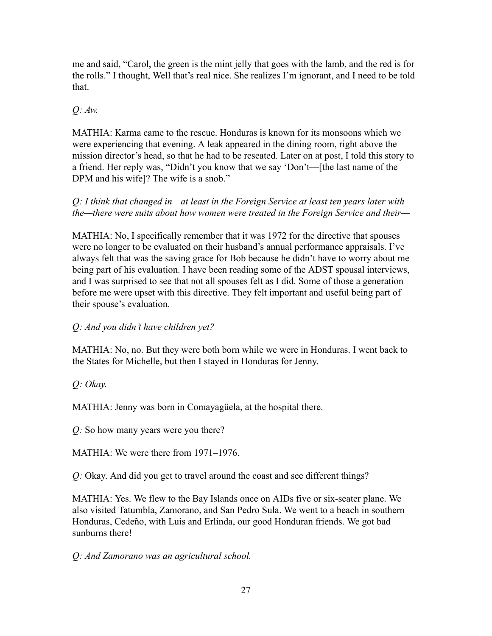me and said, "Carol, the green is the mint jelly that goes with the lamb, and the red is for the rolls." I thought, Well that's real nice. She realizes I'm ignorant, and I need to be told that.

# *Q: Aw.*

MATHIA: Karma came to the rescue. Honduras is known for its monsoons which we were experiencing that evening. A leak appeared in the dining room, right above the mission director's head, so that he had to be reseated. Later on at post, I told this story to a friend. Her reply was, "Didn't you know that we say 'Don't––[the last name of the DPM and his wife]? The wife is a snob."

*Q: I think that changed in—at least in the Foreign Service at least ten years later with the—there were suits about how women were treated in the Foreign Service and their—*

MATHIA: No, I specifically remember that it was 1972 for the directive that spouses were no longer to be evaluated on their husband's annual performance appraisals. I've always felt that was the saving grace for Bob because he didn't have to worry about me being part of his evaluation. I have been reading some of the ADST spousal interviews, and I was surprised to see that not all spouses felt as I did. Some of those a generation before me were upset with this directive. They felt important and useful being part of their spouse's evaluation.

# *Q: And you didn't have children yet?*

MATHIA: No, no. But they were both born while we were in Honduras. I went back to the States for Michelle, but then I stayed in Honduras for Jenny.

*Q: Okay.*

MATHIA: Jenny was born in Comayagüela, at the hospital there.

*Q:* So how many years were you there?

MATHIA: We were there from 1971–1976.

*Q:* Okay. And did you get to travel around the coast and see different things?

MATHIA: Yes. We flew to the Bay Islands once on AIDs five or six-seater plane. We also visited Tatumbla, Zamorano, and San Pedro Sula. We went to a beach in southern Honduras, Cedeño, with Luís and Erlinda, our good Honduran friends. We got bad sunburns there!

*Q: And Zamorano was an agricultural school.*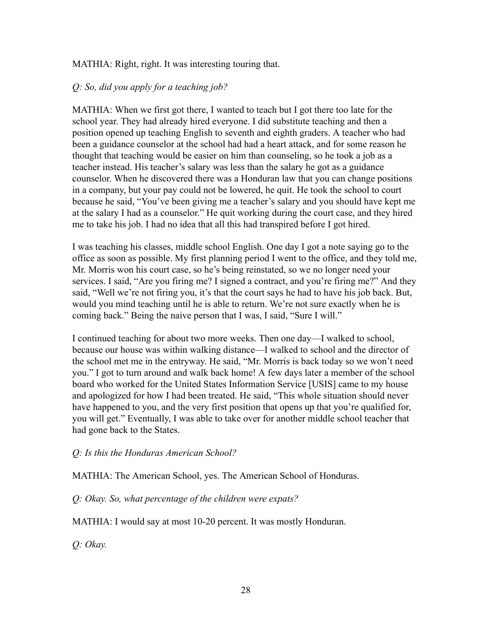## MATHIA: Right, right. It was interesting touring that.

## *Q: So, did you apply for a teaching job?*

MATHIA: When we first got there, I wanted to teach but I got there too late for the school year. They had already hired everyone. I did substitute teaching and then a position opened up teaching English to seventh and eighth graders. A teacher who had been a guidance counselor at the school had had a heart attack, and for some reason he thought that teaching would be easier on him than counseling, so he took a job as a teacher instead. His teacher's salary was less than the salary he got as a guidance counselor. When he discovered there was a Honduran law that you can change positions in a company, but your pay could not be lowered, he quit. He took the school to court because he said, "You've been giving me a teacher's salary and you should have kept me at the salary I had as a counselor." He quit working during the court case, and they hired me to take his job. I had no idea that all this had transpired before I got hired.

I was teaching his classes, middle school English. One day I got a note saying go to the office as soon as possible. My first planning period I went to the office, and they told me, Mr. Morris won his court case, so he's being reinstated, so we no longer need your services. I said, "Are you firing me? I signed a contract, and you're firing me?" And they said, "Well we're not firing you, it's that the court says he had to have his job back. But, would you mind teaching until he is able to return. We're not sure exactly when he is coming back." Being the naive person that I was, I said, "Sure I will."

I continued teaching for about two more weeks. Then one day—I walked to school, because our house was within walking distance—I walked to school and the director of the school met me in the entryway. He said, "Mr. Morris is back today so we won't need you." I got to turn around and walk back home! A few days later a member of the school board who worked for the United States Information Service [USIS] came to my house and apologized for how I had been treated. He said, "This whole situation should never have happened to you, and the very first position that opens up that you're qualified for, you will get." Eventually, I was able to take over for another middle school teacher that had gone back to the States.

#### *Q: Is this the Honduras American School?*

MATHIA: The American School, yes. The American School of Honduras.

#### *Q: Okay. So, what percentage of the children were expats?*

MATHIA: I would say at most 10-20 percent. It was mostly Honduran.

*Q: Okay.*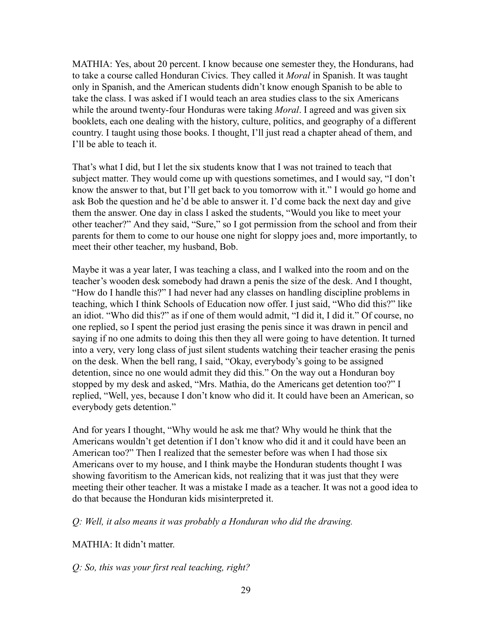MATHIA: Yes, about 20 percent. I know because one semester they, the Hondurans, had to take a course called Honduran Civics. They called it *Moral* in Spanish. It was taught only in Spanish, and the American students didn't know enough Spanish to be able to take the class. I was asked if I would teach an area studies class to the six Americans while the around twenty-four Honduras were taking *Moral*. I agreed and was given six booklets, each one dealing with the history, culture, politics, and geography of a different country. I taught using those books. I thought, I'll just read a chapter ahead of them, and I'll be able to teach it.

That's what I did, but I let the six students know that I was not trained to teach that subject matter. They would come up with questions sometimes, and I would say, "I don't know the answer to that, but I'll get back to you tomorrow with it." I would go home and ask Bob the question and he'd be able to answer it. I'd come back the next day and give them the answer. One day in class I asked the students, "Would you like to meet your other teacher?" And they said, "Sure," so I got permission from the school and from their parents for them to come to our house one night for sloppy joes and, more importantly, to meet their other teacher, my husband, Bob.

Maybe it was a year later, I was teaching a class, and I walked into the room and on the teacher's wooden desk somebody had drawn a penis the size of the desk. And I thought, "How do I handle this?" I had never had any classes on handling discipline problems in teaching, which I think Schools of Education now offer. I just said, "Who did this?" like an idiot. "Who did this?" as if one of them would admit, "I did it, I did it." Of course, no one replied, so I spent the period just erasing the penis since it was drawn in pencil and saying if no one admits to doing this then they all were going to have detention. It turned into a very, very long class of just silent students watching their teacher erasing the penis on the desk. When the bell rang, I said, "Okay, everybody's going to be assigned detention, since no one would admit they did this." On the way out a Honduran boy stopped by my desk and asked, "Mrs. Mathia, do the Americans get detention too?" I replied, "Well, yes, because I don't know who did it. It could have been an American, so everybody gets detention."

And for years I thought, "Why would he ask me that? Why would he think that the Americans wouldn't get detention if I don't know who did it and it could have been an American too?" Then I realized that the semester before was when I had those six Americans over to my house, and I think maybe the Honduran students thought I was showing favoritism to the American kids, not realizing that it was just that they were meeting their other teacher. It was a mistake I made as a teacher. It was not a good idea to do that because the Honduran kids misinterpreted it.

*Q: Well, it also means it was probably a Honduran who did the drawing.*

MATHIA: It didn't matter.

*Q: So, this was your first real teaching, right?*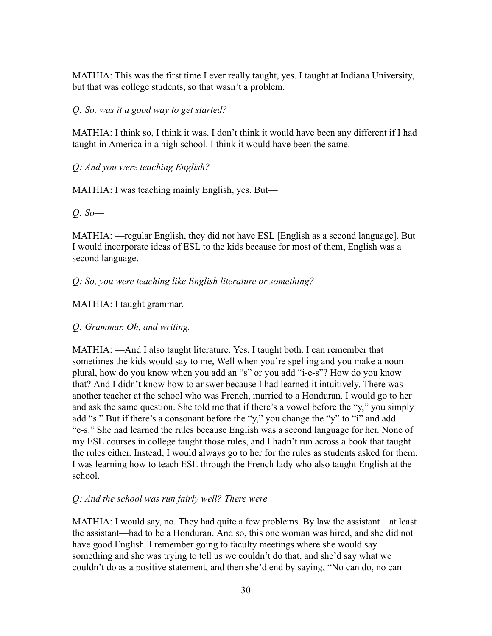MATHIA: This was the first time I ever really taught, yes. I taught at Indiana University, but that was college students, so that wasn't a problem.

*Q: So, was it a good way to get started?*

MATHIA: I think so, I think it was. I don't think it would have been any different if I had taught in America in a high school. I think it would have been the same.

*Q: And you were teaching English?*

MATHIA: I was teaching mainly English, yes. But—

*Q: So––*

MATHIA: —regular English, they did not have ESL [English as a second language]. But I would incorporate ideas of ESL to the kids because for most of them, English was a second language.

*Q: So, you were teaching like English literature or something?*

MATHIA: I taught grammar.

*Q: Grammar. Oh, and writing.*

MATHIA: —And I also taught literature. Yes, I taught both. I can remember that sometimes the kids would say to me, Well when you're spelling and you make a noun plural, how do you know when you add an "s" or you add "i-e-s"? How do you know that? And I didn't know how to answer because I had learned it intuitively. There was another teacher at the school who was French, married to a Honduran. I would go to her and ask the same question. She told me that if there's a vowel before the "y," you simply add "s." But if there's a consonant before the "y," you change the "y" to "i" and add "e-s." She had learned the rules because English was a second language for her. None of my ESL courses in college taught those rules, and I hadn't run across a book that taught the rules either. Instead, I would always go to her for the rules as students asked for them. I was learning how to teach ESL through the French lady who also taught English at the school.

## *Q: And the school was run fairly well? There were––*

MATHIA: I would say, no. They had quite a few problems. By law the assistant—at least the assistant—had to be a Honduran. And so, this one woman was hired, and she did not have good English. I remember going to faculty meetings where she would say something and she was trying to tell us we couldn't do that, and she'd say what we couldn't do as a positive statement, and then she'd end by saying, "No can do, no can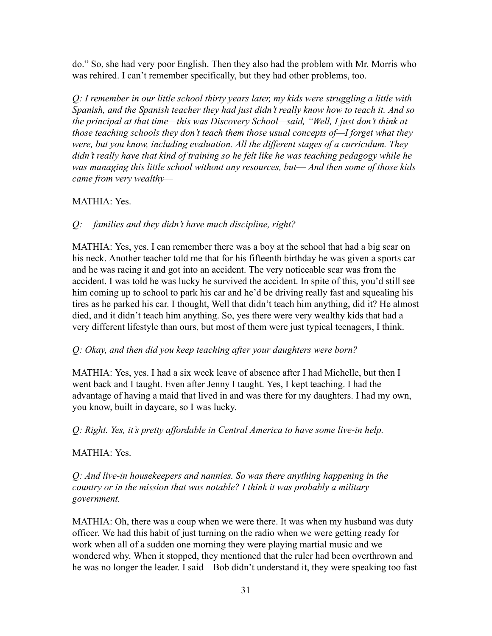do." So, she had very poor English. Then they also had the problem with Mr. Morris who was rehired. I can't remember specifically, but they had other problems, too.

*Q: I remember in our little school thirty years later, my kids were struggling a little with Spanish, and the Spanish teacher they had just didn't really know how to teach it. And so the principal at that time—this was Discovery School—said, "Well, I just don't think at those teaching schools they don't teach them those usual concepts of—I forget what they were, but you know, including evaluation. All the different stages of a curriculum. They didn't really have that kind of training so he felt like he was teaching pedagogy while he was managing this little school without any resources, but–– And then some of those kids came from very wealthy—*

## MATHIA: Yes.

## *Q: —families and they didn't have much discipline, right?*

MATHIA: Yes, yes. I can remember there was a boy at the school that had a big scar on his neck. Another teacher told me that for his fifteenth birthday he was given a sports car and he was racing it and got into an accident. The very noticeable scar was from the accident. I was told he was lucky he survived the accident. In spite of this, you'd still see him coming up to school to park his car and he'd be driving really fast and squealing his tires as he parked his car. I thought, Well that didn't teach him anything, did it? He almost died, and it didn't teach him anything. So, yes there were very wealthy kids that had a very different lifestyle than ours, but most of them were just typical teenagers, I think.

#### *Q: Okay, and then did you keep teaching after your daughters were born?*

MATHIA: Yes, yes. I had a six week leave of absence after I had Michelle, but then I went back and I taught. Even after Jenny I taught. Yes, I kept teaching. I had the advantage of having a maid that lived in and was there for my daughters. I had my own, you know, built in daycare, so I was lucky.

*Q: Right. Yes, it's pretty affordable in Central America to have some live-in help.*

#### MATHIA: Yes.

*Q: And live-in housekeepers and nannies. So was there anything happening in the country or in the mission that was notable? I think it was probably a military government.*

MATHIA: Oh, there was a coup when we were there. It was when my husband was duty officer. We had this habit of just turning on the radio when we were getting ready for work when all of a sudden one morning they were playing martial music and we wondered why. When it stopped, they mentioned that the ruler had been overthrown and he was no longer the leader. I said—Bob didn't understand it, they were speaking too fast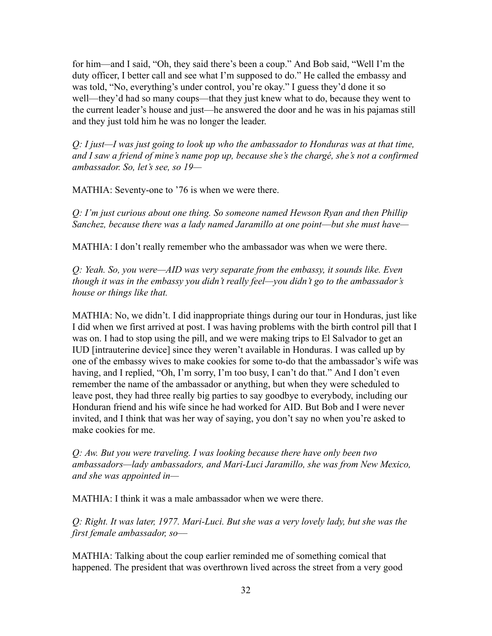for him—and I said, "Oh, they said there's been a coup." And Bob said, "Well I'm the duty officer, I better call and see what I'm supposed to do." He called the embassy and was told, "No, everything's under control, you're okay." I guess they'd done it so well—they'd had so many coups—that they just knew what to do, because they went to the current leader's house and just—he answered the door and he was in his pajamas still and they just told him he was no longer the leader.

*Q: I just—I was just going to look up who the ambassador to Honduras was at that time, and I saw a friend of mine's name pop up, because she's the chargé, she's not a confirmed ambassador. So, let's see, so 19—*

MATHIA: Seventy-one to '76 is when we were there.

*Q: I'm just curious about one thing. So someone named Hewson Ryan and then Phillip Sanchez, because there was a lady named Jaramillo at one point––but she must have—*

MATHIA: I don't really remember who the ambassador was when we were there.

*Q: Yeah. So, you were—AID was very separate from the embassy, it sounds like. Even though it was in the embassy you didn't really feel—you didn't go to the ambassador's house or things like that.*

MATHIA: No, we didn't. I did inappropriate things during our tour in Honduras, just like I did when we first arrived at post. I was having problems with the birth control pill that I was on. I had to stop using the pill, and we were making trips to El Salvador to get an IUD [intrauterine device] since they weren't available in Honduras. I was called up by one of the embassy wives to make cookies for some to-do that the ambassador's wife was having, and I replied, "Oh, I'm sorry, I'm too busy, I can't do that." And I don't even remember the name of the ambassador or anything, but when they were scheduled to leave post, they had three really big parties to say goodbye to everybody, including our Honduran friend and his wife since he had worked for AID. But Bob and I were never invited, and I think that was her way of saying, you don't say no when you're asked to make cookies for me.

*Q: Aw. But you were traveling. I was looking because there have only been two ambassadors—lady ambassadors, and Mari-Luci Jaramillo, she was from New Mexico, and she was appointed in—*

MATHIA: I think it was a male ambassador when we were there.

*Q: Right. It was later, 1977. Mari-Luci. But she was a very lovely lady, but she was the first female ambassador, so––*

MATHIA: Talking about the coup earlier reminded me of something comical that happened. The president that was overthrown lived across the street from a very good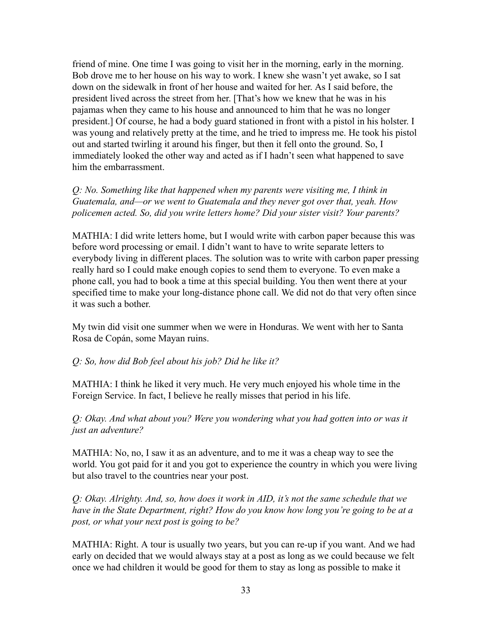friend of mine. One time I was going to visit her in the morning, early in the morning. Bob drove me to her house on his way to work. I knew she wasn't yet awake, so I sat down on the sidewalk in front of her house and waited for her. As I said before, the president lived across the street from her. [That's how we knew that he was in his pajamas when they came to his house and announced to him that he was no longer president.] Of course, he had a body guard stationed in front with a pistol in his holster. I was young and relatively pretty at the time, and he tried to impress me. He took his pistol out and started twirling it around his finger, but then it fell onto the ground. So, I immediately looked the other way and acted as if I hadn't seen what happened to save him the embarrassment.

*Q: No. Something like that happened when my parents were visiting me, I think in Guatemala, and—or we went to Guatemala and they never got over that, yeah. How policemen acted. So, did you write letters home? Did your sister visit? Your parents?*

MATHIA: I did write letters home, but I would write with carbon paper because this was before word processing or email. I didn't want to have to write separate letters to everybody living in different places. The solution was to write with carbon paper pressing really hard so I could make enough copies to send them to everyone. To even make a phone call, you had to book a time at this special building. You then went there at your specified time to make your long-distance phone call. We did not do that very often since it was such a bother.

My twin did visit one summer when we were in Honduras. We went with her to Santa Rosa de Copán, some Mayan ruins.

#### *Q: So, how did Bob feel about his job? Did he like it?*

MATHIA: I think he liked it very much. He very much enjoyed his whole time in the Foreign Service. In fact, I believe he really misses that period in his life.

*Q: Okay. And what about you? Were you wondering what you had gotten into or was it just an adventure?*

MATHIA: No, no, I saw it as an adventure, and to me it was a cheap way to see the world. You got paid for it and you got to experience the country in which you were living but also travel to the countries near your post.

*Q: Okay. Alrighty. And, so, how does it work in AID, it's not the same schedule that we have in the State Department, right? How do you know how long you're going to be at a post, or what your next post is going to be?*

MATHIA: Right. A tour is usually two years, but you can re-up if you want. And we had early on decided that we would always stay at a post as long as we could because we felt once we had children it would be good for them to stay as long as possible to make it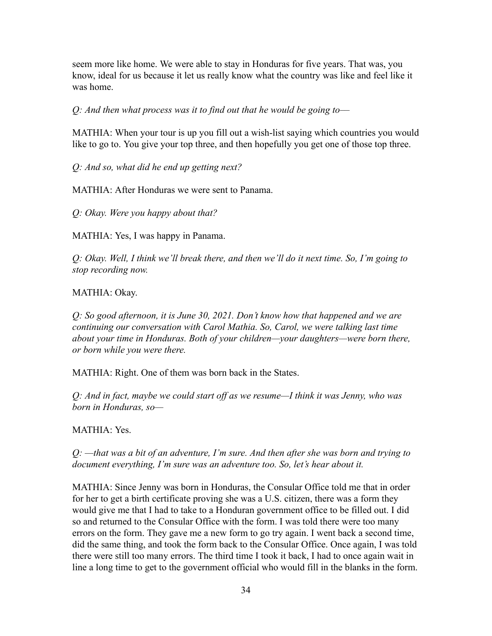seem more like home. We were able to stay in Honduras for five years. That was, you know, ideal for us because it let us really know what the country was like and feel like it was home.

*Q: And then what process was it to find out that he would be going to––*

MATHIA: When your tour is up you fill out a wish-list saying which countries you would like to go to. You give your top three, and then hopefully you get one of those top three.

*Q: And so, what did he end up getting next?*

MATHIA: After Honduras we were sent to Panama.

*Q: Okay. Were you happy about that?*

MATHIA: Yes, I was happy in Panama.

*Q: Okay. Well, I think we'll break there, and then we'll do it next time. So, I'm going to stop recording now.*

MATHIA: Okay.

*Q: So good afternoon, it is June 30, 2021. Don't know how that happened and we are continuing our conversation with Carol Mathia. So, Carol, we were talking last time about your time in Honduras. Both of your children—your daughters—were born there, or born while you were there.*

MATHIA: Right. One of them was born back in the States.

*Q: And in fact, maybe we could start off as we resume—I think it was Jenny, who was born in Honduras, so—*

MATHIA: Yes.

*Q: —that was a bit of an adventure, I'm sure. And then after she was born and trying to document everything, I'm sure was an adventure too. So, let's hear about it.*

MATHIA: Since Jenny was born in Honduras, the Consular Office told me that in order for her to get a birth certificate proving she was a U.S. citizen, there was a form they would give me that I had to take to a Honduran government office to be filled out. I did so and returned to the Consular Office with the form. I was told there were too many errors on the form. They gave me a new form to go try again. I went back a second time, did the same thing, and took the form back to the Consular Office. Once again, I was told there were still too many errors. The third time I took it back, I had to once again wait in line a long time to get to the government official who would fill in the blanks in the form.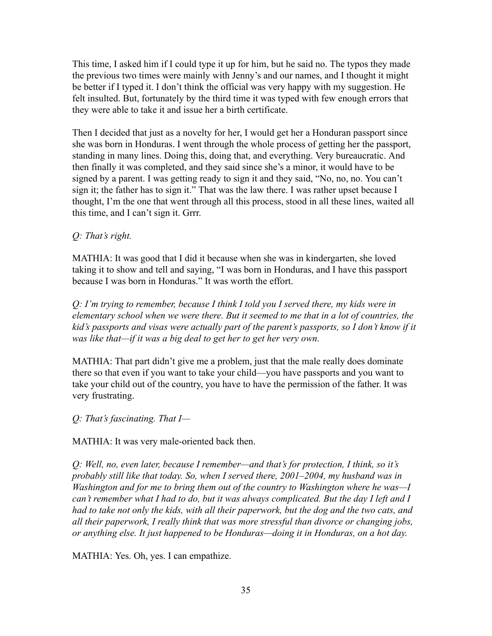This time, I asked him if I could type it up for him, but he said no. The typos they made the previous two times were mainly with Jenny's and our names, and I thought it might be better if I typed it. I don't think the official was very happy with my suggestion. He felt insulted. But, fortunately by the third time it was typed with few enough errors that they were able to take it and issue her a birth certificate.

Then I decided that just as a novelty for her, I would get her a Honduran passport since she was born in Honduras. I went through the whole process of getting her the passport, standing in many lines. Doing this, doing that, and everything. Very bureaucratic. And then finally it was completed, and they said since she's a minor, it would have to be signed by a parent. I was getting ready to sign it and they said, "No, no, no. You can't sign it; the father has to sign it." That was the law there. I was rather upset because I thought, I'm the one that went through all this process, stood in all these lines, waited all this time, and I can't sign it. Grrr.

# *Q: That's right.*

MATHIA: It was good that I did it because when she was in kindergarten, she loved taking it to show and tell and saying, "I was born in Honduras, and I have this passport because I was born in Honduras." It was worth the effort.

*Q: I'm trying to remember, because I think I told you I served there, my kids were in elementary school when we were there. But it seemed to me that in a lot of countries, the kid's passports and visas were actually part of the parent's passports, so I don't know if it was like that—if it was a big deal to get her to get her very own.*

MATHIA: That part didn't give me a problem, just that the male really does dominate there so that even if you want to take your child—you have passports and you want to take your child out of the country, you have to have the permission of the father. It was very frustrating.

*Q: That's fascinating. That I—*

MATHIA: It was very male-oriented back then.

*Q: Well, no, even later, because I remember—and that's for protection, I think, so it's probably still like that today. So, when I served there, 2001–2004, my husband was in Washington and for me to bring them out of the country to Washington where he was—I can't remember what I had to do, but it was always complicated. But the day I left and I had to take not only the kids, with all their paperwork, but the dog and the two cats, and all their paperwork, I really think that was more stressful than divorce or changing jobs, or anything else. It just happened to be Honduras—doing it in Honduras, on a hot day.*

MATHIA: Yes. Oh, yes. I can empathize.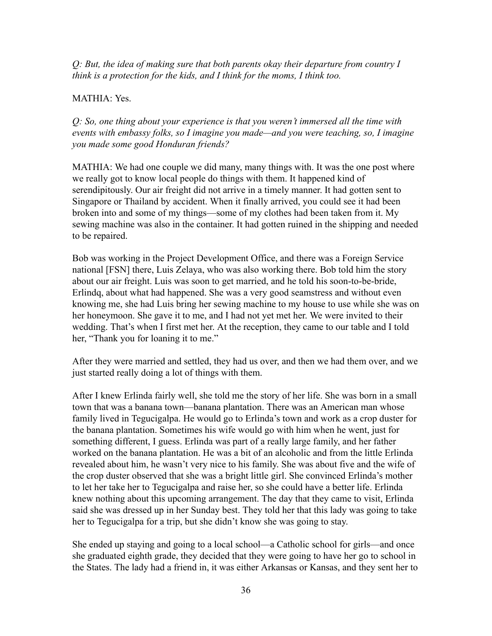*Q: But, the idea of making sure that both parents okay their departure from country I think is a protection for the kids, and I think for the moms, I think too.*

## MATHIA: Yes.

*Q: So, one thing about your experience is that you weren't immersed all the time with events with embassy folks, so I imagine you made—and you were teaching, so, I imagine you made some good Honduran friends?*

MATHIA: We had one couple we did many, many things with. It was the one post where we really got to know local people do things with them. It happened kind of serendipitously. Our air freight did not arrive in a timely manner. It had gotten sent to Singapore or Thailand by accident. When it finally arrived, you could see it had been broken into and some of my things—some of my clothes had been taken from it. My sewing machine was also in the container. It had gotten ruined in the shipping and needed to be repaired.

Bob was working in the Project Development Office, and there was a Foreign Service national [FSN] there, Luis Zelaya, who was also working there. Bob told him the story about our air freight. Luis was soon to get married, and he told his soon-to-be-bride, Erlindq, about what had happened. She was a very good seamstress and without even knowing me, she had Luis bring her sewing machine to my house to use while she was on her honeymoon. She gave it to me, and I had not yet met her. We were invited to their wedding. That's when I first met her. At the reception, they came to our table and I told her, "Thank you for loaning it to me."

After they were married and settled, they had us over, and then we had them over, and we just started really doing a lot of things with them.

After I knew Erlinda fairly well, she told me the story of her life. She was born in a small town that was a banana town—banana plantation. There was an American man whose family lived in Tegucigalpa. He would go to Erlinda's town and work as a crop duster for the banana plantation. Sometimes his wife would go with him when he went, just for something different, I guess. Erlinda was part of a really large family, and her father worked on the banana plantation. He was a bit of an alcoholic and from the little Erlinda revealed about him, he wasn't very nice to his family. She was about five and the wife of the crop duster observed that she was a bright little girl. She convinced Erlinda's mother to let her take her to Tegucigalpa and raise her, so she could have a better life. Erlinda knew nothing about this upcoming arrangement. The day that they came to visit, Erlinda said she was dressed up in her Sunday best. They told her that this lady was going to take her to Tegucigalpa for a trip, but she didn't know she was going to stay.

She ended up staying and going to a local school—a Catholic school for girls—and once she graduated eighth grade, they decided that they were going to have her go to school in the States. The lady had a friend in, it was either Arkansas or Kansas, and they sent her to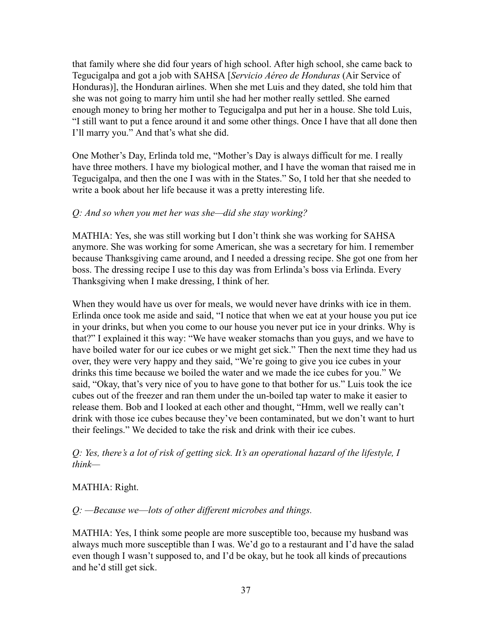that family where she did four years of high school. After high school, she came back to Tegucigalpa and got a job with SAHSA [*Servicio Aéreo de Honduras* (Air Service of Honduras)], the Honduran airlines. When she met Luis and they dated, she told him that she was not going to marry him until she had her mother really settled. She earned enough money to bring her mother to Tegucigalpa and put her in a house. She told Luis, "I still want to put a fence around it and some other things. Once I have that all done then I'll marry you." And that's what she did.

One Mother's Day, Erlinda told me, "Mother's Day is always difficult for me. I really have three mothers. I have my biological mother, and I have the woman that raised me in Tegucigalpa, and then the one I was with in the States." So, I told her that she needed to write a book about her life because it was a pretty interesting life.

### *Q: And so when you met her was she—did she stay working?*

MATHIA: Yes, she was still working but I don't think she was working for SAHSA anymore. She was working for some American, she was a secretary for him. I remember because Thanksgiving came around, and I needed a dressing recipe. She got one from her boss. The dressing recipe I use to this day was from Erlinda's boss via Erlinda. Every Thanksgiving when I make dressing, I think of her.

When they would have us over for meals, we would never have drinks with ice in them. Erlinda once took me aside and said, "I notice that when we eat at your house you put ice in your drinks, but when you come to our house you never put ice in your drinks. Why is that?" I explained it this way: "We have weaker stomachs than you guys, and we have to have boiled water for our ice cubes or we might get sick." Then the next time they had us over, they were very happy and they said, "We're going to give you ice cubes in your drinks this time because we boiled the water and we made the ice cubes for you." We said, "Okay, that's very nice of you to have gone to that bother for us." Luis took the ice cubes out of the freezer and ran them under the un-boiled tap water to make it easier to release them. Bob and I looked at each other and thought, "Hmm, well we really can't drink with those ice cubes because they've been contaminated, but we don't want to hurt their feelings." We decided to take the risk and drink with their ice cubes.

### *Q: Yes, there's a lot of risk of getting sick. It's an operational hazard of the lifestyle, I think—*

### MATHIA: Right.

### *Q: —Because we––lots of other different microbes and things.*

MATHIA: Yes, I think some people are more susceptible too, because my husband was always much more susceptible than I was. We'd go to a restaurant and I'd have the salad even though I wasn't supposed to, and I'd be okay, but he took all kinds of precautions and he'd still get sick.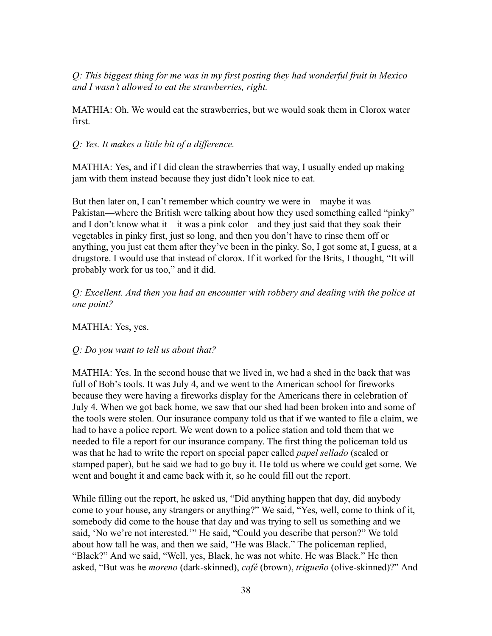*Q: This biggest thing for me was in my first posting they had wonderful fruit in Mexico and I wasn't allowed to eat the strawberries, right.*

MATHIA: Oh. We would eat the strawberries, but we would soak them in Clorox water first.

# *Q: Yes. It makes a little bit of a difference.*

MATHIA: Yes, and if I did clean the strawberries that way, I usually ended up making jam with them instead because they just didn't look nice to eat.

But then later on, I can't remember which country we were in—maybe it was Pakistan—where the British were talking about how they used something called "pinky" and I don't know what it—it was a pink color—and they just said that they soak their vegetables in pinky first, just so long, and then you don't have to rinse them off or anything, you just eat them after they've been in the pinky. So, I got some at, I guess, at a drugstore. I would use that instead of clorox. If it worked for the Brits, I thought, "It will probably work for us too," and it did.

*Q: Excellent. And then you had an encounter with robbery and dealing with the police at one point?*

MATHIA: Yes, yes.

# *Q: Do you want to tell us about that?*

MATHIA: Yes. In the second house that we lived in, we had a shed in the back that was full of Bob's tools. It was July 4, and we went to the American school for fireworks because they were having a fireworks display for the Americans there in celebration of July 4. When we got back home, we saw that our shed had been broken into and some of the tools were stolen. Our insurance company told us that if we wanted to file a claim, we had to have a police report. We went down to a police station and told them that we needed to file a report for our insurance company. The first thing the policeman told us was that he had to write the report on special paper called *papel sellado* (sealed or stamped paper), but he said we had to go buy it. He told us where we could get some. We went and bought it and came back with it, so he could fill out the report.

While filling out the report, he asked us, "Did anything happen that day, did anybody come to your house, any strangers or anything?" We said, "Yes, well, come to think of it, somebody did come to the house that day and was trying to sell us something and we said, 'No we're not interested.'" He said, "Could you describe that person?" We told about how tall he was, and then we said, "He was Black." The policeman replied, "Black?" And we said, "Well, yes, Black, he was not white. He was Black." He then asked, "But was he *moreno* (dark-skinned), *café* (brown), *trigueño* (olive-skinned)?" And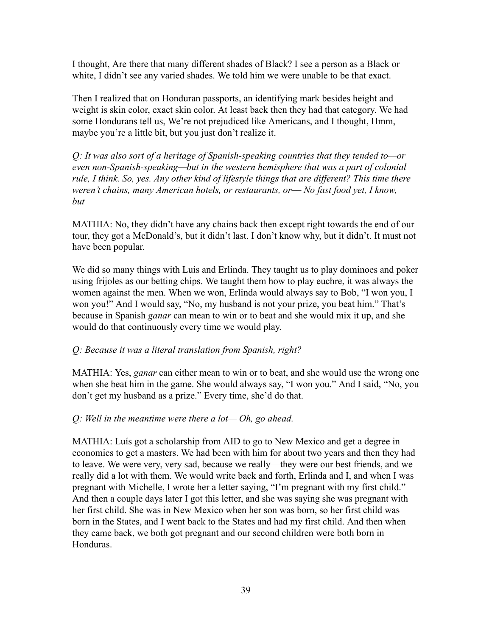I thought, Are there that many different shades of Black? I see a person as a Black or white, I didn't see any varied shades. We told him we were unable to be that exact.

Then I realized that on Honduran passports, an identifying mark besides height and weight is skin color, exact skin color. At least back then they had that category. We had some Hondurans tell us, We're not prejudiced like Americans, and I thought, Hmm, maybe you're a little bit, but you just don't realize it.

*Q: It was also sort of a heritage of Spanish-speaking countries that they tended to—or even non-Spanish-speaking—but in the western hemisphere that was a part of colonial rule, I think. So, yes. Any other kind of lifestyle things that are different? This time there weren't chains, many American hotels, or restaurants, or–– No fast food yet, I know, but––*

MATHIA: No, they didn't have any chains back then except right towards the end of our tour, they got a McDonald's, but it didn't last. I don't know why, but it didn't. It must not have been popular.

We did so many things with Luis and Erlinda. They taught us to play dominoes and poker using frijoles as our betting chips. We taught them how to play euchre, it was always the women against the men. When we won, Erlinda would always say to Bob, "I won you, I won you!" And I would say, "No, my husband is not your prize, you beat him." That's because in Spanish *ganar* can mean to win or to beat and she would mix it up, and she would do that continuously every time we would play.

# *Q: Because it was a literal translation from Spanish, right?*

MATHIA: Yes, *ganar* can either mean to win or to beat, and she would use the wrong one when she beat him in the game. She would always say, "I won you." And I said, "No, you don't get my husband as a prize." Every time, she'd do that.

### *Q: Well in the meantime were there a lot— Oh, go ahead.*

MATHIA: Luís got a scholarship from AID to go to New Mexico and get a degree in economics to get a masters. We had been with him for about two years and then they had to leave. We were very, very sad, because we really—they were our best friends, and we really did a lot with them. We would write back and forth, Erlinda and I, and when I was pregnant with Michelle, I wrote her a letter saying, "I'm pregnant with my first child." And then a couple days later I got this letter, and she was saying she was pregnant with her first child. She was in New Mexico when her son was born, so her first child was born in the States, and I went back to the States and had my first child. And then when they came back, we both got pregnant and our second children were both born in Honduras.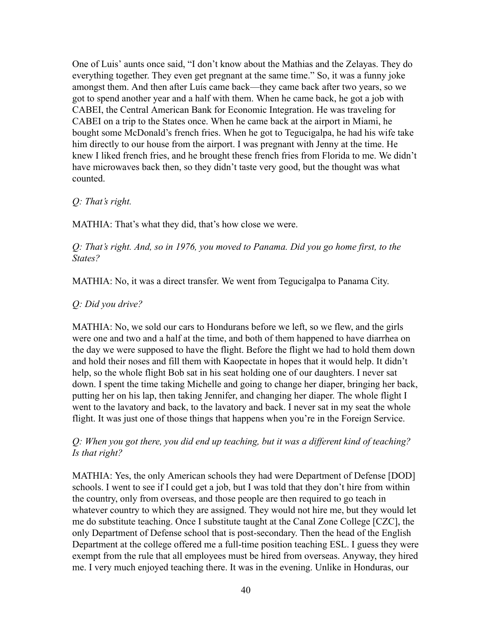One of Luis' aunts once said, "I don't know about the Mathias and the Zelayas. They do everything together. They even get pregnant at the same time." So, it was a funny joke amongst them. And then after Luís came back—they came back after two years, so we got to spend another year and a half with them. When he came back, he got a job with CABEI, the Central American Bank for Economic Integration. He was traveling for CABEI on a trip to the States once. When he came back at the airport in Miami, he bought some McDonald's french fries. When he got to Tegucigalpa, he had his wife take him directly to our house from the airport. I was pregnant with Jenny at the time. He knew I liked french fries, and he brought these french fries from Florida to me. We didn't have microwaves back then, so they didn't taste very good, but the thought was what counted.

### *Q: That's right.*

MATHIA: That's what they did, that's how close we were.

*Q: That's right. And, so in 1976, you moved to Panama. Did you go home first, to the States?*

MATHIA: No, it was a direct transfer. We went from Tegucigalpa to Panama City.

### *Q: Did you drive?*

MATHIA: No, we sold our cars to Hondurans before we left, so we flew, and the girls were one and two and a half at the time, and both of them happened to have diarrhea on the day we were supposed to have the flight. Before the flight we had to hold them down and hold their noses and fill them with Kaopectate in hopes that it would help. It didn't help, so the whole flight Bob sat in his seat holding one of our daughters. I never sat down. I spent the time taking Michelle and going to change her diaper, bringing her back, putting her on his lap, then taking Jennifer, and changing her diaper. The whole flight I went to the lavatory and back, to the lavatory and back. I never sat in my seat the whole flight. It was just one of those things that happens when you're in the Foreign Service.

### *Q: When you got there, you did end up teaching, but it was a different kind of teaching? Is that right?*

MATHIA: Yes, the only American schools they had were Department of Defense [DOD] schools. I went to see if I could get a job, but I was told that they don't hire from within the country, only from overseas, and those people are then required to go teach in whatever country to which they are assigned. They would not hire me, but they would let me do substitute teaching. Once I substitute taught at the Canal Zone College [CZC], the only Department of Defense school that is post-secondary. Then the head of the English Department at the college offered me a full-time position teaching ESL. I guess they were exempt from the rule that all employees must be hired from overseas. Anyway, they hired me. I very much enjoyed teaching there. It was in the evening. Unlike in Honduras, our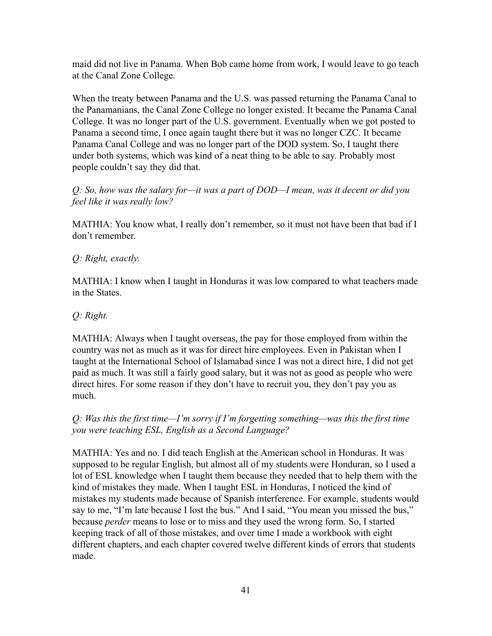maid did not live in Panama. When Bob came home from work, I would leave to go teach at the Canal Zone College.

When the treaty between Panama and the U.S. was passed returning the Panama Canal to the Panamanians, the Canal Zone College no longer existed. It became the Panama Canal College. It was no longer part of the U.S. government. Eventually when we got posted to Panama a second time, I once again taught there but it was no longer CZC. It became Panama Canal College and was no longer part of the DOD system. So, I taught there under both systems, which was kind of a neat thing to be able to say. Probably most people couldn't say they did that.

# *Q: So, how was the salary for—it was a part of DOD—I mean, was it decent or did you feel like it was really low?*

MATHIA: You know what, I really don't remember, so it must not have been that bad if I don't remember.

# *Q: Right, exactly.*

MATHIA: I know when I taught in Honduras it was low compared to what teachers made in the States.

# *Q: Right.*

MATHIA: Always when I taught overseas, the pay for those employed from within the country was not as much as it was for direct hire employees. Even in Pakistan when I taught at the International School of Islamabad since I was not a direct hire, I did not get paid as much. It was still a fairly good salary, but it was not as good as people who were direct hires. For some reason if they don't have to recruit you, they don't pay you as much.

# *Q: Was this the first time—I'm sorry if I'm forgetting something—was this the first time you were teaching ESL, English as a Second Language?*

MATHIA: Yes and no. I did teach English at the American school in Honduras. It was supposed to be regular English, but almost all of my students were Honduran, so I used a lot of ESL knowledge when I taught them because they needed that to help them with the kind of mistakes they made. When I taught ESL in Honduras, I noticed the kind of mistakes my students made because of Spanish interference. For example, students would say to me, "I'm late because I lost the bus." And I said, "You mean you missed the bus," because *perder* means to lose or to miss and they used the wrong form. So, I started keeping track of all of those mistakes, and over time I made a workbook with eight different chapters, and each chapter covered twelve different kinds of errors that students made.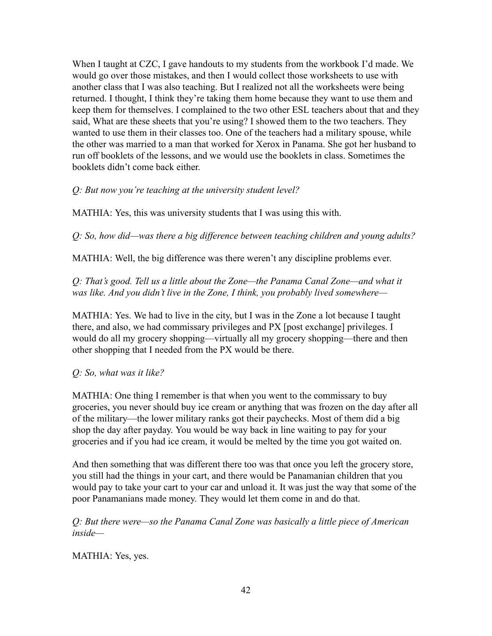When I taught at CZC, I gave handouts to my students from the workbook I'd made. We would go over those mistakes, and then I would collect those worksheets to use with another class that I was also teaching. But I realized not all the worksheets were being returned. I thought, I think they're taking them home because they want to use them and keep them for themselves. I complained to the two other ESL teachers about that and they said, What are these sheets that you're using? I showed them to the two teachers. They wanted to use them in their classes too. One of the teachers had a military spouse, while the other was married to a man that worked for Xerox in Panama. She got her husband to run off booklets of the lessons, and we would use the booklets in class. Sometimes the booklets didn't come back either.

*Q: But now you're teaching at the university student level?*

MATHIA: Yes, this was university students that I was using this with.

*Q: So, how did—was there a big difference between teaching children and young adults?*

MATHIA: Well, the big difference was there weren't any discipline problems ever.

*Q: That's good. Tell us a little about the Zone—the Panama Canal Zone—and what it was like. And you didn't live in the Zone, I think, you probably lived somewhere—*

MATHIA: Yes. We had to live in the city, but I was in the Zone a lot because I taught there, and also, we had commissary privileges and PX [post exchange] privileges. I would do all my grocery shopping—virtually all my grocery shopping—there and then other shopping that I needed from the PX would be there.

*Q: So, what was it like?*

MATHIA: One thing I remember is that when you went to the commissary to buy groceries, you never should buy ice cream or anything that was frozen on the day after all of the military—the lower military ranks got their paychecks. Most of them did a big shop the day after payday. You would be way back in line waiting to pay for your groceries and if you had ice cream, it would be melted by the time you got waited on.

And then something that was different there too was that once you left the grocery store, you still had the things in your cart, and there would be Panamanian children that you would pay to take your cart to your car and unload it. It was just the way that some of the poor Panamanians made money. They would let them come in and do that.

*Q: But there were—so the Panama Canal Zone was basically a little piece of American inside—*

MATHIA: Yes, yes.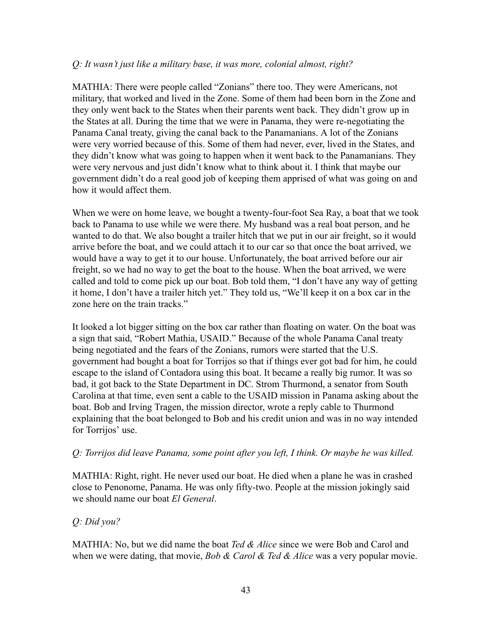### *Q: It wasn't just like a military base, it was more, colonial almost, right?*

MATHIA: There were people called "Zonians" there too. They were Americans, not military, that worked and lived in the Zone. Some of them had been born in the Zone and they only went back to the States when their parents went back. They didn't grow up in the States at all. During the time that we were in Panama, they were re-negotiating the Panama Canal treaty, giving the canal back to the Panamanians. A lot of the Zonians were very worried because of this. Some of them had never, ever, lived in the States, and they didn't know what was going to happen when it went back to the Panamanians. They were very nervous and just didn't know what to think about it. I think that maybe our government didn't do a real good job of keeping them apprised of what was going on and how it would affect them.

When we were on home leave, we bought a twenty-four-foot Sea Ray, a boat that we took back to Panama to use while we were there. My husband was a real boat person, and he wanted to do that. We also bought a trailer hitch that we put in our air freight, so it would arrive before the boat, and we could attach it to our car so that once the boat arrived, we would have a way to get it to our house. Unfortunately, the boat arrived before our air freight, so we had no way to get the boat to the house. When the boat arrived, we were called and told to come pick up our boat. Bob told them, "I don't have any way of getting it home, I don't have a trailer hitch yet." They told us, "We'll keep it on a box car in the zone here on the train tracks."

It looked a lot bigger sitting on the box car rather than floating on water. On the boat was a sign that said, "Robert Mathia, USAID." Because of the whole Panama Canal treaty being negotiated and the fears of the Zonians, rumors were started that the U.S. government had bought a boat for Torrijos so that if things ever got bad for him, he could escape to the island of Contadora using this boat. It became a really big rumor. It was so bad, it got back to the State Department in DC. Strom Thurmond, a senator from South Carolina at that time, even sent a cable to the USAID mission in Panama asking about the boat. Bob and Irving Tragen, the mission director, wrote a reply cable to Thurmond explaining that the boat belonged to Bob and his credit union and was in no way intended for Torrijos' use.

### *Q: Torrijos did leave Panama, some point after you left, I think. Or maybe he was killed.*

MATHIA: Right, right. He never used our boat. He died when a plane he was in crashed close to Penonome, Panama. He was only fifty-two. People at the mission jokingly said we should name our boat *El General*.

# *Q: Did you?*

MATHIA: No, but we did name the boat *Ted & Alice* since we were Bob and Carol and when we were dating, that movie, *Bob & Carol & Ted & Alice* was a very popular movie.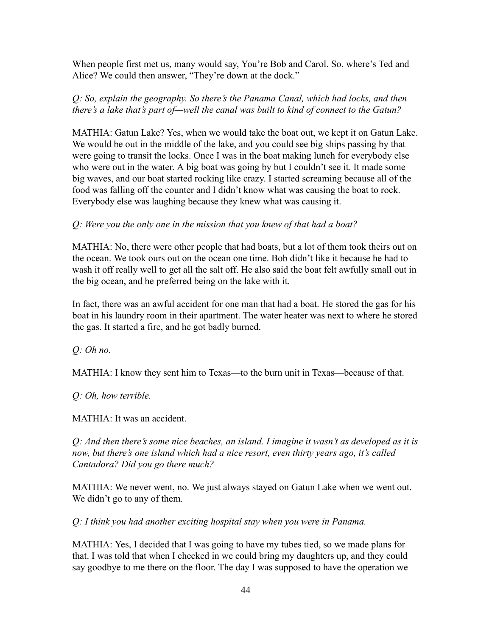When people first met us, many would say, You're Bob and Carol. So, where's Ted and Alice? We could then answer, "They're down at the dock."

# *Q: So, explain the geography. So there's the Panama Canal, which had locks, and then there's a lake that's part of—well the canal was built to kind of connect to the Gatun?*

MATHIA: Gatun Lake? Yes, when we would take the boat out, we kept it on Gatun Lake. We would be out in the middle of the lake, and you could see big ships passing by that were going to transit the locks. Once I was in the boat making lunch for everybody else who were out in the water. A big boat was going by but I couldn't see it. It made some big waves, and our boat started rocking like crazy. I started screaming because all of the food was falling off the counter and I didn't know what was causing the boat to rock. Everybody else was laughing because they knew what was causing it.

# *Q: Were you the only one in the mission that you knew of that had a boat?*

MATHIA: No, there were other people that had boats, but a lot of them took theirs out on the ocean. We took ours out on the ocean one time. Bob didn't like it because he had to wash it off really well to get all the salt off. He also said the boat felt awfully small out in the big ocean, and he preferred being on the lake with it.

In fact, there was an awful accident for one man that had a boat. He stored the gas for his boat in his laundry room in their apartment. The water heater was next to where he stored the gas. It started a fire, and he got badly burned.

*Q: Oh no.*

MATHIA: I know they sent him to Texas—to the burn unit in Texas—because of that.

*Q: Oh, how terrible.*

MATHIA: It was an accident.

*Q: And then there's some nice beaches, an island. I imagine it wasn't as developed as it is now, but there's one island which had a nice resort, even thirty years ago, it's called Cantadora? Did you go there much?*

MATHIA: We never went, no. We just always stayed on Gatun Lake when we went out. We didn't go to any of them.

*Q: I think you had another exciting hospital stay when you were in Panama.*

MATHIA: Yes, I decided that I was going to have my tubes tied, so we made plans for that. I was told that when I checked in we could bring my daughters up, and they could say goodbye to me there on the floor. The day I was supposed to have the operation we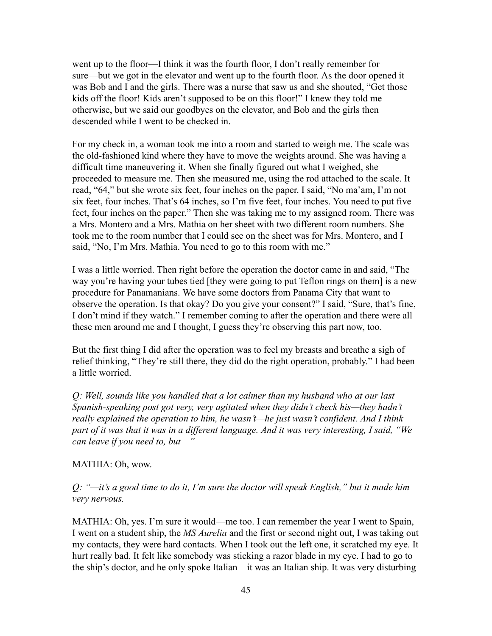went up to the floor—I think it was the fourth floor, I don't really remember for sure—but we got in the elevator and went up to the fourth floor. As the door opened it was Bob and I and the girls. There was a nurse that saw us and she shouted, "Get those kids off the floor! Kids aren't supposed to be on this floor!" I knew they told me otherwise, but we said our goodbyes on the elevator, and Bob and the girls then descended while I went to be checked in.

For my check in, a woman took me into a room and started to weigh me. The scale was the old-fashioned kind where they have to move the weights around. She was having a difficult time maneuvering it. When she finally figured out what I weighed, she proceeded to measure me. Then she measured me, using the rod attached to the scale. It read, "64," but she wrote six feet, four inches on the paper. I said, "No ma'am, I'm not six feet, four inches. That's 64 inches, so I'm five feet, four inches. You need to put five feet, four inches on the paper." Then she was taking me to my assigned room. There was a Mrs. Montero and a Mrs. Mathia on her sheet with two different room numbers. She took me to the room number that I could see on the sheet was for Mrs. Montero, and I said, "No, I'm Mrs. Mathia. You need to go to this room with me."

I was a little worried. Then right before the operation the doctor came in and said, "The way you're having your tubes tied [they were going to put Teflon rings on them] is a new procedure for Panamanians. We have some doctors from Panama City that want to observe the operation. Is that okay? Do you give your consent?" I said, "Sure, that's fine, I don't mind if they watch." I remember coming to after the operation and there were all these men around me and I thought, I guess they're observing this part now, too.

But the first thing I did after the operation was to feel my breasts and breathe a sigh of relief thinking, "They're still there, they did do the right operation, probably." I had been a little worried.

*Q: Well, sounds like you handled that a lot calmer than my husband who at our last Spanish-speaking post got very, very agitated when they didn't check his—they hadn't really explained the operation to him, he wasn't—he just wasn't confident. And I think part of it was that it was in a different language. And it was very interesting, I said, "We can leave if you need to, but—"*

### MATHIA: Oh, wow.

*Q: "—it's a good time to do it, I'm sure the doctor will speak English," but it made him very nervous.*

MATHIA: Oh, yes. I'm sure it would—me too. I can remember the year I went to Spain, I went on a student ship, the *MS Aurelia* and the first or second night out, I was taking out my contacts, they were hard contacts. When I took out the left one, it scratched my eye. It hurt really bad. It felt like somebody was sticking a razor blade in my eye. I had to go to the ship's doctor, and he only spoke Italian—it was an Italian ship. It was very disturbing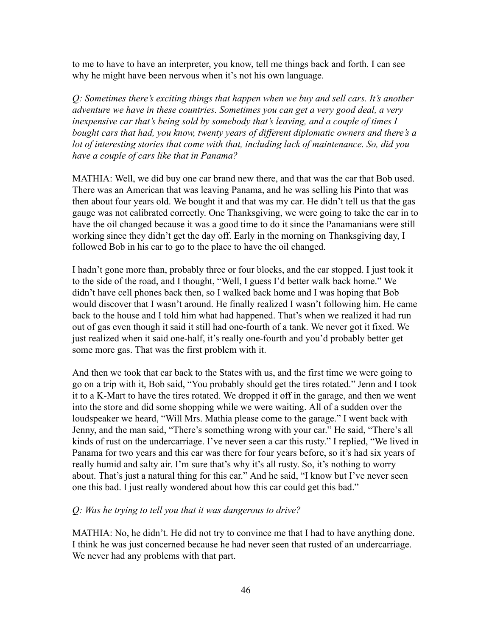to me to have to have an interpreter, you know, tell me things back and forth. I can see why he might have been nervous when it's not his own language.

*Q: Sometimes there's exciting things that happen when we buy and sell cars. It's another adventure we have in these countries. Sometimes you can get a very good deal, a very inexpensive car that's being sold by somebody that's leaving, and a couple of times I bought cars that had, you know, twenty years of different diplomatic owners and there's a lot of interesting stories that come with that, including lack of maintenance. So, did you have a couple of cars like that in Panama?*

MATHIA: Well, we did buy one car brand new there, and that was the car that Bob used. There was an American that was leaving Panama, and he was selling his Pinto that was then about four years old. We bought it and that was my car. He didn't tell us that the gas gauge was not calibrated correctly. One Thanksgiving, we were going to take the car in to have the oil changed because it was a good time to do it since the Panamanians were still working since they didn't get the day off. Early in the morning on Thanksgiving day, I followed Bob in his car to go to the place to have the oil changed.

I hadn't gone more than, probably three or four blocks, and the car stopped. I just took it to the side of the road, and I thought, "Well, I guess I'd better walk back home." We didn't have cell phones back then, so I walked back home and I was hoping that Bob would discover that I wasn't around. He finally realized I wasn't following him. He came back to the house and I told him what had happened. That's when we realized it had run out of gas even though it said it still had one-fourth of a tank. We never got it fixed. We just realized when it said one-half, it's really one-fourth and you'd probably better get some more gas. That was the first problem with it.

And then we took that car back to the States with us, and the first time we were going to go on a trip with it, Bob said, "You probably should get the tires rotated." Jenn and I took it to a K-Mart to have the tires rotated. We dropped it off in the garage, and then we went into the store and did some shopping while we were waiting. All of a sudden over the loudspeaker we heard, "Will Mrs. Mathia please come to the garage." I went back with Jenny, and the man said, "There's something wrong with your car." He said, "There's all kinds of rust on the undercarriage. I've never seen a car this rusty." I replied, "We lived in Panama for two years and this car was there for four years before, so it's had six years of really humid and salty air. I'm sure that's why it's all rusty. So, it's nothing to worry about. That's just a natural thing for this car." And he said, "I know but I've never seen one this bad. I just really wondered about how this car could get this bad."

### *Q: Was he trying to tell you that it was dangerous to drive?*

MATHIA: No, he didn't. He did not try to convince me that I had to have anything done. I think he was just concerned because he had never seen that rusted of an undercarriage. We never had any problems with that part.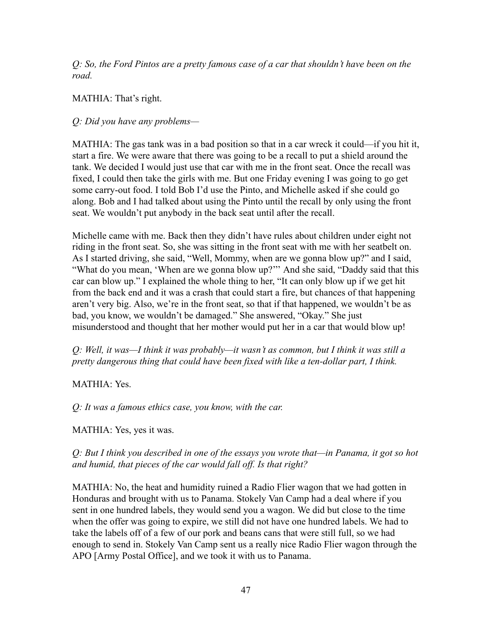*Q: So, the Ford Pintos are a pretty famous case of a car that shouldn't have been on the road.*

# MATHIA: That's right.

# *Q: Did you have any problems—*

MATHIA: The gas tank was in a bad position so that in a car wreck it could—if you hit it, start a fire. We were aware that there was going to be a recall to put a shield around the tank. We decided I would just use that car with me in the front seat. Once the recall was fixed, I could then take the girls with me. But one Friday evening I was going to go get some carry-out food. I told Bob I'd use the Pinto, and Michelle asked if she could go along. Bob and I had talked about using the Pinto until the recall by only using the front seat. We wouldn't put anybody in the back seat until after the recall.

Michelle came with me. Back then they didn't have rules about children under eight not riding in the front seat. So, she was sitting in the front seat with me with her seatbelt on. As I started driving, she said, "Well, Mommy, when are we gonna blow up?" and I said, "What do you mean, 'When are we gonna blow up?''' And she said, "Daddy said that this car can blow up." I explained the whole thing to her, "It can only blow up if we get hit from the back end and it was a crash that could start a fire, but chances of that happening aren't very big. Also, we're in the front seat, so that if that happened, we wouldn't be as bad, you know, we wouldn't be damaged." She answered, "Okay." She just misunderstood and thought that her mother would put her in a car that would blow up!

# *Q: Well, it was—I think it was probably—it wasn't as common, but I think it was still a pretty dangerous thing that could have been fixed with like a ten-dollar part, I think.*

# MATHIA: Yes.

*Q: It was a famous ethics case, you know, with the car.*

# MATHIA: Yes, yes it was.

# *Q: But I think you described in one of the essays you wrote that—in Panama, it got so hot and humid, that pieces of the car would fall off. Is that right?*

MATHIA: No, the heat and humidity ruined a Radio Flier wagon that we had gotten in Honduras and brought with us to Panama. Stokely Van Camp had a deal where if you sent in one hundred labels, they would send you a wagon. We did but close to the time when the offer was going to expire, we still did not have one hundred labels. We had to take the labels off of a few of our pork and beans cans that were still full, so we had enough to send in. Stokely Van Camp sent us a really nice Radio Flier wagon through the APO [Army Postal Office], and we took it with us to Panama.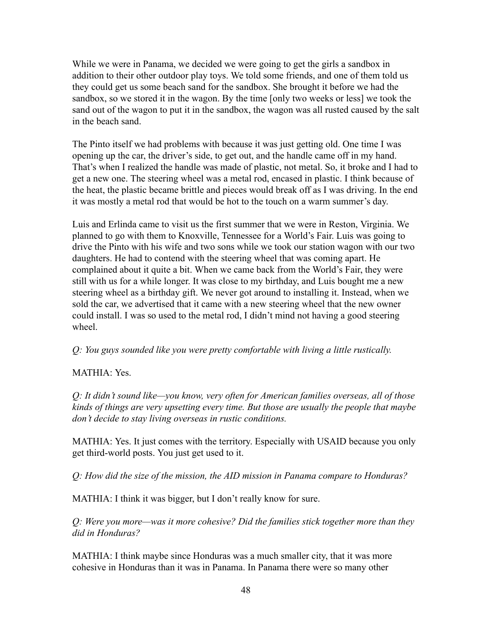While we were in Panama, we decided we were going to get the girls a sandbox in addition to their other outdoor play toys. We told some friends, and one of them told us they could get us some beach sand for the sandbox. She brought it before we had the sandbox, so we stored it in the wagon. By the time [only two weeks or less] we took the sand out of the wagon to put it in the sandbox, the wagon was all rusted caused by the salt in the beach sand.

The Pinto itself we had problems with because it was just getting old. One time I was opening up the car, the driver's side, to get out, and the handle came off in my hand. That's when I realized the handle was made of plastic, not metal. So, it broke and I had to get a new one. The steering wheel was a metal rod, encased in plastic. I think because of the heat, the plastic became brittle and pieces would break off as I was driving. In the end it was mostly a metal rod that would be hot to the touch on a warm summer's day.

Luis and Erlinda came to visit us the first summer that we were in Reston, Virginia. We planned to go with them to Knoxville, Tennessee for a World's Fair. Luis was going to drive the Pinto with his wife and two sons while we took our station wagon with our two daughters. He had to contend with the steering wheel that was coming apart. He complained about it quite a bit. When we came back from the World's Fair, they were still with us for a while longer. It was close to my birthday, and Luis bought me a new steering wheel as a birthday gift. We never got around to installing it. Instead, when we sold the car, we advertised that it came with a new steering wheel that the new owner could install. I was so used to the metal rod, I didn't mind not having a good steering wheel.

*Q: You guys sounded like you were pretty comfortable with living a little rustically.*

# MATHIA: Yes.

*Q: It didn't sound like—you know, very often for American families overseas, all of those kinds of things are very upsetting every time. But those are usually the people that maybe don't decide to stay living overseas in rustic conditions.*

MATHIA: Yes. It just comes with the territory. Especially with USAID because you only get third-world posts. You just get used to it.

*Q: How did the size of the mission, the AID mission in Panama compare to Honduras?*

MATHIA: I think it was bigger, but I don't really know for sure.

*Q: Were you more—was it more cohesive? Did the families stick together more than they did in Honduras?*

MATHIA: I think maybe since Honduras was a much smaller city, that it was more cohesive in Honduras than it was in Panama. In Panama there were so many other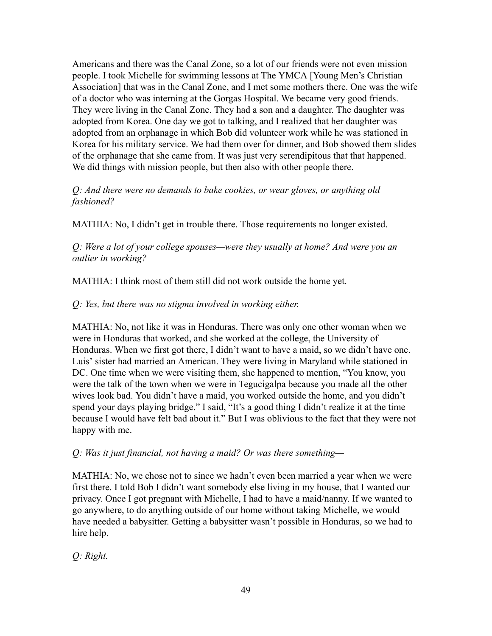Americans and there was the Canal Zone, so a lot of our friends were not even mission people. I took Michelle for swimming lessons at The YMCA [Young Men's Christian Association] that was in the Canal Zone, and I met some mothers there. One was the wife of a doctor who was interning at the Gorgas Hospital. We became very good friends. They were living in the Canal Zone. They had a son and a daughter. The daughter was adopted from Korea. One day we got to talking, and I realized that her daughter was adopted from an orphanage in which Bob did volunteer work while he was stationed in Korea for his military service. We had them over for dinner, and Bob showed them slides of the orphanage that she came from. It was just very serendipitous that that happened. We did things with mission people, but then also with other people there.

### *Q: And there were no demands to bake cookies, or wear gloves, or anything old fashioned?*

MATHIA: No, I didn't get in trouble there. Those requirements no longer existed.

*Q: Were a lot of your college spouses—were they usually at home? And were you an outlier in working?*

MATHIA: I think most of them still did not work outside the home yet.

### *Q: Yes, but there was no stigma involved in working either.*

MATHIA: No, not like it was in Honduras. There was only one other woman when we were in Honduras that worked, and she worked at the college, the University of Honduras. When we first got there, I didn't want to have a maid, so we didn't have one. Luis' sister had married an American. They were living in Maryland while stationed in DC. One time when we were visiting them, she happened to mention, "You know, you were the talk of the town when we were in Tegucigalpa because you made all the other wives look bad. You didn't have a maid, you worked outside the home, and you didn't spend your days playing bridge." I said, "It's a good thing I didn't realize it at the time because I would have felt bad about it." But I was oblivious to the fact that they were not happy with me.

*Q: Was it just financial, not having a maid? Or was there something—*

MATHIA: No, we chose not to since we hadn't even been married a year when we were first there. I told Bob I didn't want somebody else living in my house, that I wanted our privacy. Once I got pregnant with Michelle, I had to have a maid/nanny. If we wanted to go anywhere, to do anything outside of our home without taking Michelle, we would have needed a babysitter. Getting a babysitter wasn't possible in Honduras, so we had to hire help.

*Q: Right.*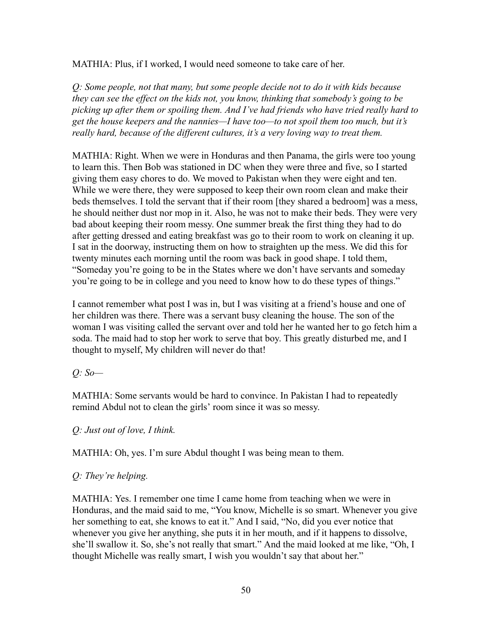MATHIA: Plus, if I worked, I would need someone to take care of her.

*Q: Some people, not that many, but some people decide not to do it with kids because they can see the effect on the kids not, you know, thinking that somebody's going to be picking up after them or spoiling them. And I've had friends who have tried really hard to get the house keepers and the nannies—I have too—to not spoil them too much, but it's really hard, because of the different cultures, it's a very loving way to treat them.*

MATHIA: Right. When we were in Honduras and then Panama, the girls were too young to learn this. Then Bob was stationed in DC when they were three and five, so I started giving them easy chores to do. We moved to Pakistan when they were eight and ten. While we were there, they were supposed to keep their own room clean and make their beds themselves. I told the servant that if their room [they shared a bedroom] was a mess, he should neither dust nor mop in it. Also, he was not to make their beds. They were very bad about keeping their room messy. One summer break the first thing they had to do after getting dressed and eating breakfast was go to their room to work on cleaning it up. I sat in the doorway, instructing them on how to straighten up the mess. We did this for twenty minutes each morning until the room was back in good shape. I told them, "Someday you're going to be in the States where we don't have servants and someday you're going to be in college and you need to know how to do these types of things."

I cannot remember what post I was in, but I was visiting at a friend's house and one of her children was there. There was a servant busy cleaning the house. The son of the woman I was visiting called the servant over and told her he wanted her to go fetch him a soda. The maid had to stop her work to serve that boy. This greatly disturbed me, and I thought to myself, My children will never do that!

*Q: So—*

MATHIA: Some servants would be hard to convince. In Pakistan I had to repeatedly remind Abdul not to clean the girls' room since it was so messy.

# *Q: Just out of love, I think.*

MATHIA: Oh, yes. I'm sure Abdul thought I was being mean to them.

# *Q: They're helping.*

MATHIA: Yes. I remember one time I came home from teaching when we were in Honduras, and the maid said to me, "You know, Michelle is so smart. Whenever you give her something to eat, she knows to eat it." And I said, "No, did you ever notice that whenever you give her anything, she puts it in her mouth, and if it happens to dissolve, she'll swallow it. So, she's not really that smart." And the maid looked at me like, "Oh, I thought Michelle was really smart, I wish you wouldn't say that about her."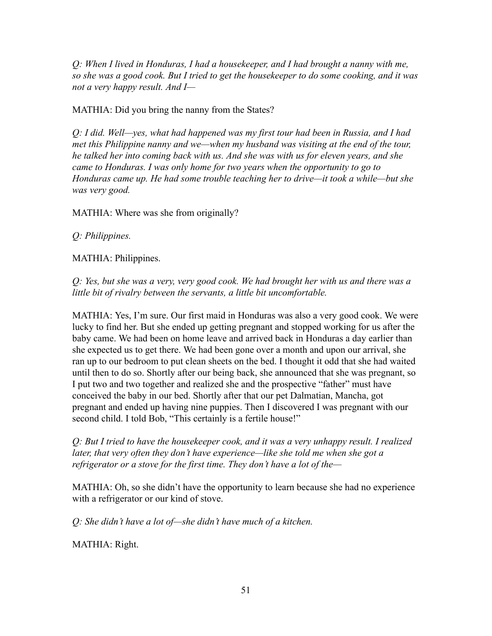*Q: When I lived in Honduras, I had a housekeeper, and I had brought a nanny with me, so she was a good cook. But I tried to get the housekeeper to do some cooking, and it was not a very happy result. And I—*

# MATHIA: Did you bring the nanny from the States?

*Q: I did. Well—yes, what had happened was my first tour had been in Russia, and I had met this Philippine nanny and we—when my husband was visiting at the end of the tour, he talked her into coming back with us. And she was with us for eleven years, and she came to Honduras. I was only home for two years when the opportunity to go to Honduras came up. He had some trouble teaching her to drive—it took a while—but she was very good.*

MATHIA: Where was she from originally?

*Q: Philippines.*

MATHIA: Philippines.

*Q: Yes, but she was a very, very good cook. We had brought her with us and there was a little bit of rivalry between the servants, a little bit uncomfortable.*

MATHIA: Yes, I'm sure. Our first maid in Honduras was also a very good cook. We were lucky to find her. But she ended up getting pregnant and stopped working for us after the baby came. We had been on home leave and arrived back in Honduras a day earlier than she expected us to get there. We had been gone over a month and upon our arrival, she ran up to our bedroom to put clean sheets on the bed. I thought it odd that she had waited until then to do so. Shortly after our being back, she announced that she was pregnant, so I put two and two together and realized she and the prospective "father" must have conceived the baby in our bed. Shortly after that our pet Dalmatian, Mancha, got pregnant and ended up having nine puppies. Then I discovered I was pregnant with our second child. I told Bob, "This certainly is a fertile house!"

*Q: But I tried to have the housekeeper cook, and it was a very unhappy result. I realized later, that very often they don't have experience—like she told me when she got a refrigerator or a stove for the first time. They don't have a lot of the—*

MATHIA: Oh, so she didn't have the opportunity to learn because she had no experience with a refrigerator or our kind of stove.

*Q: She didn't have a lot of—she didn't have much of a kitchen.*

MATHIA: Right.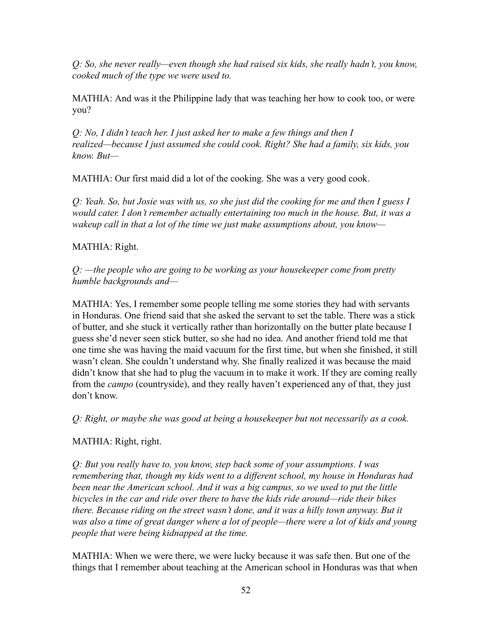*Q: So, she never really—even though she had raised six kids, she really hadn't, you know, cooked much of the type we were used to.*

MATHIA: And was it the Philippine lady that was teaching her how to cook too, or were you?

*Q: No, I didn't teach her. I just asked her to make a few things and then I realized—because I just assumed she could cook. Right? She had a family, six kids, you know. But—*

MATHIA: Our first maid did a lot of the cooking. She was a very good cook.

*Q: Yeah. So, but Josie was with us, so she just did the cooking for me and then I guess I would cater. I don't remember actually entertaining too much in the house. But, it was a wakeup call in that a lot of the time we just make assumptions about, you know—*

# MATHIA: Right.

*Q: —the people who are going to be working as your housekeeper come from pretty humble backgrounds and—*

MATHIA: Yes, I remember some people telling me some stories they had with servants in Honduras. One friend said that she asked the servant to set the table. There was a stick of butter, and she stuck it vertically rather than horizontally on the butter plate because I guess she'd never seen stick butter, so she had no idea. And another friend told me that one time she was having the maid vacuum for the first time, but when she finished, it still wasn't clean. She couldn't understand why. She finally realized it was because the maid didn't know that she had to plug the vacuum in to make it work. If they are coming really from the *campo* (countryside), and they really haven't experienced any of that, they just don't know.

*Q: Right, or maybe she was good at being a housekeeper but not necessarily as a cook.*

# MATHIA: Right, right.

*Q: But you really have to, you know, step back some of your assumptions. I was remembering that, though my kids went to a different school, my house in Honduras had been near the American school. And it was a big campus, so we used to put the little bicycles in the car and ride over there to have the kids ride around—ride their bikes there. Because riding on the street wasn't done, and it was a hilly town anyway. But it was also a time of great danger where a lot of people—there were a lot of kids and young people that were being kidnapped at the time.*

MATHIA: When we were there, we were lucky because it was safe then. But one of the things that I remember about teaching at the American school in Honduras was that when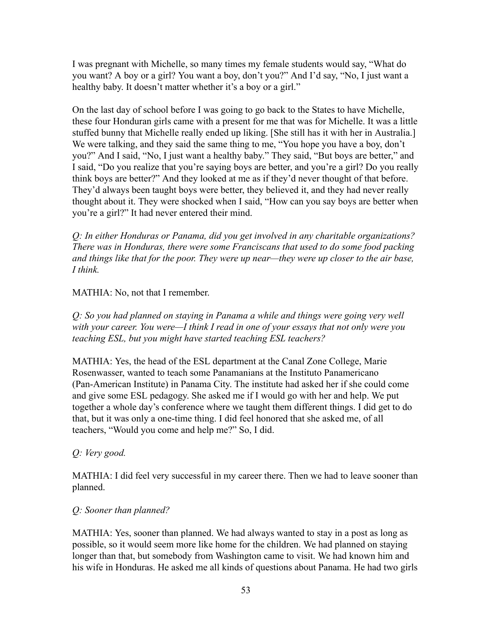I was pregnant with Michelle, so many times my female students would say, "What do you want? A boy or a girl? You want a boy, don't you?" And I'd say, "No, I just want a healthy baby. It doesn't matter whether it's a boy or a girl."

On the last day of school before I was going to go back to the States to have Michelle, these four Honduran girls came with a present for me that was for Michelle. It was a little stuffed bunny that Michelle really ended up liking. [She still has it with her in Australia.] We were talking, and they said the same thing to me, "You hope you have a boy, don't you?" And I said, "No, I just want a healthy baby." They said, "But boys are better," and I said, "Do you realize that you're saying boys are better, and you're a girl? Do you really think boys are better?" And they looked at me as if they'd never thought of that before. They'd always been taught boys were better, they believed it, and they had never really thought about it. They were shocked when I said, "How can you say boys are better when you're a girl?" It had never entered their mind.

*Q: In either Honduras or Panama, did you get involved in any charitable organizations? There was in Honduras, there were some Franciscans that used to do some food packing and things like that for the poor. They were up near—they were up closer to the air base, I think.*

MATHIA: No, not that I remember.

*Q: So you had planned on staying in Panama a while and things were going very well with your career. You were—I think I read in one of your essays that not only were you teaching ESL, but you might have started teaching ESL teachers?*

MATHIA: Yes, the head of the ESL department at the Canal Zone College, Marie Rosenwasser, wanted to teach some Panamanians at the Instituto Panamericano (Pan-American Institute) in Panama City. The institute had asked her if she could come and give some ESL pedagogy. She asked me if I would go with her and help. We put together a whole day's conference where we taught them different things. I did get to do that, but it was only a one-time thing. I did feel honored that she asked me, of all teachers, "Would you come and help me?" So, I did.

# *Q: Very good.*

MATHIA: I did feel very successful in my career there. Then we had to leave sooner than planned.

# *Q: Sooner than planned?*

MATHIA: Yes, sooner than planned. We had always wanted to stay in a post as long as possible, so it would seem more like home for the children. We had planned on staying longer than that, but somebody from Washington came to visit. We had known him and his wife in Honduras. He asked me all kinds of questions about Panama. He had two girls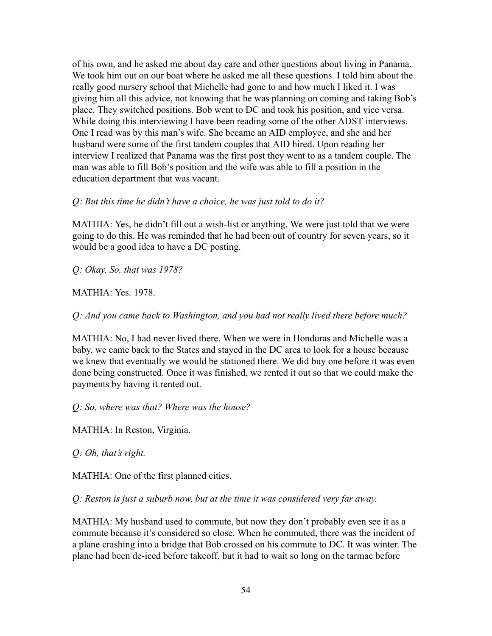of his own, and he asked me about day care and other questions about living in Panama. We took him out on our boat where he asked me all these questions. I told him about the really good nursery school that Michelle had gone to and how much I liked it. I was giving him all this advice, not knowing that he was planning on coming and taking Bob's place. They switched positions. Bob went to DC and took his position, and vice versa. While doing this interviewing I have been reading some of the other ADST interviews. One I read was by this man's wife. She became an AID employee, and she and her husband were some of the first tandem couples that AID hired. Upon reading her interview I realized that Panama was the first post they went to as a tandem couple. The man was able to fill Bob's position and the wife was able to fill a position in the education department that was vacant.

### *Q: But this time he didn't have a choice, he was just told to do it?*

MATHIA: Yes, he didn't fill out a wish-list or anything. We were just told that we were going to do this. He was reminded that he had been out of country for seven years, so it would be a good idea to have a DC posting.

#### *Q: Okay. So, that was 1978?*

#### MATHIA: Yes. 1978.

#### *Q: And you came back to Washington, and you had not really lived there before much?*

MATHIA: No, I had never lived there. When we were in Honduras and Michelle was a baby, we came back to the States and stayed in the DC area to look for a house because we knew that eventually we would be stationed there. We did buy one before it was even done being constructed. Once it was finished, we rented it out so that we could make the payments by having it rented out.

#### *Q: So, where was that? Where was the house?*

MATHIA: In Reston, Virginia.

#### *Q: Oh, that's right.*

#### MATHIA: One of the first planned cities.

#### *Q: Reston is just a suburb now, but at the time it was considered very far away.*

MATHIA: My husband used to commute, but now they don't probably even see it as a commute because it's considered so close. When he commuted, there was the incident of a plane crashing into a bridge that Bob crossed on his commute to DC. It was winter. The plane had been de-iced before takeoff, but it had to wait so long on the tarmac before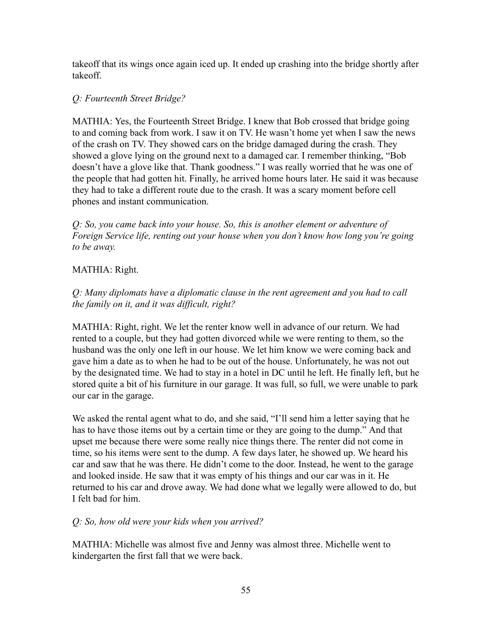takeoff that its wings once again iced up. It ended up crashing into the bridge shortly after takeoff.

# *Q: Fourteenth Street Bridge?*

MATHIA: Yes, the Fourteenth Street Bridge. I knew that Bob crossed that bridge going to and coming back from work. I saw it on TV. He wasn't home yet when I saw the news of the crash on TV. They showed cars on the bridge damaged during the crash. They showed a glove lying on the ground next to a damaged car. I remember thinking, "Bob doesn't have a glove like that. Thank goodness." I was really worried that he was one of the people that had gotten hit. Finally, he arrived home hours later. He said it was because they had to take a different route due to the crash. It was a scary moment before cell phones and instant communication.

*Q: So, you came back into your house. So, this is another element or adventure of Foreign Service life, renting out your house when you don't know how long you're going to be away.*

# MATHIA: Right.

*Q: Many diplomats have a diplomatic clause in the rent agreement and you had to call the family on it, and it was difficult, right?*

MATHIA: Right, right. We let the renter know well in advance of our return. We had rented to a couple, but they had gotten divorced while we were renting to them, so the husband was the only one left in our house. We let him know we were coming back and gave him a date as to when he had to be out of the house. Unfortunately, he was not out by the designated time. We had to stay in a hotel in DC until he left. He finally left, but he stored quite a bit of his furniture in our garage. It was full, so full, we were unable to park our car in the garage.

We asked the rental agent what to do, and she said, "I'll send him a letter saying that he has to have those items out by a certain time or they are going to the dump." And that upset me because there were some really nice things there. The renter did not come in time, so his items were sent to the dump. A few days later, he showed up. We heard his car and saw that he was there. He didn't come to the door. Instead, he went to the garage and looked inside. He saw that it was empty of his things and our car was in it. He returned to his car and drove away. We had done what we legally were allowed to do, but I felt bad for him.

# *Q: So, how old were your kids when you arrived?*

MATHIA: Michelle was almost five and Jenny was almost three. Michelle went to kindergarten the first fall that we were back.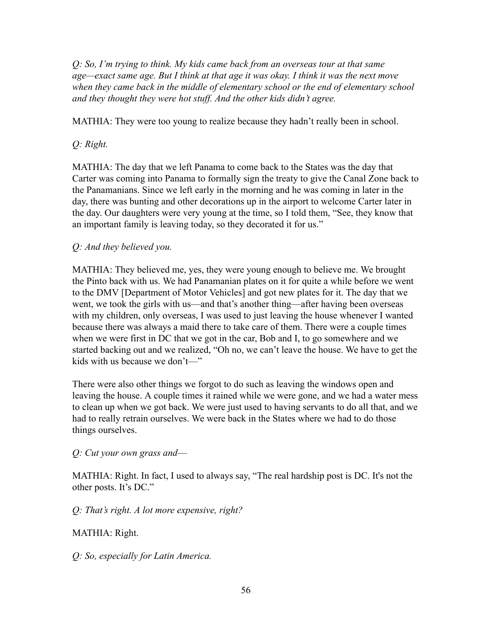*Q: So, I'm trying to think. My kids came back from an overseas tour at that same age—exact same age. But I think at that age it was okay. I think it was the next move when they came back in the middle of elementary school or the end of elementary school and they thought they were hot stuff. And the other kids didn't agree.*

MATHIA: They were too young to realize because they hadn't really been in school.

# *Q: Right.*

MATHIA: The day that we left Panama to come back to the States was the day that Carter was coming into Panama to formally sign the treaty to give the Canal Zone back to the Panamanians. Since we left early in the morning and he was coming in later in the day, there was bunting and other decorations up in the airport to welcome Carter later in the day. Our daughters were very young at the time, so I told them, "See, they know that an important family is leaving today, so they decorated it for us."

# *Q: And they believed you.*

MATHIA: They believed me, yes, they were young enough to believe me. We brought the Pinto back with us. We had Panamanian plates on it for quite a while before we went to the DMV [Department of Motor Vehicles] and got new plates for it. The day that we went, we took the girls with us—and that's another thing—after having been overseas with my children, only overseas, I was used to just leaving the house whenever I wanted because there was always a maid there to take care of them. There were a couple times when we were first in DC that we got in the car, Bob and I, to go somewhere and we started backing out and we realized, "Oh no, we can't leave the house. We have to get the kids with us because we don't—"

There were also other things we forgot to do such as leaving the windows open and leaving the house. A couple times it rained while we were gone, and we had a water mess to clean up when we got back. We were just used to having servants to do all that, and we had to really retrain ourselves. We were back in the States where we had to do those things ourselves.

*Q: Cut your own grass and––*

MATHIA: Right. In fact, I used to always say, "The real hardship post is DC. It's not the other posts. It's DC."

*Q: That's right. A lot more expensive, right?*

# MATHIA: Right.

*Q: So, especially for Latin America.*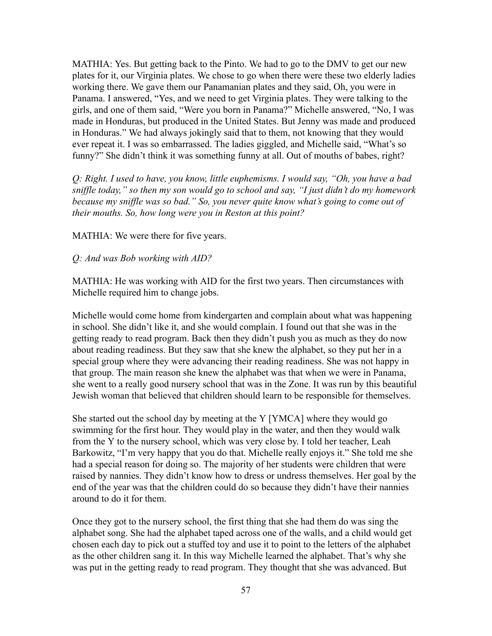MATHIA: Yes. But getting back to the Pinto. We had to go to the DMV to get our new plates for it, our Virginia plates. We chose to go when there were these two elderly ladies working there. We gave them our Panamanian plates and they said, Oh, you were in Panama. I answered, "Yes, and we need to get Virginia plates. They were talking to the girls, and one of them said, "Were you born in Panama?" Michelle answered, "No, I was made in Honduras, but produced in the United States. But Jenny was made and produced in Honduras." We had always jokingly said that to them, not knowing that they would ever repeat it. I was so embarrassed. The ladies giggled, and Michelle said, "What's so funny?" She didn't think it was something funny at all. Out of mouths of babes, right?

*Q: Right. I used to have, you know, little euphemisms. I would say, "Oh, you have a bad sniffle today," so then my son would go to school and say, "I just didn't do my homework because my sniffle was so bad." So, you never quite know what's going to come out of their mouths. So, how long were you in Reston at this point?*

MATHIA: We were there for five years.

*Q: And was Bob working with AID?*

MATHIA: He was working with AID for the first two years. Then circumstances with Michelle required him to change jobs.

Michelle would come home from kindergarten and complain about what was happening in school. She didn't like it, and she would complain. I found out that she was in the getting ready to read program. Back then they didn't push you as much as they do now about reading readiness. But they saw that she knew the alphabet, so they put her in a special group where they were advancing their reading readiness. She was not happy in that group. The main reason she knew the alphabet was that when we were in Panama, she went to a really good nursery school that was in the Zone. It was run by this beautiful Jewish woman that believed that children should learn to be responsible for themselves.

She started out the school day by meeting at the Y [YMCA] where they would go swimming for the first hour. They would play in the water, and then they would walk from the Y to the nursery school, which was very close by. I told her teacher, Leah Barkowitz, "I'm very happy that you do that. Michelle really enjoys it." She told me she had a special reason for doing so. The majority of her students were children that were raised by nannies. They didn't know how to dress or undress themselves. Her goal by the end of the year was that the children could do so because they didn't have their nannies around to do it for them.

Once they got to the nursery school, the first thing that she had them do was sing the alphabet song. She had the alphabet taped across one of the walls, and a child would get chosen each day to pick out a stuffed toy and use it to point to the letters of the alphabet as the other children sang it. In this way Michelle learned the alphabet. That's why she was put in the getting ready to read program. They thought that she was advanced. But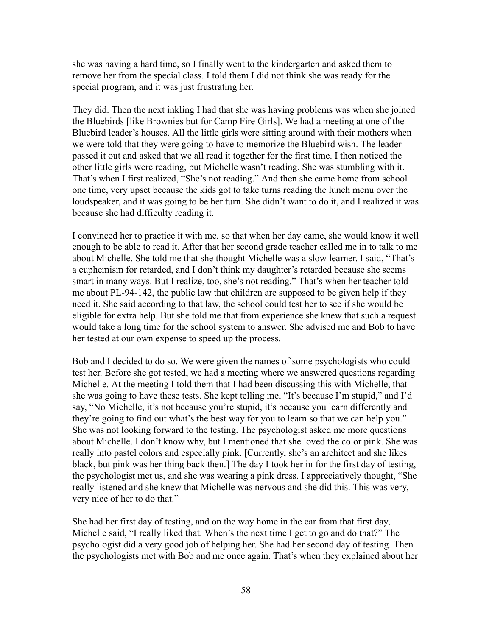she was having a hard time, so I finally went to the kindergarten and asked them to remove her from the special class. I told them I did not think she was ready for the special program, and it was just frustrating her.

They did. Then the next inkling I had that she was having problems was when she joined the Bluebirds [like Brownies but for Camp Fire Girls]. We had a meeting at one of the Bluebird leader's houses. All the little girls were sitting around with their mothers when we were told that they were going to have to memorize the Bluebird wish. The leader passed it out and asked that we all read it together for the first time. I then noticed the other little girls were reading, but Michelle wasn't reading. She was stumbling with it. That's when I first realized, "She's not reading." And then she came home from school one time, very upset because the kids got to take turns reading the lunch menu over the loudspeaker, and it was going to be her turn. She didn't want to do it, and I realized it was because she had difficulty reading it.

I convinced her to practice it with me, so that when her day came, she would know it well enough to be able to read it. After that her second grade teacher called me in to talk to me about Michelle. She told me that she thought Michelle was a slow learner. I said, "That's a euphemism for retarded, and I don't think my daughter's retarded because she seems smart in many ways. But I realize, too, she's not reading." That's when her teacher told me about PL-94-142, the public law that children are supposed to be given help if they need it. She said according to that law, the school could test her to see if she would be eligible for extra help. But she told me that from experience she knew that such a request would take a long time for the school system to answer. She advised me and Bob to have her tested at our own expense to speed up the process.

Bob and I decided to do so. We were given the names of some psychologists who could test her. Before she got tested, we had a meeting where we answered questions regarding Michelle. At the meeting I told them that I had been discussing this with Michelle, that she was going to have these tests. She kept telling me, "It's because I'm stupid," and I'd say, "No Michelle, it's not because you're stupid, it's because you learn differently and they're going to find out what's the best way for you to learn so that we can help you." She was not looking forward to the testing. The psychologist asked me more questions about Michelle. I don't know why, but I mentioned that she loved the color pink. She was really into pastel colors and especially pink. [Currently, she's an architect and she likes black, but pink was her thing back then.] The day I took her in for the first day of testing, the psychologist met us, and she was wearing a pink dress. I appreciatively thought, "She really listened and she knew that Michelle was nervous and she did this. This was very, very nice of her to do that."

She had her first day of testing, and on the way home in the car from that first day, Michelle said, "I really liked that. When's the next time I get to go and do that?" The psychologist did a very good job of helping her. She had her second day of testing. Then the psychologists met with Bob and me once again. That's when they explained about her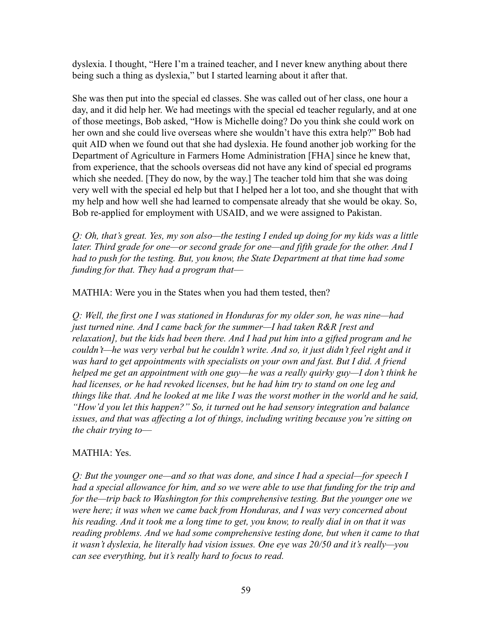dyslexia. I thought, "Here I'm a trained teacher, and I never knew anything about there being such a thing as dyslexia," but I started learning about it after that.

She was then put into the special ed classes. She was called out of her class, one hour a day, and it did help her. We had meetings with the special ed teacher regularly, and at one of those meetings, Bob asked, "How is Michelle doing? Do you think she could work on her own and she could live overseas where she wouldn't have this extra help?" Bob had quit AID when we found out that she had dyslexia. He found another job working for the Department of Agriculture in Farmers Home Administration [FHA] since he knew that, from experience, that the schools overseas did not have any kind of special ed programs which she needed. [They do now, by the way.] The teacher told him that she was doing very well with the special ed help but that I helped her a lot too, and she thought that with my help and how well she had learned to compensate already that she would be okay. So, Bob re-applied for employment with USAID, and we were assigned to Pakistan.

*Q: Oh, that's great. Yes, my son also—the testing I ended up doing for my kids was a little later. Third grade for one—or second grade for one—and fifth grade for the other. And I had to push for the testing. But, you know, the State Department at that time had some funding for that. They had a program that––*

MATHIA: Were you in the States when you had them tested, then?

*Q: Well, the first one I was stationed in Honduras for my older son, he was nine—had just turned nine. And I came back for the summer—I had taken R&R [rest and relaxation], but the kids had been there. And I had put him into a gifted program and he couldn't—he was very verbal but he couldn't write. And so, it just didn't feel right and it was hard to get appointments with specialists on your own and fast. But I did. A friend helped me get an appointment with one guy—he was a really quirky guy—I don't think he had licenses, or he had revoked licenses, but he had him try to stand on one leg and things like that. And he looked at me like I was the worst mother in the world and he said, "How'd you let this happen?" So, it turned out he had sensory integration and balance issues, and that was affecting a lot of things, including writing because you're sitting on the chair trying to––*

# MATHIA: Yes.

*Q: But the younger one—and so that was done, and since I had a special—for speech I had a special allowance for him, and so we were able to use that funding for the trip and for the—trip back to Washington for this comprehensive testing. But the younger one we were here; it was when we came back from Honduras, and I was very concerned about his reading. And it took me a long time to get, you know, to really dial in on that it was reading problems. And we had some comprehensive testing done, but when it came to that it wasn't dyslexia, he literally had vision issues. One eye was 20/50 and it's really—you can see everything, but it's really hard to focus to read.*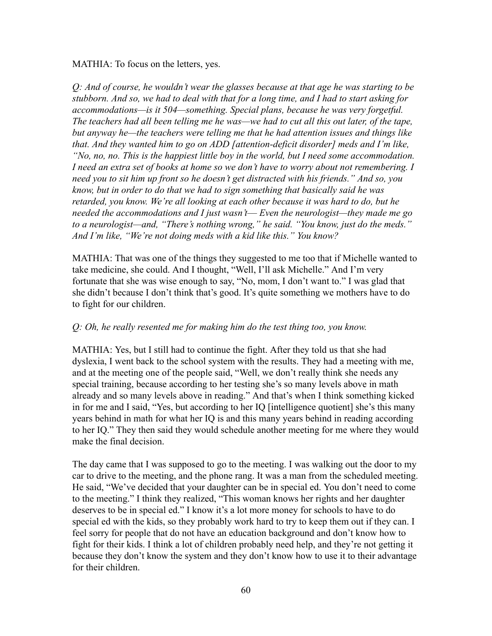MATHIA: To focus on the letters, yes.

*Q: And of course, he wouldn't wear the glasses because at that age he was starting to be stubborn. And so, we had to deal with that for a long time, and I had to start asking for accommodations—is it 504—something. Special plans, because he was very forgetful. The teachers had all been telling me he was—we had to cut all this out later, of the tape, but anyway he—the teachers were telling me that he had attention issues and things like that. And they wanted him to go on ADD [attention-deficit disorder] meds and I'm like, "No, no, no. This is the happiest little boy in the world, but I need some accommodation. I need an extra set of books at home so we don't have to worry about not remembering. I need you to sit him up front so he doesn't get distracted with his friends." And so, you know, but in order to do that we had to sign something that basically said he was retarded, you know. We're all looking at each other because it was hard to do, but he needed the accommodations and I just wasn't–– Even the neurologist—they made me go to a neurologist—and, "There's nothing wrong," he said. "You know, just do the meds." And I'm like, "We're not doing meds with a kid like this." You know?*

MATHIA: That was one of the things they suggested to me too that if Michelle wanted to take medicine, she could. And I thought, "Well, I'll ask Michelle." And I'm very fortunate that she was wise enough to say, "No, mom, I don't want to." I was glad that she didn't because I don't think that's good. It's quite something we mothers have to do to fight for our children.

### *Q: Oh, he really resented me for making him do the test thing too, you know.*

MATHIA: Yes, but I still had to continue the fight. After they told us that she had dyslexia, I went back to the school system with the results. They had a meeting with me, and at the meeting one of the people said, "Well, we don't really think she needs any special training, because according to her testing she's so many levels above in math already and so many levels above in reading." And that's when I think something kicked in for me and I said, "Yes, but according to her IQ [intelligence quotient] she's this many years behind in math for what her IQ is and this many years behind in reading according to her IQ." They then said they would schedule another meeting for me where they would make the final decision.

The day came that I was supposed to go to the meeting. I was walking out the door to my car to drive to the meeting, and the phone rang. It was a man from the scheduled meeting. He said, "We've decided that your daughter can be in special ed. You don't need to come to the meeting." I think they realized, "This woman knows her rights and her daughter deserves to be in special ed." I know it's a lot more money for schools to have to do special ed with the kids, so they probably work hard to try to keep them out if they can. I feel sorry for people that do not have an education background and don't know how to fight for their kids. I think a lot of children probably need help, and they're not getting it because they don't know the system and they don't know how to use it to their advantage for their children.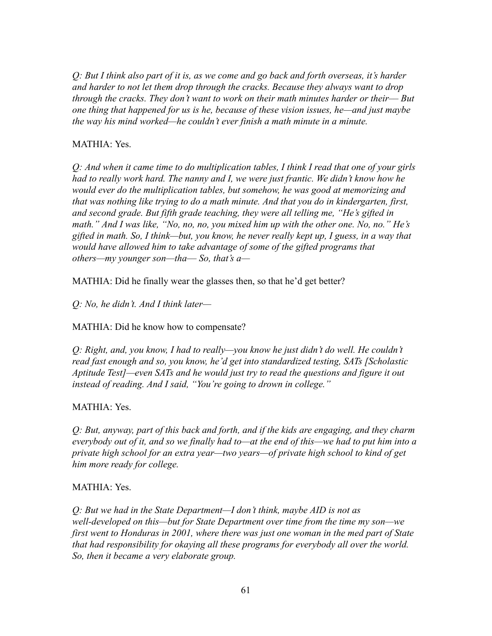*Q: But I think also part of it is, as we come and go back and forth overseas, it's harder and harder to not let them drop through the cracks. Because they always want to drop through the cracks. They don't want to work on their math minutes harder or their–– But one thing that happened for us is he, because of these vision issues, he—and just maybe the way his mind worked—he couldn't ever finish a math minute in a minute.*

### MATHIA: Yes.

*Q: And when it came time to do multiplication tables, I think I read that one of your girls had to really work hard. The nanny and I, we were just frantic. We didn't know how he would ever do the multiplication tables, but somehow, he was good at memorizing and that was nothing like trying to do a math minute. And that you do in kindergarten, first, and second grade. But fifth grade teaching, they were all telling me, "He's gifted in math." And I was like, "No, no, no, you mixed him up with the other one. No, no." He's gifted in math. So, I think—but, you know, he never really kept up, I guess, in a way that would have allowed him to take advantage of some of the gifted programs that others—my younger son—tha–– So, that's a—*

MATHIA: Did he finally wear the glasses then, so that he'd get better?

*Q: No, he didn't. And I think later—*

MATHIA: Did he know how to compensate?

*Q: Right, and, you know, I had to really—you know he just didn't do well. He couldn't read fast enough and so, you know, he'd get into standardized testing, SATs [Scholastic Aptitude Test]—even SATs and he would just try to read the questions and figure it out instead of reading. And I said, "You're going to drown in college."*

# MATHIA: Yes.

*Q: But, anyway, part of this back and forth, and if the kids are engaging, and they charm everybody out of it, and so we finally had to—at the end of this—we had to put him into a private high school for an extra year—two years—of private high school to kind of get him more ready for college.*

### MATHIA: Yes.

*Q: But we had in the State Department—I don't think, maybe AID is not as well-developed on this—but for State Department over time from the time my son—we first went to Honduras in 2001, where there was just one woman in the med part of State that had responsibility for okaying all these programs for everybody all over the world. So, then it became a very elaborate group.*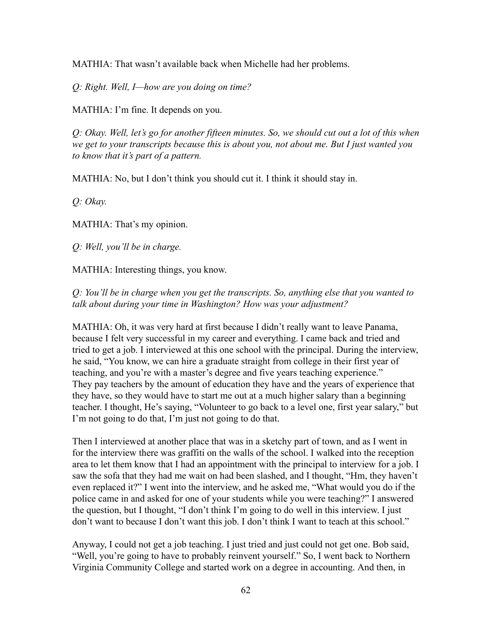MATHIA: That wasn't available back when Michelle had her problems.

*Q: Right. Well, I—how are you doing on time?*

MATHIA: I'm fine. It depends on you.

*Q: Okay. Well, let's go for another fifteen minutes. So, we should cut out a lot of this when we get to your transcripts because this is about you, not about me. But I just wanted you to know that it's part of a pattern.*

MATHIA: No, but I don't think you should cut it. I think it should stay in.

*Q: Okay.*

MATHIA: That's my opinion.

*Q: Well, you'll be in charge.*

MATHIA: Interesting things, you know.

*Q: You'll be in charge when you get the transcripts. So, anything else that you wanted to talk about during your time in Washington? How was your adjustment?*

MATHIA: Oh, it was very hard at first because I didn't really want to leave Panama, because I felt very successful in my career and everything. I came back and tried and tried to get a job. I interviewed at this one school with the principal. During the interview, he said, "You know, we can hire a graduate straight from college in their first year of teaching, and you're with a master's degree and five years teaching experience." They pay teachers by the amount of education they have and the years of experience that they have, so they would have to start me out at a much higher salary than a beginning teacher. I thought, He's saying, "Volunteer to go back to a level one, first year salary," but I'm not going to do that, I'm just not going to do that.

Then I interviewed at another place that was in a sketchy part of town, and as I went in for the interview there was graffiti on the walls of the school. I walked into the reception area to let them know that I had an appointment with the principal to interview for a job. I saw the sofa that they had me wait on had been slashed, and I thought, "Hm, they haven't even replaced it?" I went into the interview, and he asked me, "What would you do if the police came in and asked for one of your students while you were teaching?" I answered the question, but I thought, "I don't think I'm going to do well in this interview. I just don't want to because I don't want this job. I don't think I want to teach at this school."

Anyway, I could not get a job teaching. I just tried and just could not get one. Bob said, "Well, you're going to have to probably reinvent yourself." So, I went back to Northern Virginia Community College and started work on a degree in accounting. And then, in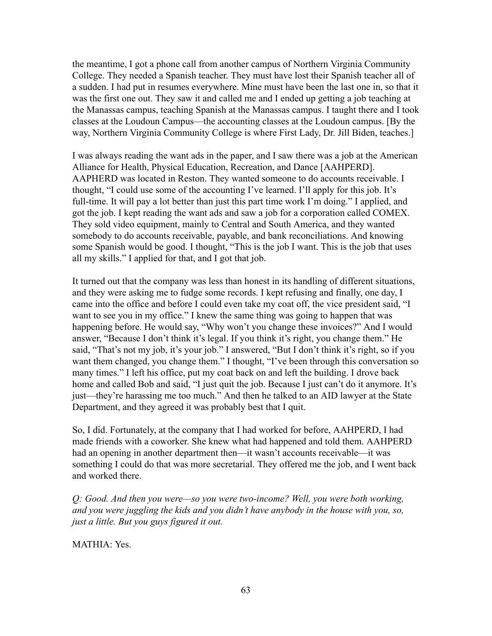the meantime, I got a phone call from another campus of Northern Virginia Community College. They needed a Spanish teacher. They must have lost their Spanish teacher all of a sudden. I had put in resumes everywhere. Mine must have been the last one in, so that it was the first one out. They saw it and called me and I ended up getting a job teaching at the Manassas campus, teaching Spanish at the Manassas campus. I taught there and I took classes at the Loudoun Campus—the accounting classes at the Loudoun campus. [By the way, Northern Virginia Community College is where First Lady, Dr. Jill Biden, teaches.]

I was always reading the want ads in the paper, and I saw there was a job at the American Alliance for Health, Physical Education, Recreation, and Dance [AAHPERD]. AAPHERD was located in Reston. They wanted someone to do accounts receivable. I thought, "I could use some of the accounting I've learned. I'll apply for this job. It's full-time. It will pay a lot better than just this part time work I'm doing." I applied, and got the job. I kept reading the want ads and saw a job for a corporation called COMEX. They sold video equipment, mainly to Central and South America, and they wanted somebody to do accounts receivable, payable, and bank reconciliations. And knowing some Spanish would be good. I thought, "This is the job I want. This is the job that uses all my skills." I applied for that, and I got that job.

It turned out that the company was less than honest in its handling of different situations, and they were asking me to fudge some records. I kept refusing and finally, one day, I came into the office and before I could even take my coat off, the vice president said, "I want to see you in my office." I knew the same thing was going to happen that was happening before. He would say, "Why won't you change these invoices?" And I would answer, "Because I don't think it's legal. If you think it's right, you change them." He said, "That's not my job, it's your job." I answered, "But I don't think it's right, so if you want them changed, you change them." I thought, "I've been through this conversation so many times." I left his office, put my coat back on and left the building. I drove back home and called Bob and said, "I just quit the job. Because I just can't do it anymore. It's just—they're harassing me too much." And then he talked to an AID lawyer at the State Department, and they agreed it was probably best that I quit.

So, I did. Fortunately, at the company that I had worked for before, AAHPERD, I had made friends with a coworker. She knew what had happened and told them. AAHPERD had an opening in another department then—it wasn't accounts receivable—it was something I could do that was more secretarial. They offered me the job, and I went back and worked there.

*Q: Good. And then you were—so you were two-income? Well, you were both working, and you were juggling the kids and you didn't have anybody in the house with you, so, just a little. But you guys figured it out.*

MATHIA: Yes.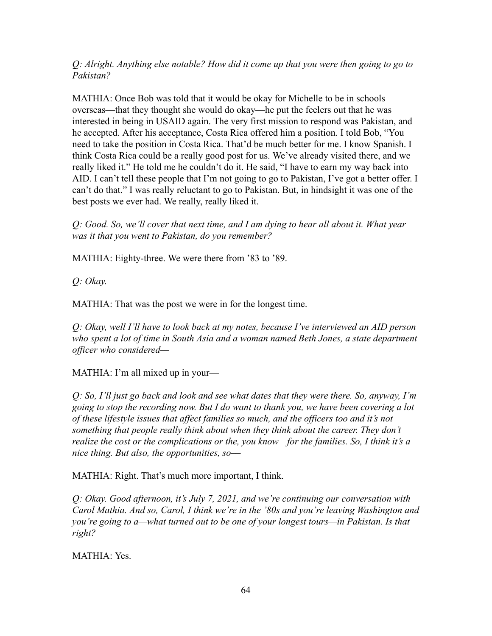*Q: Alright. Anything else notable? How did it come up that you were then going to go to Pakistan?*

MATHIA: Once Bob was told that it would be okay for Michelle to be in schools overseas—that they thought she would do okay—he put the feelers out that he was interested in being in USAID again. The very first mission to respond was Pakistan, and he accepted. After his acceptance, Costa Rica offered him a position. I told Bob, "You need to take the position in Costa Rica. That'd be much better for me. I know Spanish. I think Costa Rica could be a really good post for us. We've already visited there, and we really liked it." He told me he couldn't do it. He said, "I have to earn my way back into AID. I can't tell these people that I'm not going to go to Pakistan, I've got a better offer. I can't do that." I was really reluctant to go to Pakistan. But, in hindsight it was one of the best posts we ever had. We really, really liked it.

*Q: Good. So, we'll cover that next time, and I am dying to hear all about it. What year was it that you went to Pakistan, do you remember?*

MATHIA: Eighty-three. We were there from '83 to '89.

*Q: Okay.*

MATHIA: That was the post we were in for the longest time.

*Q: Okay, well I'll have to look back at my notes, because I've interviewed an AID person who spent a lot of time in South Asia and a woman named Beth Jones, a state department officer who considered—*

 $MATHIA: I'm$  all mixed up in your—

*Q: So, I'll just go back and look and see what dates that they were there. So, anyway, I'm going to stop the recording now. But I do want to thank you, we have been covering a lot of these lifestyle issues that affect families so much, and the officers too and it's not something that people really think about when they think about the career. They don't realize the cost or the complications or the, you know—for the families. So, I think it's a nice thing. But also, the opportunities, so––*

MATHIA: Right. That's much more important, I think.

*Q: Okay. Good afternoon, it's July 7, 2021, and we're continuing our conversation with Carol Mathia. And so, Carol, I think we're in the '80s and you're leaving Washington and you're going to a—what turned out to be one of your longest tours—in Pakistan. Is that right?*

MATHIA: Yes.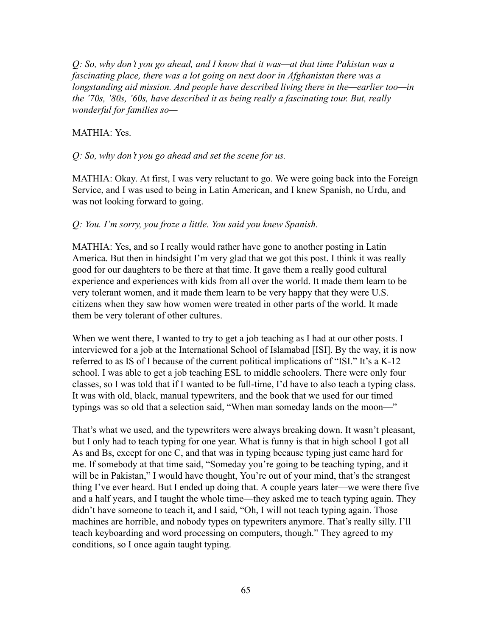*Q: So, why don't you go ahead, and I know that it was—at that time Pakistan was a fascinating place, there was a lot going on next door in Afghanistan there was a longstanding aid mission. And people have described living there in the—earlier too—in the '70s, '80s, '60s, have described it as being really a fascinating tour. But, really wonderful for families so—*

#### MATHIA: Yes.

#### *Q: So, why don't you go ahead and set the scene for us.*

MATHIA: Okay. At first, I was very reluctant to go. We were going back into the Foreign Service, and I was used to being in Latin American, and I knew Spanish, no Urdu, and was not looking forward to going.

#### *Q: You. I'm sorry, you froze a little. You said you knew Spanish.*

MATHIA: Yes, and so I really would rather have gone to another posting in Latin America. But then in hindsight I'm very glad that we got this post. I think it was really good for our daughters to be there at that time. It gave them a really good cultural experience and experiences with kids from all over the world. It made them learn to be very tolerant women, and it made them learn to be very happy that they were U.S. citizens when they saw how women were treated in other parts of the world. It made them be very tolerant of other cultures.

When we went there, I wanted to try to get a job teaching as I had at our other posts. I interviewed for a job at the International School of Islamabad [ISI]. By the way, it is now referred to as IS of I because of the current political implications of "ISI." It's a K-12 school. I was able to get a job teaching ESL to middle schoolers. There were only four classes, so I was told that if I wanted to be full-time, I'd have to also teach a typing class. It was with old, black, manual typewriters, and the book that we used for our timed typings was so old that a selection said, "When man someday lands on the moon-"

That's what we used, and the typewriters were always breaking down. It wasn't pleasant, but I only had to teach typing for one year. What is funny is that in high school I got all As and Bs, except for one C, and that was in typing because typing just came hard for me. If somebody at that time said, "Someday you're going to be teaching typing, and it will be in Pakistan," I would have thought, You're out of your mind, that's the strangest thing I've ever heard. But I ended up doing that. A couple years later—we were there five and a half years, and I taught the whole time—they asked me to teach typing again. They didn't have someone to teach it, and I said, "Oh, I will not teach typing again. Those machines are horrible, and nobody types on typewriters anymore. That's really silly. I'll teach keyboarding and word processing on computers, though." They agreed to my conditions, so I once again taught typing.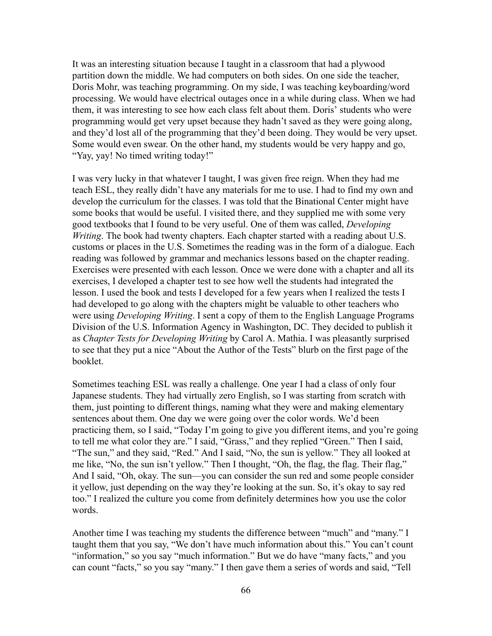It was an interesting situation because I taught in a classroom that had a plywood partition down the middle. We had computers on both sides. On one side the teacher, Doris Mohr, was teaching programming. On my side, I was teaching keyboarding/word processing. We would have electrical outages once in a while during class. When we had them, it was interesting to see how each class felt about them. Doris' students who were programming would get very upset because they hadn't saved as they were going along, and they'd lost all of the programming that they'd been doing. They would be very upset. Some would even swear. On the other hand, my students would be very happy and go, "Yay, yay! No timed writing today!"

I was very lucky in that whatever I taught, I was given free reign. When they had me teach ESL, they really didn't have any materials for me to use. I had to find my own and develop the curriculum for the classes. I was told that the Binational Center might have some books that would be useful. I visited there, and they supplied me with some very good textbooks that I found to be very useful. One of them was called, *Developing Writing*. The book had twenty chapters. Each chapter started with a reading about U.S. customs or places in the U.S. Sometimes the reading was in the form of a dialogue. Each reading was followed by grammar and mechanics lessons based on the chapter reading. Exercises were presented with each lesson. Once we were done with a chapter and all its exercises, I developed a chapter test to see how well the students had integrated the lesson. I used the book and tests I developed for a few years when I realized the tests I had developed to go along with the chapters might be valuable to other teachers who were using *Developing Writing*. I sent a copy of them to the English Language Programs Division of the U.S. Information Agency in Washington, DC. They decided to publish it as *Chapter Tests for Developing Writing* by Carol A. Mathia. I was pleasantly surprised to see that they put a nice "About the Author of the Tests" blurb on the first page of the booklet.

Sometimes teaching ESL was really a challenge. One year I had a class of only four Japanese students. They had virtually zero English, so I was starting from scratch with them, just pointing to different things, naming what they were and making elementary sentences about them. One day we were going over the color words. We'd been practicing them, so I said, "Today I'm going to give you different items, and you're going to tell me what color they are." I said, "Grass," and they replied "Green." Then I said, "The sun," and they said, "Red." And I said, "No, the sun is yellow." They all looked at me like, "No, the sun isn't yellow." Then I thought, "Oh, the flag, the flag. Their flag," And I said, "Oh, okay. The sun—you can consider the sun red and some people consider it yellow, just depending on the way they're looking at the sun. So, it's okay to say red too." I realized the culture you come from definitely determines how you use the color words.

Another time I was teaching my students the difference between "much" and "many." I taught them that you say, "We don't have much information about this." You can't count "information," so you say "much information." But we do have "many facts," and you can count "facts," so you say "many." I then gave them a series of words and said, "Tell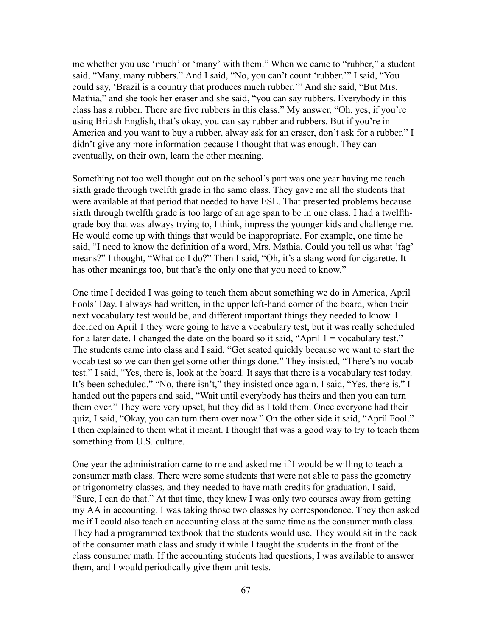me whether you use 'much' or 'many' with them." When we came to "rubber," a student said, "Many, many rubbers." And I said, "No, you can't count 'rubber.'" I said, "You could say, 'Brazil is a country that produces much rubber.'" And she said, "But Mrs. Mathia," and she took her eraser and she said, "you can say rubbers. Everybody in this class has a rubber. There are five rubbers in this class." My answer, "Oh, yes, if you're using British English, that's okay, you can say rubber and rubbers. But if you're in America and you want to buy a rubber, alway ask for an eraser, don't ask for a rubber." I didn't give any more information because I thought that was enough. They can eventually, on their own, learn the other meaning.

Something not too well thought out on the school's part was one year having me teach sixth grade through twelfth grade in the same class. They gave me all the students that were available at that period that needed to have ESL. That presented problems because sixth through twelfth grade is too large of an age span to be in one class. I had a twelfthgrade boy that was always trying to, I think, impress the younger kids and challenge me. He would come up with things that would be inappropriate. For example, one time he said, "I need to know the definition of a word, Mrs. Mathia. Could you tell us what 'fag' means?" I thought, "What do I do?" Then I said, "Oh, it's a slang word for cigarette. It has other meanings too, but that's the only one that you need to know."

One time I decided I was going to teach them about something we do in America, April Fools' Day. I always had written, in the upper left-hand corner of the board, when their next vocabulary test would be, and different important things they needed to know. I decided on April 1 they were going to have a vocabulary test, but it was really scheduled for a later date. I changed the date on the board so it said, "April  $1 =$  vocabulary test." The students came into class and I said, "Get seated quickly because we want to start the vocab test so we can then get some other things done." They insisted, "There's no vocab test." I said, "Yes, there is, look at the board. It says that there is a vocabulary test today. It's been scheduled." "No, there isn't," they insisted once again. I said, "Yes, there is." I handed out the papers and said, "Wait until everybody has theirs and then you can turn them over." They were very upset, but they did as I told them. Once everyone had their quiz, I said, "Okay, you can turn them over now." On the other side it said, "April Fool." I then explained to them what it meant. I thought that was a good way to try to teach them something from U.S. culture.

One year the administration came to me and asked me if I would be willing to teach a consumer math class. There were some students that were not able to pass the geometry or trigonometry classes, and they needed to have math credits for graduation. I said, "Sure, I can do that." At that time, they knew I was only two courses away from getting my AA in accounting. I was taking those two classes by correspondence. They then asked me if I could also teach an accounting class at the same time as the consumer math class. They had a programmed textbook that the students would use. They would sit in the back of the consumer math class and study it while I taught the students in the front of the class consumer math. If the accounting students had questions, I was available to answer them, and I would periodically give them unit tests.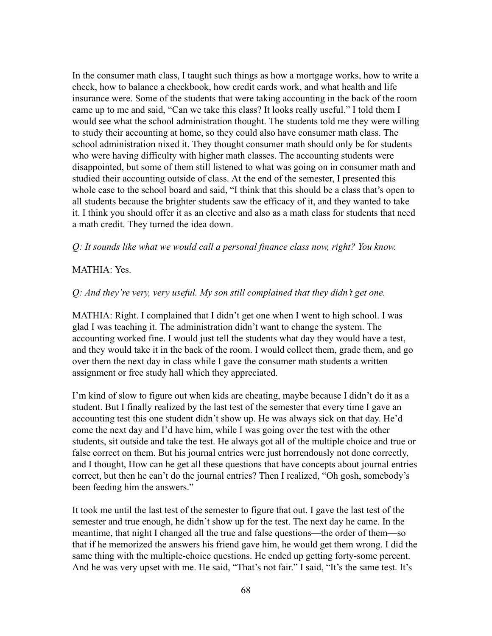In the consumer math class, I taught such things as how a mortgage works, how to write a check, how to balance a checkbook, how credit cards work, and what health and life insurance were. Some of the students that were taking accounting in the back of the room came up to me and said, "Can we take this class? It looks really useful." I told them I would see what the school administration thought. The students told me they were willing to study their accounting at home, so they could also have consumer math class. The school administration nixed it. They thought consumer math should only be for students who were having difficulty with higher math classes. The accounting students were disappointed, but some of them still listened to what was going on in consumer math and studied their accounting outside of class. At the end of the semester, I presented this whole case to the school board and said, "I think that this should be a class that's open to all students because the brighter students saw the efficacy of it, and they wanted to take it. I think you should offer it as an elective and also as a math class for students that need a math credit. They turned the idea down.

*Q: It sounds like what we would call a personal finance class now, right? You know.*

### MATHIA: Yes.

### *Q: And they're very, very useful. My son still complained that they didn't get one.*

MATHIA: Right. I complained that I didn't get one when I went to high school. I was glad I was teaching it. The administration didn't want to change the system. The accounting worked fine. I would just tell the students what day they would have a test, and they would take it in the back of the room. I would collect them, grade them, and go over them the next day in class while I gave the consumer math students a written assignment or free study hall which they appreciated.

I'm kind of slow to figure out when kids are cheating, maybe because I didn't do it as a student. But I finally realized by the last test of the semester that every time I gave an accounting test this one student didn't show up. He was always sick on that day. He'd come the next day and I'd have him, while I was going over the test with the other students, sit outside and take the test. He always got all of the multiple choice and true or false correct on them. But his journal entries were just horrendously not done correctly, and I thought, How can he get all these questions that have concepts about journal entries correct, but then he can't do the journal entries? Then I realized, "Oh gosh, somebody's been feeding him the answers."

It took me until the last test of the semester to figure that out. I gave the last test of the semester and true enough, he didn't show up for the test. The next day he came. In the meantime, that night I changed all the true and false questions—the order of them—so that if he memorized the answers his friend gave him, he would get them wrong. I did the same thing with the multiple-choice questions. He ended up getting forty-some percent. And he was very upset with me. He said, "That's not fair." I said, "It's the same test. It's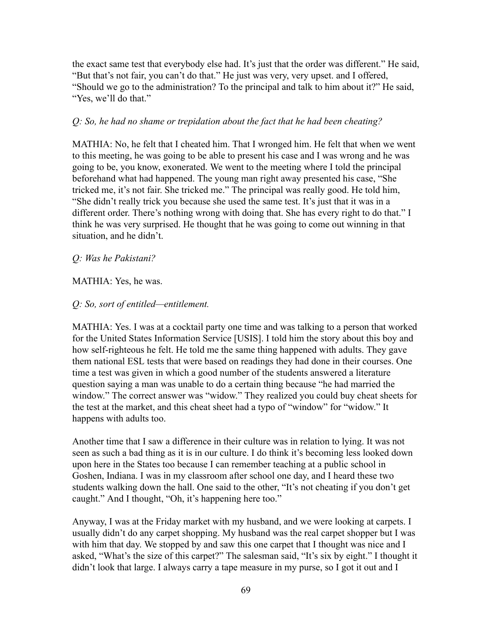the exact same test that everybody else had. It's just that the order was different." He said, "But that's not fair, you can't do that." He just was very, very upset. and I offered, "Should we go to the administration? To the principal and talk to him about it?" He said, "Yes, we'll do that."

### *Q: So, he had no shame or trepidation about the fact that he had been cheating?*

MATHIA: No, he felt that I cheated him. That I wronged him. He felt that when we went to this meeting, he was going to be able to present his case and I was wrong and he was going to be, you know, exonerated. We went to the meeting where I told the principal beforehand what had happened. The young man right away presented his case, "She tricked me, it's not fair. She tricked me." The principal was really good. He told him, "She didn't really trick you because she used the same test. It's just that it was in a different order. There's nothing wrong with doing that. She has every right to do that." I think he was very surprised. He thought that he was going to come out winning in that situation, and he didn't.

### *Q: Was he Pakistani?*

### MATHIA: Yes, he was.

### *Q: So, sort of entitled—entitlement.*

MATHIA: Yes. I was at a cocktail party one time and was talking to a person that worked for the United States Information Service [USIS]. I told him the story about this boy and how self-righteous he felt. He told me the same thing happened with adults. They gave them national ESL tests that were based on readings they had done in their courses. One time a test was given in which a good number of the students answered a literature question saying a man was unable to do a certain thing because "he had married the window." The correct answer was "widow." They realized you could buy cheat sheets for the test at the market, and this cheat sheet had a typo of "window" for "widow." It happens with adults too.

Another time that I saw a difference in their culture was in relation to lying. It was not seen as such a bad thing as it is in our culture. I do think it's becoming less looked down upon here in the States too because I can remember teaching at a public school in Goshen, Indiana. I was in my classroom after school one day, and I heard these two students walking down the hall. One said to the other, "It's not cheating if you don't get caught." And I thought, "Oh, it's happening here too."

Anyway, I was at the Friday market with my husband, and we were looking at carpets. I usually didn't do any carpet shopping. My husband was the real carpet shopper but I was with him that day. We stopped by and saw this one carpet that I thought was nice and I asked, "What's the size of this carpet?" The salesman said, "It's six by eight." I thought it didn't look that large. I always carry a tape measure in my purse, so I got it out and I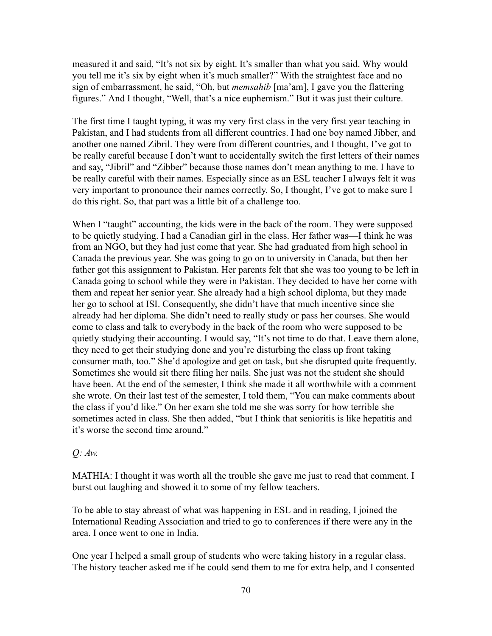measured it and said, "It's not six by eight. It's smaller than what you said. Why would you tell me it's six by eight when it's much smaller?" With the straightest face and no sign of embarrassment, he said, "Oh, but *memsahib* [ma'am], I gave you the flattering figures." And I thought, "Well, that's a nice euphemism." But it was just their culture.

The first time I taught typing, it was my very first class in the very first year teaching in Pakistan, and I had students from all different countries. I had one boy named Jibber, and another one named Zibril. They were from different countries, and I thought, I've got to be really careful because I don't want to accidentally switch the first letters of their names and say, "Jibril" and "Zibber" because those names don't mean anything to me. I have to be really careful with their names. Especially since as an ESL teacher I always felt it was very important to pronounce their names correctly. So, I thought, I've got to make sure I do this right. So, that part was a little bit of a challenge too.

When I "taught" accounting, the kids were in the back of the room. They were supposed to be quietly studying. I had a Canadian girl in the class. Her father was—I think he was from an NGO, but they had just come that year. She had graduated from high school in Canada the previous year. She was going to go on to university in Canada, but then her father got this assignment to Pakistan. Her parents felt that she was too young to be left in Canada going to school while they were in Pakistan. They decided to have her come with them and repeat her senior year. She already had a high school diploma, but they made her go to school at ISI. Consequently, she didn't have that much incentive since she already had her diploma. She didn't need to really study or pass her courses. She would come to class and talk to everybody in the back of the room who were supposed to be quietly studying their accounting. I would say, "It's not time to do that. Leave them alone, they need to get their studying done and you're disturbing the class up front taking consumer math, too." She'd apologize and get on task, but she disrupted quite frequently. Sometimes she would sit there filing her nails. She just was not the student she should have been. At the end of the semester, I think she made it all worthwhile with a comment she wrote. On their last test of the semester, I told them, "You can make comments about the class if you'd like." On her exam she told me she was sorry for how terrible she sometimes acted in class. She then added, "but I think that senioritis is like hepatitis and it's worse the second time around."

### *Q: Aw.*

MATHIA: I thought it was worth all the trouble she gave me just to read that comment. I burst out laughing and showed it to some of my fellow teachers.

To be able to stay abreast of what was happening in ESL and in reading, I joined the International Reading Association and tried to go to conferences if there were any in the area. I once went to one in India.

One year I helped a small group of students who were taking history in a regular class. The history teacher asked me if he could send them to me for extra help, and I consented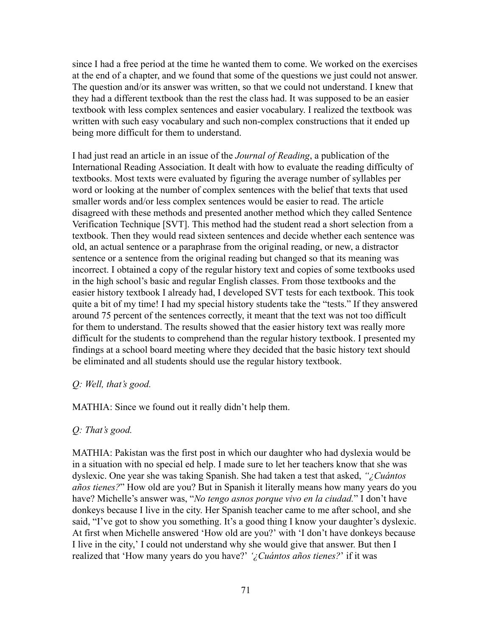since I had a free period at the time he wanted them to come. We worked on the exercises at the end of a chapter, and we found that some of the questions we just could not answer. The question and/or its answer was written, so that we could not understand. I knew that they had a different textbook than the rest the class had. It was supposed to be an easier textbook with less complex sentences and easier vocabulary. I realized the textbook was written with such easy vocabulary and such non-complex constructions that it ended up being more difficult for them to understand.

I had just read an article in an issue of the *Journal of Reading*, a publication of the International Reading Association. It dealt with how to evaluate the reading difficulty of textbooks. Most texts were evaluated by figuring the average number of syllables per word or looking at the number of complex sentences with the belief that texts that used smaller words and/or less complex sentences would be easier to read. The article disagreed with these methods and presented another method which they called Sentence Verification Technique [SVT]. This method had the student read a short selection from a textbook. Then they would read sixteen sentences and decide whether each sentence was old, an actual sentence or a paraphrase from the original reading, or new, a distractor sentence or a sentence from the original reading but changed so that its meaning was incorrect. I obtained a copy of the regular history text and copies of some textbooks used in the high school's basic and regular English classes. From those textbooks and the easier history textbook I already had, I developed SVT tests for each textbook. This took quite a bit of my time! I had my special history students take the "tests." If they answered around 75 percent of the sentences correctly, it meant that the text was not too difficult for them to understand. The results showed that the easier history text was really more difficult for the students to comprehend than the regular history textbook. I presented my findings at a school board meeting where they decided that the basic history text should be eliminated and all students should use the regular history textbook.

#### *Q: Well, that's good.*

MATHIA: Since we found out it really didn't help them.

#### *Q: That's good.*

MATHIA: Pakistan was the first post in which our daughter who had dyslexia would be in a situation with no special ed help. I made sure to let her teachers know that she was dyslexic. One year she was taking Spanish. She had taken a test that asked, *"¿Cuántos años tienes?*" How old are you? But in Spanish it literally means how many years do you have? Michelle's answer was, "*No tengo asnos porque vivo en la ciudad.*" I don't have donkeys because I live in the city. Her Spanish teacher came to me after school, and she said, "I've got to show you something. It's a good thing I know your daughter's dyslexic. At first when Michelle answered 'How old are you?' with 'I don't have donkeys because I live in the city,' I could not understand why she would give that answer. But then I realized that 'How many years do you have?' *'¿Cuántos años tienes?*' if it was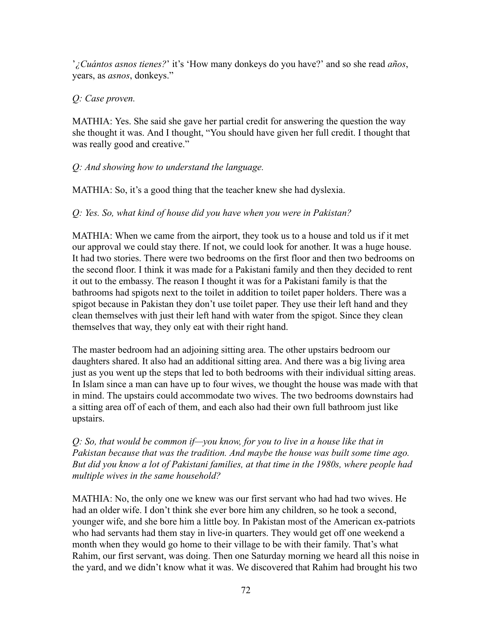'*¿Cuántos asnos tienes?*' it's 'How many donkeys do you have?' and so she read *años*, years, as *asnos*, donkeys."

### *Q: Case proven.*

MATHIA: Yes. She said she gave her partial credit for answering the question the way she thought it was. And I thought, "You should have given her full credit. I thought that was really good and creative."

# *Q: And showing how to understand the language.*

MATHIA: So, it's a good thing that the teacher knew she had dyslexia.

# *Q: Yes. So, what kind of house did you have when you were in Pakistan?*

MATHIA: When we came from the airport, they took us to a house and told us if it met our approval we could stay there. If not, we could look for another. It was a huge house. It had two stories. There were two bedrooms on the first floor and then two bedrooms on the second floor. I think it was made for a Pakistani family and then they decided to rent it out to the embassy. The reason I thought it was for a Pakistani family is that the bathrooms had spigots next to the toilet in addition to toilet paper holders. There was a spigot because in Pakistan they don't use toilet paper. They use their left hand and they clean themselves with just their left hand with water from the spigot. Since they clean themselves that way, they only eat with their right hand.

The master bedroom had an adjoining sitting area. The other upstairs bedroom our daughters shared. It also had an additional sitting area. And there was a big living area just as you went up the steps that led to both bedrooms with their individual sitting areas. In Islam since a man can have up to four wives, we thought the house was made with that in mind. The upstairs could accommodate two wives. The two bedrooms downstairs had a sitting area off of each of them, and each also had their own full bathroom just like upstairs.

*Q: So, that would be common if—you know, for you to live in a house like that in Pakistan because that was the tradition. And maybe the house was built some time ago. But did you know a lot of Pakistani families, at that time in the 1980s, where people had multiple wives in the same household?*

MATHIA: No, the only one we knew was our first servant who had had two wives. He had an older wife. I don't think she ever bore him any children, so he took a second, younger wife, and she bore him a little boy. In Pakistan most of the American ex-patriots who had servants had them stay in live-in quarters. They would get off one weekend a month when they would go home to their village to be with their family. That's what Rahim, our first servant, was doing. Then one Saturday morning we heard all this noise in the yard, and we didn't know what it was. We discovered that Rahim had brought his two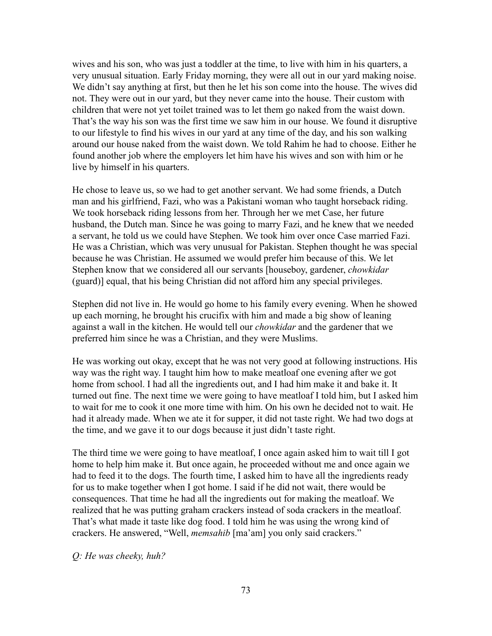wives and his son, who was just a toddler at the time, to live with him in his quarters, a very unusual situation. Early Friday morning, they were all out in our yard making noise. We didn't say anything at first, but then he let his son come into the house. The wives did not. They were out in our yard, but they never came into the house. Their custom with children that were not yet toilet trained was to let them go naked from the waist down. That's the way his son was the first time we saw him in our house. We found it disruptive to our lifestyle to find his wives in our yard at any time of the day, and his son walking around our house naked from the waist down. We told Rahim he had to choose. Either he found another job where the employers let him have his wives and son with him or he live by himself in his quarters.

He chose to leave us, so we had to get another servant. We had some friends, a Dutch man and his girlfriend, Fazi, who was a Pakistani woman who taught horseback riding. We took horseback riding lessons from her. Through her we met Case, her future husband, the Dutch man. Since he was going to marry Fazi, and he knew that we needed a servant, he told us we could have Stephen. We took him over once Case married Fazi. He was a Christian, which was very unusual for Pakistan. Stephen thought he was special because he was Christian. He assumed we would prefer him because of this. We let Stephen know that we considered all our servants [houseboy, gardener, *chowkidar* (guard)] equal, that his being Christian did not afford him any special privileges.

Stephen did not live in. He would go home to his family every evening. When he showed up each morning, he brought his crucifix with him and made a big show of leaning against a wall in the kitchen. He would tell our *chowkidar* and the gardener that we preferred him since he was a Christian, and they were Muslims.

He was working out okay, except that he was not very good at following instructions. His way was the right way. I taught him how to make meatloaf one evening after we got home from school. I had all the ingredients out, and I had him make it and bake it. It turned out fine. The next time we were going to have meatloaf I told him, but I asked him to wait for me to cook it one more time with him. On his own he decided not to wait. He had it already made. When we ate it for supper, it did not taste right. We had two dogs at the time, and we gave it to our dogs because it just didn't taste right.

The third time we were going to have meatloaf, I once again asked him to wait till I got home to help him make it. But once again, he proceeded without me and once again we had to feed it to the dogs. The fourth time, I asked him to have all the ingredients ready for us to make together when I got home. I said if he did not wait, there would be consequences. That time he had all the ingredients out for making the meatloaf. We realized that he was putting graham crackers instead of soda crackers in the meatloaf. That's what made it taste like dog food. I told him he was using the wrong kind of crackers. He answered, "Well, *memsahib* [ma'am] you only said crackers."

*Q: He was cheeky, huh?*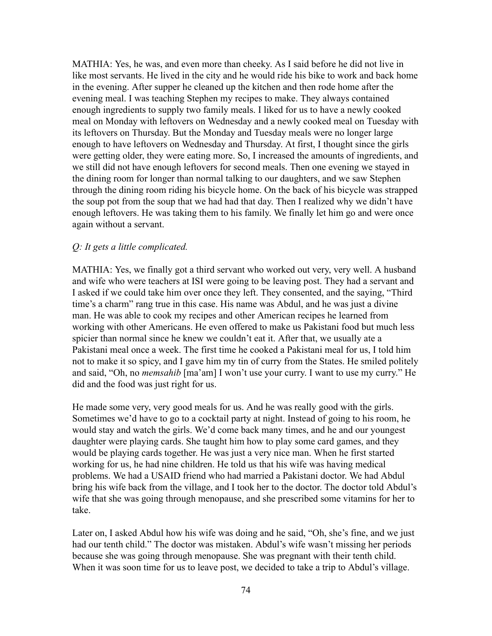MATHIA: Yes, he was, and even more than cheeky. As I said before he did not live in like most servants. He lived in the city and he would ride his bike to work and back home in the evening. After supper he cleaned up the kitchen and then rode home after the evening meal. I was teaching Stephen my recipes to make. They always contained enough ingredients to supply two family meals. I liked for us to have a newly cooked meal on Monday with leftovers on Wednesday and a newly cooked meal on Tuesday with its leftovers on Thursday. But the Monday and Tuesday meals were no longer large enough to have leftovers on Wednesday and Thursday. At first, I thought since the girls were getting older, they were eating more. So, I increased the amounts of ingredients, and we still did not have enough leftovers for second meals. Then one evening we stayed in the dining room for longer than normal talking to our daughters, and we saw Stephen through the dining room riding his bicycle home. On the back of his bicycle was strapped the soup pot from the soup that we had had that day. Then I realized why we didn't have enough leftovers. He was taking them to his family. We finally let him go and were once again without a servant.

#### *Q: It gets a little complicated.*

MATHIA: Yes, we finally got a third servant who worked out very, very well. A husband and wife who were teachers at ISI were going to be leaving post. They had a servant and I asked if we could take him over once they left. They consented, and the saying, "Third time's a charm" rang true in this case. His name was Abdul, and he was just a divine man. He was able to cook my recipes and other American recipes he learned from working with other Americans. He even offered to make us Pakistani food but much less spicier than normal since he knew we couldn't eat it. After that, we usually ate a Pakistani meal once a week. The first time he cooked a Pakistani meal for us, I told him not to make it so spicy, and I gave him my tin of curry from the States. He smiled politely and said, "Oh, no *memsahib* [ma'am] I won't use your curry. I want to use my curry." He did and the food was just right for us.

He made some very, very good meals for us. And he was really good with the girls. Sometimes we'd have to go to a cocktail party at night. Instead of going to his room, he would stay and watch the girls. We'd come back many times, and he and our youngest daughter were playing cards. She taught him how to play some card games, and they would be playing cards together. He was just a very nice man. When he first started working for us, he had nine children. He told us that his wife was having medical problems. We had a USAID friend who had married a Pakistani doctor. We had Abdul bring his wife back from the village, and I took her to the doctor. The doctor told Abdul's wife that she was going through menopause, and she prescribed some vitamins for her to take.

Later on, I asked Abdul how his wife was doing and he said, "Oh, she's fine, and we just had our tenth child." The doctor was mistaken. Abdul's wife wasn't missing her periods because she was going through menopause. She was pregnant with their tenth child. When it was soon time for us to leave post, we decided to take a trip to Abdul's village.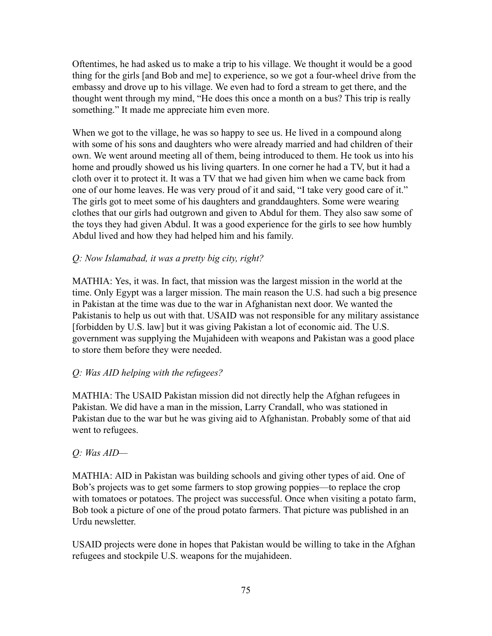Oftentimes, he had asked us to make a trip to his village. We thought it would be a good thing for the girls [and Bob and me] to experience, so we got a four-wheel drive from the embassy and drove up to his village. We even had to ford a stream to get there, and the thought went through my mind, "He does this once a month on a bus? This trip is really something." It made me appreciate him even more.

When we got to the village, he was so happy to see us. He lived in a compound along with some of his sons and daughters who were already married and had children of their own. We went around meeting all of them, being introduced to them. He took us into his home and proudly showed us his living quarters. In one corner he had a TV, but it had a cloth over it to protect it. It was a TV that we had given him when we came back from one of our home leaves. He was very proud of it and said, "I take very good care of it." The girls got to meet some of his daughters and granddaughters. Some were wearing clothes that our girls had outgrown and given to Abdul for them. They also saw some of the toys they had given Abdul. It was a good experience for the girls to see how humbly Abdul lived and how they had helped him and his family.

# *Q: Now Islamabad, it was a pretty big city, right?*

MATHIA: Yes, it was. In fact, that mission was the largest mission in the world at the time. Only Egypt was a larger mission. The main reason the U.S. had such a big presence in Pakistan at the time was due to the war in Afghanistan next door. We wanted the Pakistanis to help us out with that. USAID was not responsible for any military assistance [forbidden by U.S. law] but it was giving Pakistan a lot of economic aid. The U.S. government was supplying the Mujahideen with weapons and Pakistan was a good place to store them before they were needed.

#### *Q: Was AID helping with the refugees?*

MATHIA: The USAID Pakistan mission did not directly help the Afghan refugees in Pakistan. We did have a man in the mission, Larry Crandall, who was stationed in Pakistan due to the war but he was giving aid to Afghanistan. Probably some of that aid went to refugees.

#### *Q: Was AID—*

MATHIA: AID in Pakistan was building schools and giving other types of aid. One of Bob's projects was to get some farmers to stop growing poppies—to replace the crop with tomatoes or potatoes. The project was successful. Once when visiting a potato farm, Bob took a picture of one of the proud potato farmers. That picture was published in an Urdu newsletter.

USAID projects were done in hopes that Pakistan would be willing to take in the Afghan refugees and stockpile U.S. weapons for the mujahideen.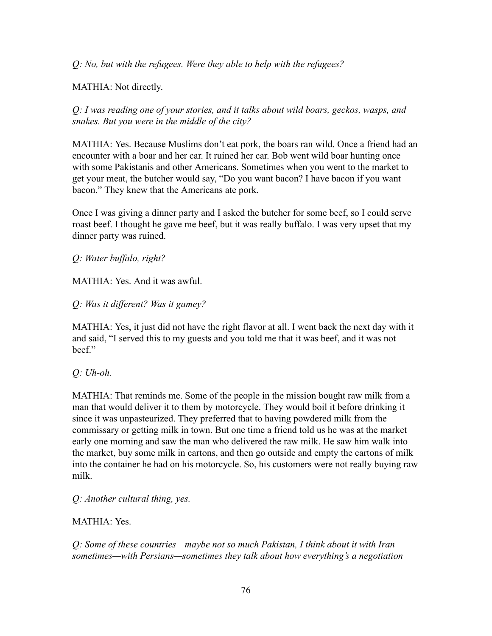*Q: No, but with the refugees. Were they able to help with the refugees?*

MATHIA: Not directly.

*Q: I was reading one of your stories, and it talks about wild boars, geckos, wasps, and snakes. But you were in the middle of the city?*

MATHIA: Yes. Because Muslims don't eat pork, the boars ran wild. Once a friend had an encounter with a boar and her car. It ruined her car. Bob went wild boar hunting once with some Pakistanis and other Americans. Sometimes when you went to the market to get your meat, the butcher would say, "Do you want bacon? I have bacon if you want bacon." They knew that the Americans ate pork.

Once I was giving a dinner party and I asked the butcher for some beef, so I could serve roast beef. I thought he gave me beef, but it was really buffalo. I was very upset that my dinner party was ruined.

*Q: Water buffalo, right?*

MATHIA: Yes. And it was awful.

*Q: Was it different? Was it gamey?*

MATHIA: Yes, it just did not have the right flavor at all. I went back the next day with it and said, "I served this to my guests and you told me that it was beef, and it was not beef."

*Q: Uh-oh.*

MATHIA: That reminds me. Some of the people in the mission bought raw milk from a man that would deliver it to them by motorcycle. They would boil it before drinking it since it was unpasteurized. They preferred that to having powdered milk from the commissary or getting milk in town. But one time a friend told us he was at the market early one morning and saw the man who delivered the raw milk. He saw him walk into the market, buy some milk in cartons, and then go outside and empty the cartons of milk into the container he had on his motorcycle. So, his customers were not really buying raw milk.

*Q: Another cultural thing, yes.*

MATHIA: Yes.

*Q: Some of these countries—maybe not so much Pakistan, I think about it with Iran sometimes—with Persians—sometimes they talk about how everything's a negotiation*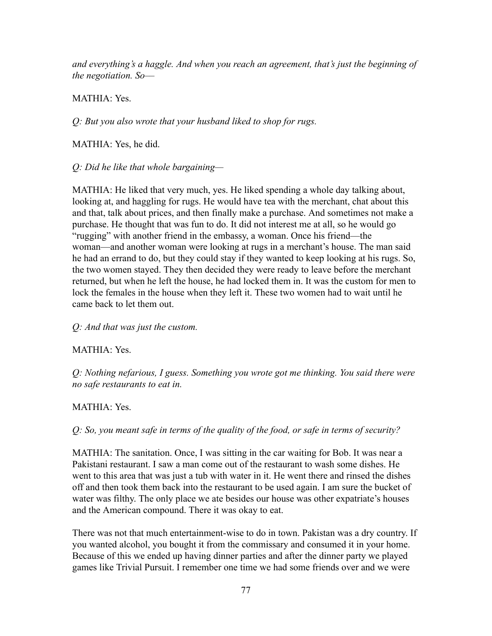*and everything's a haggle. And when you reach an agreement, that's just the beginning of the negotiation. So––*

# MATHIA: Yes.

*Q: But you also wrote that your husband liked to shop for rugs.*

MATHIA: Yes, he did.

# *Q: Did he like that whole bargaining—*

MATHIA: He liked that very much, yes. He liked spending a whole day talking about, looking at, and haggling for rugs. He would have tea with the merchant, chat about this and that, talk about prices, and then finally make a purchase. And sometimes not make a purchase. He thought that was fun to do. It did not interest me at all, so he would go "rugging" with another friend in the embassy, a woman. Once his friend—the woman—and another woman were looking at rugs in a merchant's house. The man said he had an errand to do, but they could stay if they wanted to keep looking at his rugs. So, the two women stayed. They then decided they were ready to leave before the merchant returned, but when he left the house, he had locked them in. It was the custom for men to lock the females in the house when they left it. These two women had to wait until he came back to let them out.

# *Q: And that was just the custom.*

# MATHIA: Yes.

*Q: Nothing nefarious, I guess. Something you wrote got me thinking. You said there were no safe restaurants to eat in.*

# MATHIA: Yes.

*Q: So, you meant safe in terms of the quality of the food, or safe in terms of security?*

MATHIA: The sanitation. Once, I was sitting in the car waiting for Bob. It was near a Pakistani restaurant. I saw a man come out of the restaurant to wash some dishes. He went to this area that was just a tub with water in it. He went there and rinsed the dishes off and then took them back into the restaurant to be used again. I am sure the bucket of water was filthy. The only place we ate besides our house was other expatriate's houses and the American compound. There it was okay to eat.

There was not that much entertainment-wise to do in town. Pakistan was a dry country. If you wanted alcohol, you bought it from the commissary and consumed it in your home. Because of this we ended up having dinner parties and after the dinner party we played games like Trivial Pursuit. I remember one time we had some friends over and we were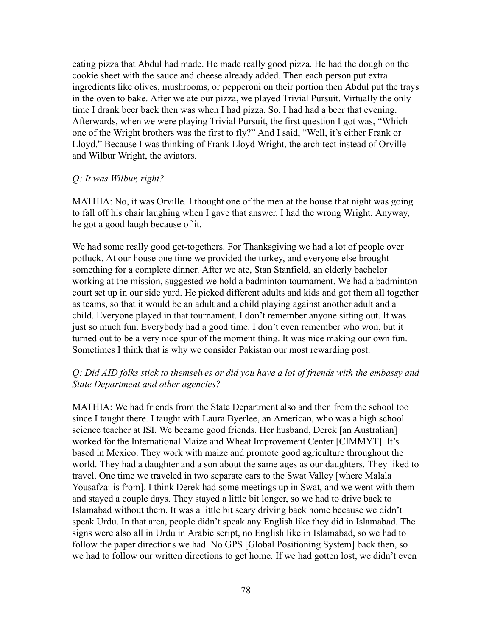eating pizza that Abdul had made. He made really good pizza. He had the dough on the cookie sheet with the sauce and cheese already added. Then each person put extra ingredients like olives, mushrooms, or pepperoni on their portion then Abdul put the trays in the oven to bake. After we ate our pizza, we played Trivial Pursuit. Virtually the only time I drank beer back then was when I had pizza. So, I had had a beer that evening. Afterwards, when we were playing Trivial Pursuit, the first question I got was, "Which one of the Wright brothers was the first to fly?" And I said, "Well, it's either Frank or Lloyd." Because I was thinking of Frank Lloyd Wright, the architect instead of Orville and Wilbur Wright, the aviators.

#### *Q: It was Wilbur, right?*

MATHIA: No, it was Orville. I thought one of the men at the house that night was going to fall off his chair laughing when I gave that answer. I had the wrong Wright. Anyway, he got a good laugh because of it.

We had some really good get-togethers. For Thanksgiving we had a lot of people over potluck. At our house one time we provided the turkey, and everyone else brought something for a complete dinner. After we ate, Stan Stanfield, an elderly bachelor working at the mission, suggested we hold a badminton tournament. We had a badminton court set up in our side yard. He picked different adults and kids and got them all together as teams, so that it would be an adult and a child playing against another adult and a child. Everyone played in that tournament. I don't remember anyone sitting out. It was just so much fun. Everybody had a good time. I don't even remember who won, but it turned out to be a very nice spur of the moment thing. It was nice making our own fun. Sometimes I think that is why we consider Pakistan our most rewarding post.

#### *Q: Did AID folks stick to themselves or did you have a lot of friends with the embassy and State Department and other agencies?*

MATHIA: We had friends from the State Department also and then from the school too since I taught there. I taught with Laura Byerlee, an American, who was a high school science teacher at ISI. We became good friends. Her husband, Derek [an Australian] worked for the International Maize and Wheat Improvement Center [CIMMYT]. It's based in Mexico. They work with maize and promote good agriculture throughout the world. They had a daughter and a son about the same ages as our daughters. They liked to travel. One time we traveled in two separate cars to the Swat Valley [where Malala Yousafzai is from]. I think Derek had some meetings up in Swat, and we went with them and stayed a couple days. They stayed a little bit longer, so we had to drive back to Islamabad without them. It was a little bit scary driving back home because we didn't speak Urdu. In that area, people didn't speak any English like they did in Islamabad. The signs were also all in Urdu in Arabic script, no English like in Islamabad, so we had to follow the paper directions we had. No GPS [Global Positioning System] back then, so we had to follow our written directions to get home. If we had gotten lost, we didn't even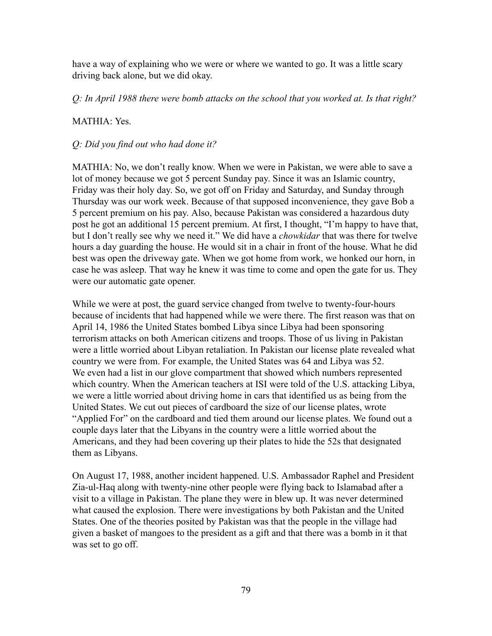have a way of explaining who we were or where we wanted to go. It was a little scary driving back alone, but we did okay.

*Q: In April 1988 there were bomb attacks on the school that you worked at. Is that right?*

### MATHIA: Yes.

### *Q: Did you find out who had done it?*

MATHIA: No, we don't really know. When we were in Pakistan, we were able to save a lot of money because we got 5 percent Sunday pay. Since it was an Islamic country, Friday was their holy day. So, we got off on Friday and Saturday, and Sunday through Thursday was our work week. Because of that supposed inconvenience, they gave Bob a 5 percent premium on his pay. Also, because Pakistan was considered a hazardous duty post he got an additional 15 percent premium. At first, I thought, "I'm happy to have that, but I don't really see why we need it." We did have a *chowkidar* that was there for twelve hours a day guarding the house. He would sit in a chair in front of the house. What he did best was open the driveway gate. When we got home from work, we honked our horn, in case he was asleep. That way he knew it was time to come and open the gate for us. They were our automatic gate opener.

While we were at post, the guard service changed from twelve to twenty-four-hours because of incidents that had happened while we were there. The first reason was that on April 14, 1986 the United States bombed Libya since Libya had been sponsoring terrorism attacks on both American citizens and troops. Those of us living in Pakistan were a little worried about Libyan retaliation. In Pakistan our license plate revealed what country we were from. For example, the United States was 64 and Libya was 52. We even had a list in our glove compartment that showed which numbers represented which country. When the American teachers at ISI were told of the U.S. attacking Libya, we were a little worried about driving home in cars that identified us as being from the United States. We cut out pieces of cardboard the size of our license plates, wrote "Applied For" on the cardboard and tied them around our license plates. We found out a couple days later that the Libyans in the country were a little worried about the Americans, and they had been covering up their plates to hide the 52s that designated them as Libyans.

On August 17, 1988, another incident happened. U.S. Ambassador Raphel and President Zia-ul-Haq along with twenty-nine other people were flying back to Islamabad after a visit to a village in Pakistan. The plane they were in blew up. It was never determined what caused the explosion. There were investigations by both Pakistan and the United States. One of the theories posited by Pakistan was that the people in the village had given a basket of mangoes to the president as a gift and that there was a bomb in it that was set to go off.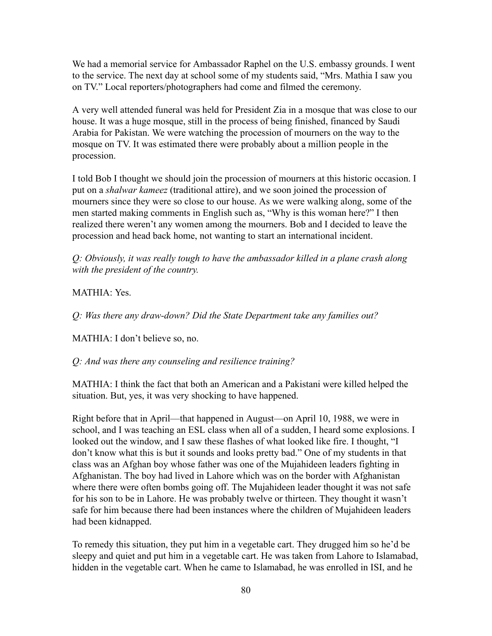We had a memorial service for Ambassador Raphel on the U.S. embassy grounds. I went to the service. The next day at school some of my students said, "Mrs. Mathia I saw you on TV." Local reporters/photographers had come and filmed the ceremony.

A very well attended funeral was held for President Zia in a mosque that was close to our house. It was a huge mosque, still in the process of being finished, financed by Saudi Arabia for Pakistan. We were watching the procession of mourners on the way to the mosque on TV. It was estimated there were probably about a million people in the procession.

I told Bob I thought we should join the procession of mourners at this historic occasion. I put on a *shalwar kameez* (traditional attire), and we soon joined the procession of mourners since they were so close to our house. As we were walking along, some of the men started making comments in English such as, "Why is this woman here?" I then realized there weren't any women among the mourners. Bob and I decided to leave the procession and head back home, not wanting to start an international incident.

*Q: Obviously, it was really tough to have the ambassador killed in a plane crash along with the president of the country.*

### MATHIA: Yes.

*Q: Was there any draw-down? Did the State Department take any families out?*

MATHIA: I don't believe so, no.

*Q: And was there any counseling and resilience training?*

MATHIA: I think the fact that both an American and a Pakistani were killed helped the situation. But, yes, it was very shocking to have happened.

Right before that in April—that happened in August—on April 10, 1988, we were in school, and I was teaching an ESL class when all of a sudden, I heard some explosions. I looked out the window, and I saw these flashes of what looked like fire. I thought, "I don't know what this is but it sounds and looks pretty bad." One of my students in that class was an Afghan boy whose father was one of the Mujahideen leaders fighting in Afghanistan. The boy had lived in Lahore which was on the border with Afghanistan where there were often bombs going off. The Mujahideen leader thought it was not safe for his son to be in Lahore. He was probably twelve or thirteen. They thought it wasn't safe for him because there had been instances where the children of Mujahideen leaders had been kidnapped.

To remedy this situation, they put him in a vegetable cart. They drugged him so he'd be sleepy and quiet and put him in a vegetable cart. He was taken from Lahore to Islamabad, hidden in the vegetable cart. When he came to Islamabad, he was enrolled in ISI, and he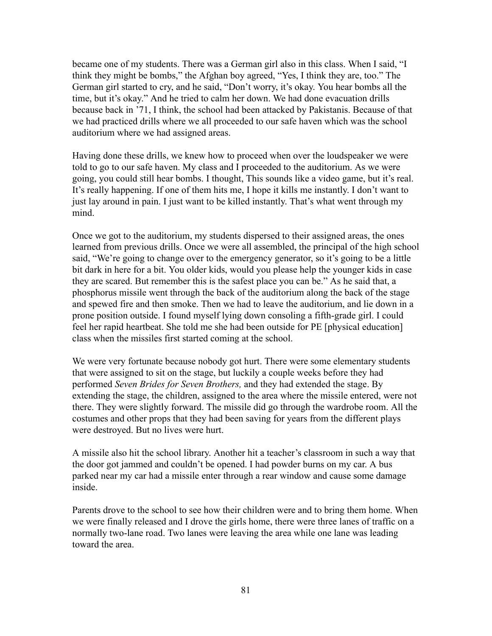became one of my students. There was a German girl also in this class. When I said, "I think they might be bombs," the Afghan boy agreed, "Yes, I think they are, too." The German girl started to cry, and he said, "Don't worry, it's okay. You hear bombs all the time, but it's okay." And he tried to calm her down. We had done evacuation drills because back in '71, I think, the school had been attacked by Pakistanis. Because of that we had practiced drills where we all proceeded to our safe haven which was the school auditorium where we had assigned areas.

Having done these drills, we knew how to proceed when over the loudspeaker we were told to go to our safe haven. My class and I proceeded to the auditorium. As we were going, you could still hear bombs. I thought, This sounds like a video game, but it's real. It's really happening. If one of them hits me, I hope it kills me instantly. I don't want to just lay around in pain. I just want to be killed instantly. That's what went through my mind.

Once we got to the auditorium, my students dispersed to their assigned areas, the ones learned from previous drills. Once we were all assembled, the principal of the high school said, "We're going to change over to the emergency generator, so it's going to be a little bit dark in here for a bit. You older kids, would you please help the younger kids in case they are scared. But remember this is the safest place you can be." As he said that, a phosphorus missile went through the back of the auditorium along the back of the stage and spewed fire and then smoke. Then we had to leave the auditorium, and lie down in a prone position outside. I found myself lying down consoling a fifth-grade girl. I could feel her rapid heartbeat. She told me she had been outside for PE [physical education] class when the missiles first started coming at the school.

We were very fortunate because nobody got hurt. There were some elementary students that were assigned to sit on the stage, but luckily a couple weeks before they had performed *Seven Brides for Seven Brothers,* and they had extended the stage. By extending the stage, the children, assigned to the area where the missile entered, were not there. They were slightly forward. The missile did go through the wardrobe room. All the costumes and other props that they had been saving for years from the different plays were destroyed. But no lives were hurt.

A missile also hit the school library. Another hit a teacher's classroom in such a way that the door got jammed and couldn't be opened. I had powder burns on my car. A bus parked near my car had a missile enter through a rear window and cause some damage inside.

Parents drove to the school to see how their children were and to bring them home. When we were finally released and I drove the girls home, there were three lanes of traffic on a normally two-lane road. Two lanes were leaving the area while one lane was leading toward the area.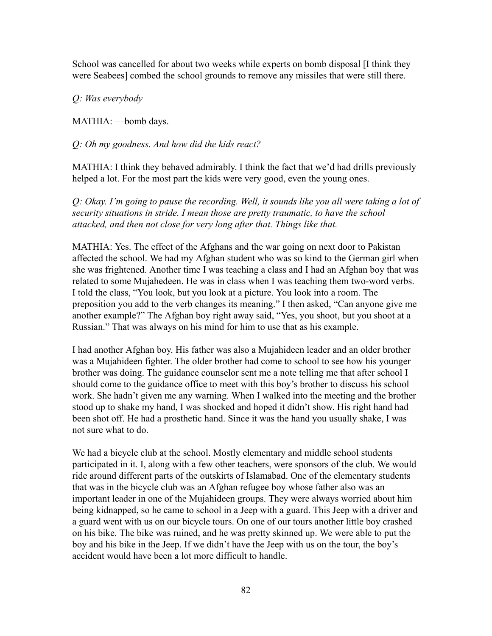School was cancelled for about two weeks while experts on bomb disposal [I think they were Seabees] combed the school grounds to remove any missiles that were still there.

*Q: Was everybody—*

MATHIA: —bomb days.

*Q: Oh my goodness. And how did the kids react?*

MATHIA: I think they behaved admirably. I think the fact that we'd had drills previously helped a lot. For the most part the kids were very good, even the young ones.

*Q: Okay. I'm going to pause the recording. Well, it sounds like you all were taking a lot of security situations in stride. I mean those are pretty traumatic, to have the school attacked, and then not close for very long after that. Things like that.*

MATHIA: Yes. The effect of the Afghans and the war going on next door to Pakistan affected the school. We had my Afghan student who was so kind to the German girl when she was frightened. Another time I was teaching a class and I had an Afghan boy that was related to some Mujahedeen. He was in class when I was teaching them two-word verbs. I told the class, "You look, but you look at a picture. You look into a room. The preposition you add to the verb changes its meaning." I then asked, "Can anyone give me another example?" The Afghan boy right away said, "Yes, you shoot, but you shoot at a Russian." That was always on his mind for him to use that as his example.

I had another Afghan boy. His father was also a Mujahideen leader and an older brother was a Mujahideen fighter. The older brother had come to school to see how his younger brother was doing. The guidance counselor sent me a note telling me that after school I should come to the guidance office to meet with this boy's brother to discuss his school work. She hadn't given me any warning. When I walked into the meeting and the brother stood up to shake my hand, I was shocked and hoped it didn't show. His right hand had been shot off. He had a prosthetic hand. Since it was the hand you usually shake, I was not sure what to do.

We had a bicycle club at the school. Mostly elementary and middle school students participated in it. I, along with a few other teachers, were sponsors of the club. We would ride around different parts of the outskirts of Islamabad. One of the elementary students that was in the bicycle club was an Afghan refugee boy whose father also was an important leader in one of the Mujahideen groups. They were always worried about him being kidnapped, so he came to school in a Jeep with a guard. This Jeep with a driver and a guard went with us on our bicycle tours. On one of our tours another little boy crashed on his bike. The bike was ruined, and he was pretty skinned up. We were able to put the boy and his bike in the Jeep. If we didn't have the Jeep with us on the tour, the boy's accident would have been a lot more difficult to handle.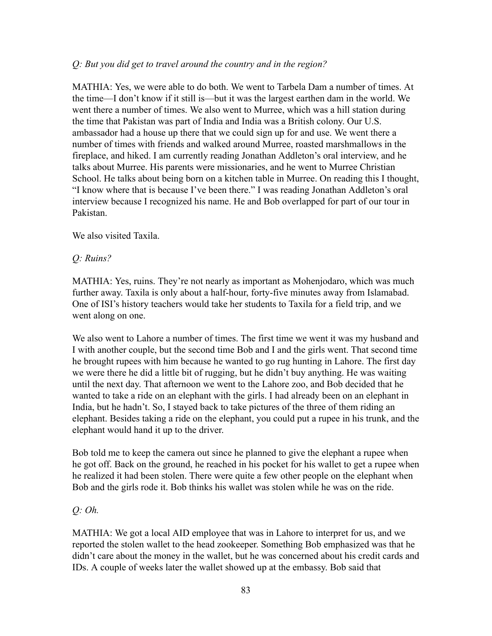### *Q: But you did get to travel around the country and in the region?*

MATHIA: Yes, we were able to do both. We went to Tarbela Dam a number of times. At the time—I don't know if it still is—but it was the largest earthen dam in the world. We went there a number of times. We also went to Murree, which was a hill station during the time that Pakistan was part of India and India was a British colony. Our U.S. ambassador had a house up there that we could sign up for and use. We went there a number of times with friends and walked around Murree, roasted marshmallows in the fireplace, and hiked. I am currently reading Jonathan Addleton's oral interview, and he talks about Murree. His parents were missionaries, and he went to Murree Christian School. He talks about being born on a kitchen table in Murree. On reading this I thought, "I know where that is because I've been there." I was reading Jonathan Addleton's oral interview because I recognized his name. He and Bob overlapped for part of our tour in Pakistan.

We also visited Taxila.

#### *Q: Ruins?*

MATHIA: Yes, ruins. They're not nearly as important as Mohenjodaro, which was much further away. Taxila is only about a half-hour, forty-five minutes away from Islamabad. One of ISI's history teachers would take her students to Taxila for a field trip, and we went along on one.

We also went to Lahore a number of times. The first time we went it was my husband and I with another couple, but the second time Bob and I and the girls went. That second time he brought rupees with him because he wanted to go rug hunting in Lahore. The first day we were there he did a little bit of rugging, but he didn't buy anything. He was waiting until the next day. That afternoon we went to the Lahore zoo, and Bob decided that he wanted to take a ride on an elephant with the girls. I had already been on an elephant in India, but he hadn't. So, I stayed back to take pictures of the three of them riding an elephant. Besides taking a ride on the elephant, you could put a rupee in his trunk, and the elephant would hand it up to the driver.

Bob told me to keep the camera out since he planned to give the elephant a rupee when he got off. Back on the ground, he reached in his pocket for his wallet to get a rupee when he realized it had been stolen. There were quite a few other people on the elephant when Bob and the girls rode it. Bob thinks his wallet was stolen while he was on the ride.

#### *Q: Oh.*

MATHIA: We got a local AID employee that was in Lahore to interpret for us, and we reported the stolen wallet to the head zookeeper. Something Bob emphasized was that he didn't care about the money in the wallet, but he was concerned about his credit cards and IDs. A couple of weeks later the wallet showed up at the embassy. Bob said that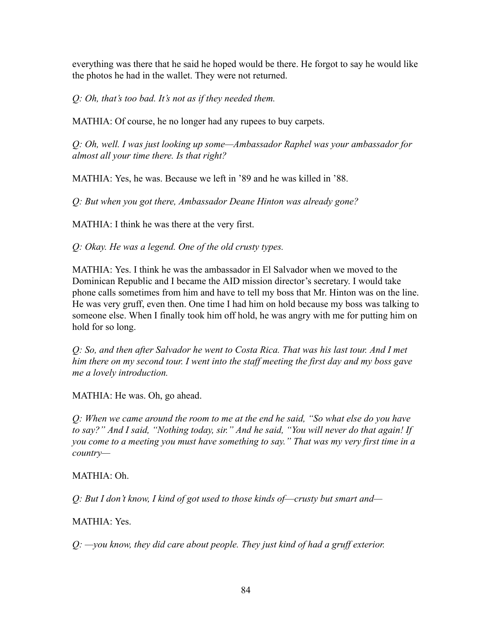everything was there that he said he hoped would be there. He forgot to say he would like the photos he had in the wallet. They were not returned.

*Q: Oh, that's too bad. It's not as if they needed them.*

MATHIA: Of course, he no longer had any rupees to buy carpets.

*Q: Oh, well. I was just looking up some—Ambassador Raphel was your ambassador for almost all your time there. Is that right?*

MATHIA: Yes, he was. Because we left in '89 and he was killed in '88.

*Q: But when you got there, Ambassador Deane Hinton was already gone?*

MATHIA: I think he was there at the very first.

*Q: Okay. He was a legend. One of the old crusty types.*

MATHIA: Yes. I think he was the ambassador in El Salvador when we moved to the Dominican Republic and I became the AID mission director's secretary. I would take phone calls sometimes from him and have to tell my boss that Mr. Hinton was on the line. He was very gruff, even then. One time I had him on hold because my boss was talking to someone else. When I finally took him off hold, he was angry with me for putting him on hold for so long.

*Q: So, and then after Salvador he went to Costa Rica. That was his last tour. And I met him there on my second tour. I went into the staff meeting the first day and my boss gave me a lovely introduction.*

MATHIA: He was. Oh, go ahead.

*Q: When we came around the room to me at the end he said, "So what else do you have to say?" And I said, "Nothing today, sir." And he said, "You will never do that again! If you come to a meeting you must have something to say." That was my very first time in a country—*

#### MATHIA: Oh.

*Q: But I don't know, I kind of got used to those kinds of––crusty but smart and—*

MATHIA: Yes.

*Q: —you know, they did care about people. They just kind of had a gruff exterior.*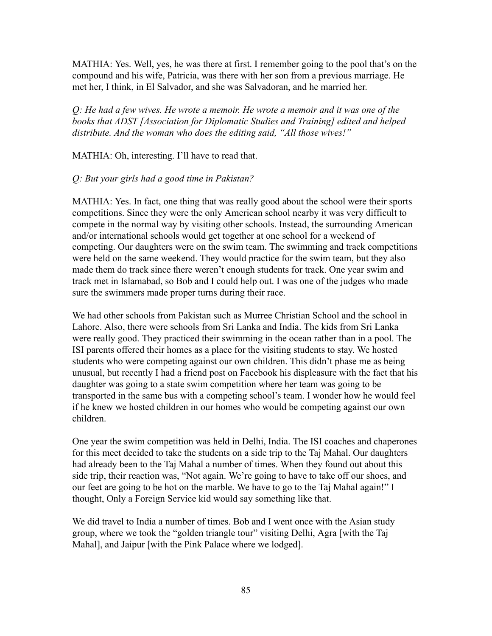MATHIA: Yes. Well, yes, he was there at first. I remember going to the pool that's on the compound and his wife, Patricia, was there with her son from a previous marriage. He met her, I think, in El Salvador, and she was Salvadoran, and he married her.

*Q: He had a few wives. He wrote a memoir. He wrote a memoir and it was one of the books that ADST [Association for Diplomatic Studies and Training] edited and helped distribute. And the woman who does the editing said, "All those wives!"*

MATHIA: Oh, interesting. I'll have to read that.

#### *Q: But your girls had a good time in Pakistan?*

MATHIA: Yes. In fact, one thing that was really good about the school were their sports competitions. Since they were the only American school nearby it was very difficult to compete in the normal way by visiting other schools. Instead, the surrounding American and/or international schools would get together at one school for a weekend of competing. Our daughters were on the swim team. The swimming and track competitions were held on the same weekend. They would practice for the swim team, but they also made them do track since there weren't enough students for track. One year swim and track met in Islamabad, so Bob and I could help out. I was one of the judges who made sure the swimmers made proper turns during their race.

We had other schools from Pakistan such as Murree Christian School and the school in Lahore. Also, there were schools from Sri Lanka and India. The kids from Sri Lanka were really good. They practiced their swimming in the ocean rather than in a pool. The ISI parents offered their homes as a place for the visiting students to stay. We hosted students who were competing against our own children. This didn't phase me as being unusual, but recently I had a friend post on Facebook his displeasure with the fact that his daughter was going to a state swim competition where her team was going to be transported in the same bus with a competing school's team. I wonder how he would feel if he knew we hosted children in our homes who would be competing against our own children.

One year the swim competition was held in Delhi, India. The ISI coaches and chaperones for this meet decided to take the students on a side trip to the Taj Mahal. Our daughters had already been to the Taj Mahal a number of times. When they found out about this side trip, their reaction was, "Not again. We're going to have to take off our shoes, and our feet are going to be hot on the marble. We have to go to the Taj Mahal again!" I thought, Only a Foreign Service kid would say something like that.

We did travel to India a number of times. Bob and I went once with the Asian study group, where we took the "golden triangle tour" visiting Delhi, Agra [with the Taj Mahal], and Jaipur [with the Pink Palace where we lodged].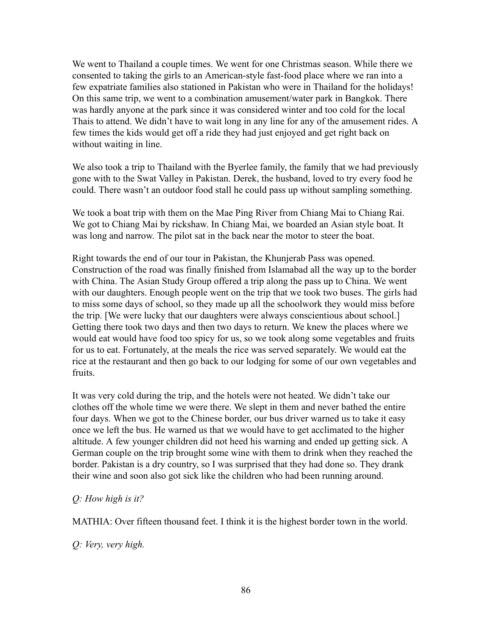We went to Thailand a couple times. We went for one Christmas season. While there we consented to taking the girls to an American-style fast-food place where we ran into a few expatriate families also stationed in Pakistan who were in Thailand for the holidays! On this same trip, we went to a combination amusement/water park in Bangkok. There was hardly anyone at the park since it was considered winter and too cold for the local Thais to attend. We didn't have to wait long in any line for any of the amusement rides. A few times the kids would get off a ride they had just enjoyed and get right back on without waiting in line.

We also took a trip to Thailand with the Byerlee family, the family that we had previously gone with to the Swat Valley in Pakistan. Derek, the husband, loved to try every food he could. There wasn't an outdoor food stall he could pass up without sampling something.

We took a boat trip with them on the Mae Ping River from Chiang Mai to Chiang Rai. We got to Chiang Mai by rickshaw. In Chiang Mai, we boarded an Asian style boat. It was long and narrow. The pilot sat in the back near the motor to steer the boat.

Right towards the end of our tour in Pakistan, the Khunjerab Pass was opened. Construction of the road was finally finished from Islamabad all the way up to the border with China. The Asian Study Group offered a trip along the pass up to China. We went with our daughters. Enough people went on the trip that we took two buses. The girls had to miss some days of school, so they made up all the schoolwork they would miss before the trip. [We were lucky that our daughters were always conscientious about school.] Getting there took two days and then two days to return. We knew the places where we would eat would have food too spicy for us, so we took along some vegetables and fruits for us to eat. Fortunately, at the meals the rice was served separately. We would eat the rice at the restaurant and then go back to our lodging for some of our own vegetables and fruits.

It was very cold during the trip, and the hotels were not heated. We didn't take our clothes off the whole time we were there. We slept in them and never bathed the entire four days. When we got to the Chinese border, our bus driver warned us to take it easy once we left the bus. He warned us that we would have to get acclimated to the higher altitude. A few younger children did not heed his warning and ended up getting sick. A German couple on the trip brought some wine with them to drink when they reached the border. Pakistan is a dry country, so I was surprised that they had done so. They drank their wine and soon also got sick like the children who had been running around.

#### *Q: How high is it?*

MATHIA: Over fifteen thousand feet. I think it is the highest border town in the world.

*Q: Very, very high.*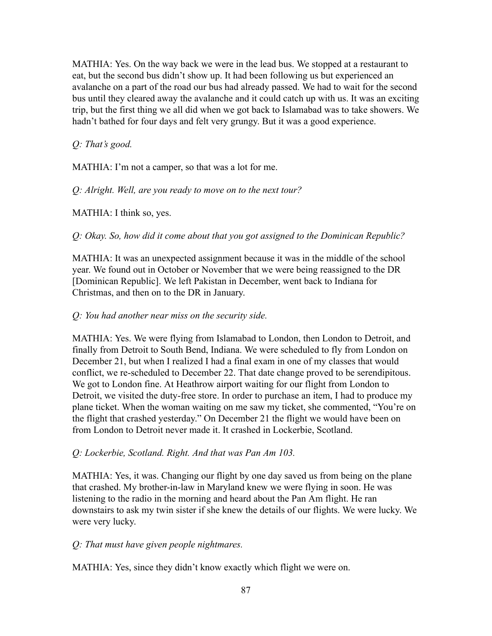MATHIA: Yes. On the way back we were in the lead bus. We stopped at a restaurant to eat, but the second bus didn't show up. It had been following us but experienced an avalanche on a part of the road our bus had already passed. We had to wait for the second bus until they cleared away the avalanche and it could catch up with us. It was an exciting trip, but the first thing we all did when we got back to Islamabad was to take showers. We hadn't bathed for four days and felt very grungy. But it was a good experience.

*Q: That's good.*

MATHIA: I'm not a camper, so that was a lot for me.

*Q: Alright. Well, are you ready to move on to the next tour?*

MATHIA: I think so, yes.

*Q: Okay. So, how did it come about that you got assigned to the Dominican Republic?*

MATHIA: It was an unexpected assignment because it was in the middle of the school year. We found out in October or November that we were being reassigned to the DR [Dominican Republic]. We left Pakistan in December, went back to Indiana for Christmas, and then on to the DR in January.

### *Q: You had another near miss on the security side.*

MATHIA: Yes. We were flying from Islamabad to London, then London to Detroit, and finally from Detroit to South Bend, Indiana. We were scheduled to fly from London on December 21, but when I realized I had a final exam in one of my classes that would conflict, we re-scheduled to December 22. That date change proved to be serendipitous. We got to London fine. At Heathrow airport waiting for our flight from London to Detroit, we visited the duty-free store. In order to purchase an item, I had to produce my plane ticket. When the woman waiting on me saw my ticket, she commented, "You're on the flight that crashed yesterday." On December 21 the flight we would have been on from London to Detroit never made it. It crashed in Lockerbie, Scotland.

# *Q: Lockerbie, Scotland. Right. And that was Pan Am 103.*

MATHIA: Yes, it was. Changing our flight by one day saved us from being on the plane that crashed. My brother-in-law in Maryland knew we were flying in soon. He was listening to the radio in the morning and heard about the Pan Am flight. He ran downstairs to ask my twin sister if she knew the details of our flights. We were lucky. We were very lucky.

# *Q: That must have given people nightmares.*

MATHIA: Yes, since they didn't know exactly which flight we were on.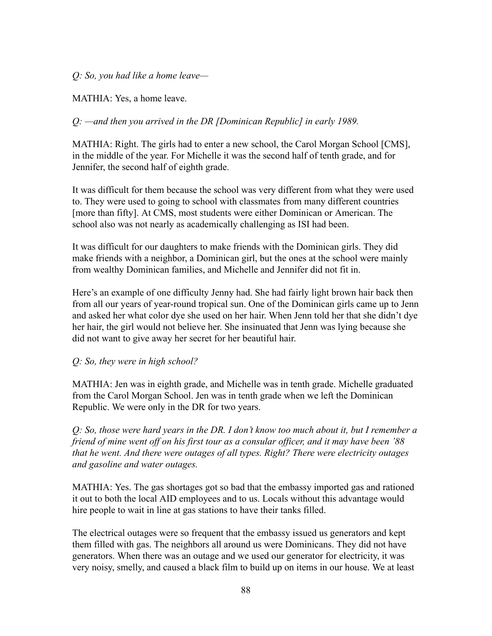*Q: So, you had like a home leave—*

MATHIA: Yes, a home leave.

# *Q: —and then you arrived in the DR [Dominican Republic] in early 1989.*

MATHIA: Right. The girls had to enter a new school, the Carol Morgan School [CMS], in the middle of the year. For Michelle it was the second half of tenth grade, and for Jennifer, the second half of eighth grade.

It was difficult for them because the school was very different from what they were used to. They were used to going to school with classmates from many different countries [more than fifty]. At CMS, most students were either Dominican or American. The school also was not nearly as academically challenging as ISI had been.

It was difficult for our daughters to make friends with the Dominican girls. They did make friends with a neighbor, a Dominican girl, but the ones at the school were mainly from wealthy Dominican families, and Michelle and Jennifer did not fit in.

Here's an example of one difficulty Jenny had. She had fairly light brown hair back then from all our years of year-round tropical sun. One of the Dominican girls came up to Jenn and asked her what color dye she used on her hair. When Jenn told her that she didn't dye her hair, the girl would not believe her. She insinuated that Jenn was lying because she did not want to give away her secret for her beautiful hair.

#### *Q: So, they were in high school?*

MATHIA: Jen was in eighth grade, and Michelle was in tenth grade. Michelle graduated from the Carol Morgan School. Jen was in tenth grade when we left the Dominican Republic. We were only in the DR for two years.

*Q: So, those were hard years in the DR. I don't know too much about it, but I remember a friend of mine went off on his first tour as a consular officer, and it may have been '88 that he went. And there were outages of all types. Right? There were electricity outages and gasoline and water outages.*

MATHIA: Yes. The gas shortages got so bad that the embassy imported gas and rationed it out to both the local AID employees and to us. Locals without this advantage would hire people to wait in line at gas stations to have their tanks filled.

The electrical outages were so frequent that the embassy issued us generators and kept them filled with gas. The neighbors all around us were Dominicans. They did not have generators. When there was an outage and we used our generator for electricity, it was very noisy, smelly, and caused a black film to build up on items in our house. We at least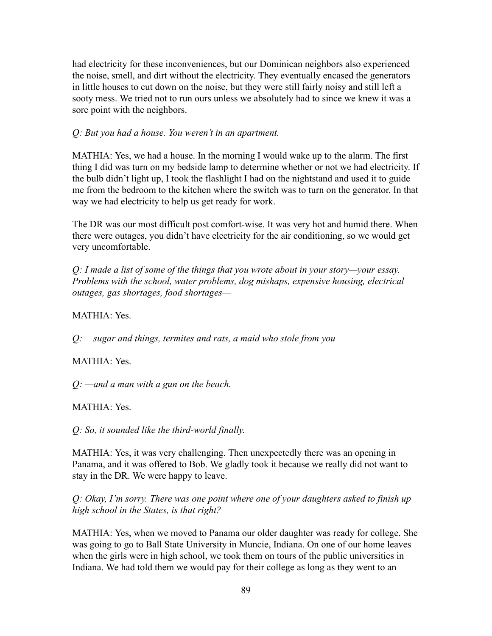had electricity for these inconveniences, but our Dominican neighbors also experienced the noise, smell, and dirt without the electricity. They eventually encased the generators in little houses to cut down on the noise, but they were still fairly noisy and still left a sooty mess. We tried not to run ours unless we absolutely had to since we knew it was a sore point with the neighbors.

### *Q: But you had a house. You weren't in an apartment.*

MATHIA: Yes, we had a house. In the morning I would wake up to the alarm. The first thing I did was turn on my bedside lamp to determine whether or not we had electricity. If the bulb didn't light up, I took the flashlight I had on the nightstand and used it to guide me from the bedroom to the kitchen where the switch was to turn on the generator. In that way we had electricity to help us get ready for work.

The DR was our most difficult post comfort-wise. It was very hot and humid there. When there were outages, you didn't have electricity for the air conditioning, so we would get very uncomfortable.

*Q: I made a list of some of the things that you wrote about in your story—your essay. Problems with the school, water problems, dog mishaps, expensive housing, electrical outages, gas shortages, food shortages—*

MATHIA: Yes.

*Q: —sugar and things, termites and rats, a maid who stole from you—*

MATHIA: Yes.

*Q: —and a man with a gun on the beach.*

MATHIA: Yes.

*Q: So, it sounded like the third-world finally.*

MATHIA: Yes, it was very challenging. Then unexpectedly there was an opening in Panama, and it was offered to Bob. We gladly took it because we really did not want to stay in the DR. We were happy to leave.

*Q: Okay, I'm sorry. There was one point where one of your daughters asked to finish up high school in the States, is that right?*

MATHIA: Yes, when we moved to Panama our older daughter was ready for college. She was going to go to Ball State University in Muncie, Indiana. On one of our home leaves when the girls were in high school, we took them on tours of the public universities in Indiana. We had told them we would pay for their college as long as they went to an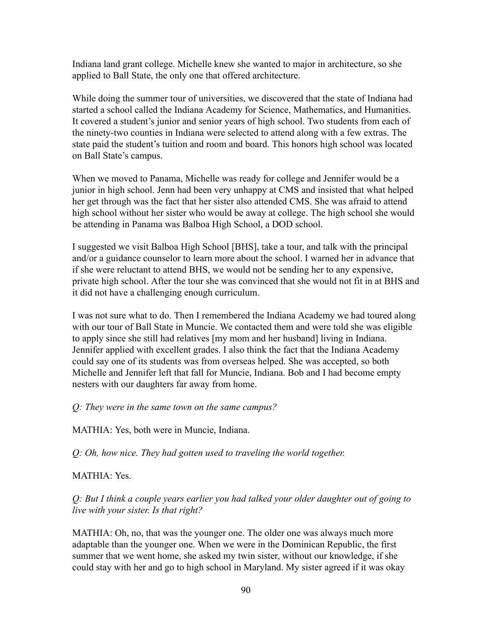Indiana land grant college. Michelle knew she wanted to major in architecture, so she applied to Ball State, the only one that offered architecture.

While doing the summer tour of universities, we discovered that the state of Indiana had started a school called the Indiana Academy for Science, Mathematics, and Humanities. It covered a student's junior and senior years of high school. Two students from each of the ninety-two counties in Indiana were selected to attend along with a few extras. The state paid the student's tuition and room and board. This honors high school was located on Ball State's campus.

When we moved to Panama, Michelle was ready for college and Jennifer would be a junior in high school. Jenn had been very unhappy at CMS and insisted that what helped her get through was the fact that her sister also attended CMS. She was afraid to attend high school without her sister who would be away at college. The high school she would be attending in Panama was Balboa High School, a DOD school.

I suggested we visit Balboa High School [BHS], take a tour, and talk with the principal and/or a guidance counselor to learn more about the school. I warned her in advance that if she were reluctant to attend BHS, we would not be sending her to any expensive, private high school. After the tour she was convinced that she would not fit in at BHS and it did not have a challenging enough curriculum.

I was not sure what to do. Then I remembered the Indiana Academy we had toured along with our tour of Ball State in Muncie. We contacted them and were told she was eligible to apply since she still had relatives [my mom and her husband] living in Indiana. Jennifer applied with excellent grades. I also think the fact that the Indiana Academy could say one of its students was from overseas helped. She was accepted, so both Michelle and Jennifer left that fall for Muncie, Indiana. Bob and I had become empty nesters with our daughters far away from home.

#### *Q: They were in the same town on the same campus?*

MATHIA: Yes, both were in Muncie, Indiana.

*Q: Oh, how nice. They had gotten used to traveling the world together.*

#### MATHIA: Yes.

*Q: But I think a couple years earlier you had talked your older daughter out of going to live with your sister. Is that right?*

MATHIA: Oh, no, that was the younger one. The older one was always much more adaptable than the younger one. When we were in the Dominican Republic, the first summer that we went home, she asked my twin sister, without our knowledge, if she could stay with her and go to high school in Maryland. My sister agreed if it was okay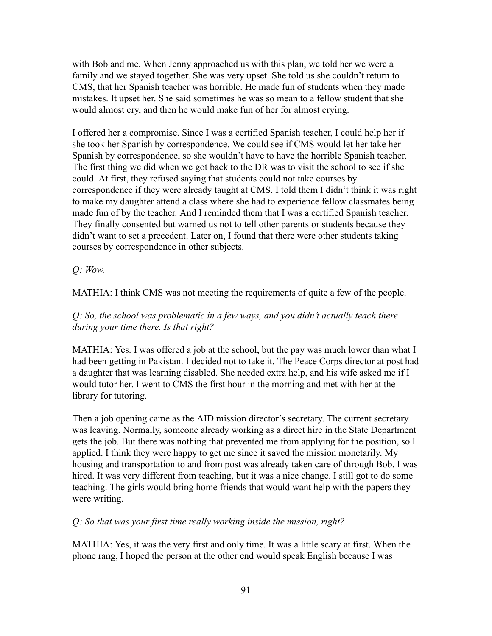with Bob and me. When Jenny approached us with this plan, we told her we were a family and we stayed together. She was very upset. She told us she couldn't return to CMS, that her Spanish teacher was horrible. He made fun of students when they made mistakes. It upset her. She said sometimes he was so mean to a fellow student that she would almost cry, and then he would make fun of her for almost crying.

I offered her a compromise. Since I was a certified Spanish teacher, I could help her if she took her Spanish by correspondence. We could see if CMS would let her take her Spanish by correspondence, so she wouldn't have to have the horrible Spanish teacher. The first thing we did when we got back to the DR was to visit the school to see if she could. At first, they refused saying that students could not take courses by correspondence if they were already taught at CMS. I told them I didn't think it was right to make my daughter attend a class where she had to experience fellow classmates being made fun of by the teacher. And I reminded them that I was a certified Spanish teacher. They finally consented but warned us not to tell other parents or students because they didn't want to set a precedent. Later on, I found that there were other students taking courses by correspondence in other subjects.

*Q: Wow.*

MATHIA: I think CMS was not meeting the requirements of quite a few of the people.

# *Q: So, the school was problematic in a few ways, and you didn't actually teach there during your time there. Is that right?*

MATHIA: Yes. I was offered a job at the school, but the pay was much lower than what I had been getting in Pakistan. I decided not to take it. The Peace Corps director at post had a daughter that was learning disabled. She needed extra help, and his wife asked me if I would tutor her. I went to CMS the first hour in the morning and met with her at the library for tutoring.

Then a job opening came as the AID mission director's secretary. The current secretary was leaving. Normally, someone already working as a direct hire in the State Department gets the job. But there was nothing that prevented me from applying for the position, so I applied. I think they were happy to get me since it saved the mission monetarily. My housing and transportation to and from post was already taken care of through Bob. I was hired. It was very different from teaching, but it was a nice change. I still got to do some teaching. The girls would bring home friends that would want help with the papers they were writing.

*Q: So that was your first time really working inside the mission, right?*

MATHIA: Yes, it was the very first and only time. It was a little scary at first. When the phone rang, I hoped the person at the other end would speak English because I was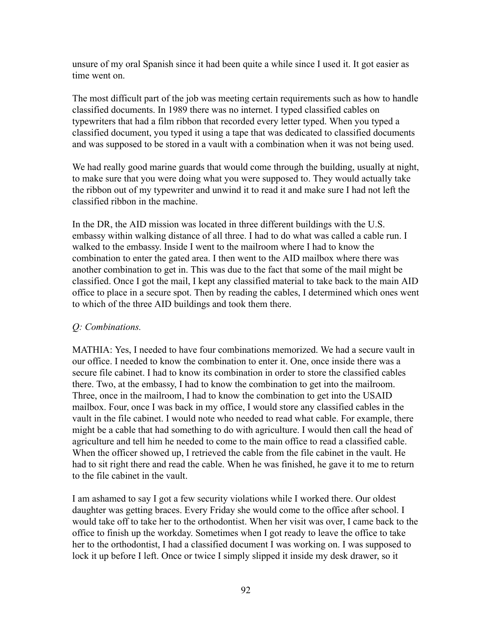unsure of my oral Spanish since it had been quite a while since I used it. It got easier as time went on.

The most difficult part of the job was meeting certain requirements such as how to handle classified documents. In 1989 there was no internet. I typed classified cables on typewriters that had a film ribbon that recorded every letter typed. When you typed a classified document, you typed it using a tape that was dedicated to classified documents and was supposed to be stored in a vault with a combination when it was not being used.

We had really good marine guards that would come through the building, usually at night, to make sure that you were doing what you were supposed to. They would actually take the ribbon out of my typewriter and unwind it to read it and make sure I had not left the classified ribbon in the machine.

In the DR, the AID mission was located in three different buildings with the U.S. embassy within walking distance of all three. I had to do what was called a cable run. I walked to the embassy. Inside I went to the mailroom where I had to know the combination to enter the gated area. I then went to the AID mailbox where there was another combination to get in. This was due to the fact that some of the mail might be classified. Once I got the mail, I kept any classified material to take back to the main AID office to place in a secure spot. Then by reading the cables, I determined which ones went to which of the three AID buildings and took them there.

# *Q: Combinations.*

MATHIA: Yes, I needed to have four combinations memorized. We had a secure vault in our office. I needed to know the combination to enter it. One, once inside there was a secure file cabinet. I had to know its combination in order to store the classified cables there. Two, at the embassy, I had to know the combination to get into the mailroom. Three, once in the mailroom, I had to know the combination to get into the USAID mailbox. Four, once I was back in my office, I would store any classified cables in the vault in the file cabinet. I would note who needed to read what cable. For example, there might be a cable that had something to do with agriculture. I would then call the head of agriculture and tell him he needed to come to the main office to read a classified cable. When the officer showed up, I retrieved the cable from the file cabinet in the vault. He had to sit right there and read the cable. When he was finished, he gave it to me to return to the file cabinet in the vault.

I am ashamed to say I got a few security violations while I worked there. Our oldest daughter was getting braces. Every Friday she would come to the office after school. I would take off to take her to the orthodontist. When her visit was over, I came back to the office to finish up the workday. Sometimes when I got ready to leave the office to take her to the orthodontist, I had a classified document I was working on. I was supposed to lock it up before I left. Once or twice I simply slipped it inside my desk drawer, so it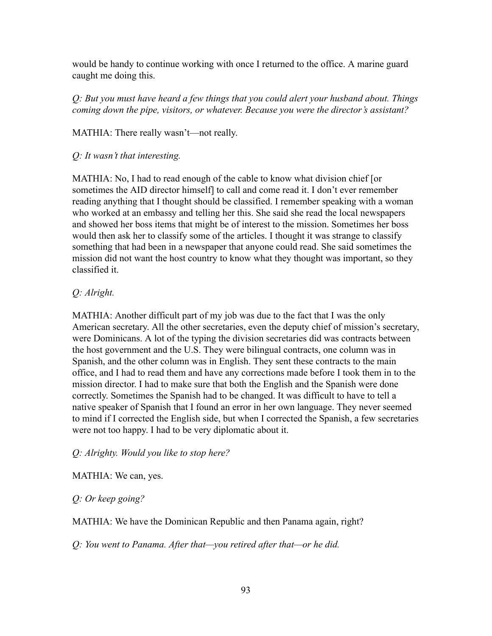would be handy to continue working with once I returned to the office. A marine guard caught me doing this.

*Q: But you must have heard a few things that you could alert your husband about. Things coming down the pipe, visitors, or whatever. Because you were the director's assistant?*

MATHIA: There really wasn't—not really.

*Q: It wasn't that interesting.*

MATHIA: No, I had to read enough of the cable to know what division chief [or sometimes the AID director himself] to call and come read it. I don't ever remember reading anything that I thought should be classified. I remember speaking with a woman who worked at an embassy and telling her this. She said she read the local newspapers and showed her boss items that might be of interest to the mission. Sometimes her boss would then ask her to classify some of the articles. I thought it was strange to classify something that had been in a newspaper that anyone could read. She said sometimes the mission did not want the host country to know what they thought was important, so they classified it.

# *Q: Alright.*

MATHIA: Another difficult part of my job was due to the fact that I was the only American secretary. All the other secretaries, even the deputy chief of mission's secretary, were Dominicans. A lot of the typing the division secretaries did was contracts between the host government and the U.S. They were bilingual contracts, one column was in Spanish, and the other column was in English. They sent these contracts to the main office, and I had to read them and have any corrections made before I took them in to the mission director. I had to make sure that both the English and the Spanish were done correctly. Sometimes the Spanish had to be changed. It was difficult to have to tell a native speaker of Spanish that I found an error in her own language. They never seemed to mind if I corrected the English side, but when I corrected the Spanish, a few secretaries were not too happy. I had to be very diplomatic about it.

# *Q: Alrighty. Would you like to stop here?*

MATHIA: We can, yes.

*Q: Or keep going?*

MATHIA: We have the Dominican Republic and then Panama again, right?

*Q: You went to Panama. After that—you retired after that—or he did.*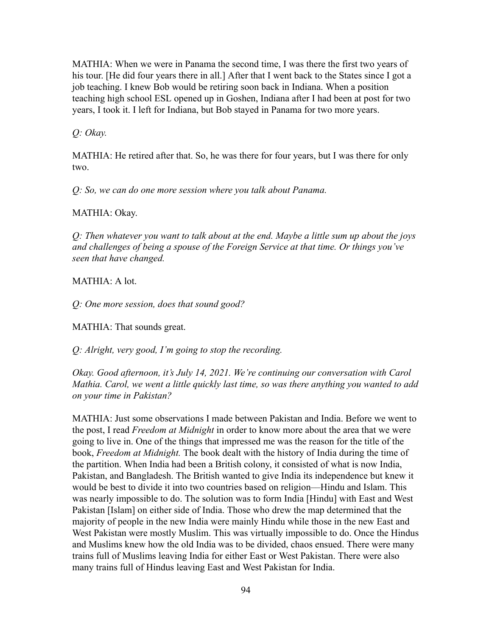MATHIA: When we were in Panama the second time, I was there the first two years of his tour. [He did four years there in all.] After that I went back to the States since I got a job teaching. I knew Bob would be retiring soon back in Indiana. When a position teaching high school ESL opened up in Goshen, Indiana after I had been at post for two years, I took it. I left for Indiana, but Bob stayed in Panama for two more years.

*Q: Okay.*

MATHIA: He retired after that. So, he was there for four years, but I was there for only two.

*Q: So, we can do one more session where you talk about Panama.*

MATHIA: Okay.

*Q: Then whatever you want to talk about at the end. Maybe a little sum up about the joys and challenges of being a spouse of the Foreign Service at that time. Or things you've seen that have changed.*

MATHIA: A lot.

*Q: One more session, does that sound good?*

MATHIA: That sounds great.

*Q: Alright, very good, I'm going to stop the recording.*

*Okay. Good afternoon, it's July 14, 2021. We're continuing our conversation with Carol Mathia. Carol, we went a little quickly last time, so was there anything you wanted to add on your time in Pakistan?*

MATHIA: Just some observations I made between Pakistan and India. Before we went to the post, I read *Freedom at Midnight* in order to know more about the area that we were going to live in. One of the things that impressed me was the reason for the title of the book, *Freedom at Midnight.* The book dealt with the history of India during the time of the partition. When India had been a British colony, it consisted of what is now India, Pakistan, and Bangladesh. The British wanted to give India its independence but knew it would be best to divide it into two countries based on religion––Hindu and Islam. This was nearly impossible to do. The solution was to form India [Hindu] with East and West Pakistan [Islam] on either side of India. Those who drew the map determined that the majority of people in the new India were mainly Hindu while those in the new East and West Pakistan were mostly Muslim. This was virtually impossible to do. Once the Hindus and Muslims knew how the old India was to be divided, chaos ensued. There were many trains full of Muslims leaving India for either East or West Pakistan. There were also many trains full of Hindus leaving East and West Pakistan for India.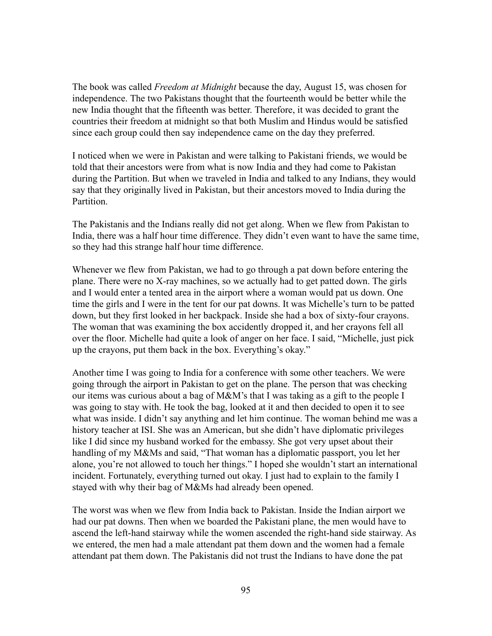The book was called *Freedom at Midnight* because the day, August 15, was chosen for independence. The two Pakistans thought that the fourteenth would be better while the new India thought that the fifteenth was better. Therefore, it was decided to grant the countries their freedom at midnight so that both Muslim and Hindus would be satisfied since each group could then say independence came on the day they preferred.

I noticed when we were in Pakistan and were talking to Pakistani friends, we would be told that their ancestors were from what is now India and they had come to Pakistan during the Partition. But when we traveled in India and talked to any Indians, they would say that they originally lived in Pakistan, but their ancestors moved to India during the Partition.

The Pakistanis and the Indians really did not get along. When we flew from Pakistan to India, there was a half hour time difference. They didn't even want to have the same time, so they had this strange half hour time difference.

Whenever we flew from Pakistan, we had to go through a pat down before entering the plane. There were no X-ray machines, so we actually had to get patted down. The girls and I would enter a tented area in the airport where a woman would pat us down. One time the girls and I were in the tent for our pat downs. It was Michelle's turn to be patted down, but they first looked in her backpack. Inside she had a box of sixty-four crayons. The woman that was examining the box accidently dropped it, and her crayons fell all over the floor. Michelle had quite a look of anger on her face. I said, "Michelle, just pick up the crayons, put them back in the box. Everything's okay."

Another time I was going to India for a conference with some other teachers. We were going through the airport in Pakistan to get on the plane. The person that was checking our items was curious about a bag of M&M's that I was taking as a gift to the people I was going to stay with. He took the bag, looked at it and then decided to open it to see what was inside. I didn't say anything and let him continue. The woman behind me was a history teacher at ISI. She was an American, but she didn't have diplomatic privileges like I did since my husband worked for the embassy. She got very upset about their handling of my M&Ms and said, "That woman has a diplomatic passport, you let her alone, you're not allowed to touch her things." I hoped she wouldn't start an international incident. Fortunately, everything turned out okay. I just had to explain to the family I stayed with why their bag of M&Ms had already been opened.

The worst was when we flew from India back to Pakistan. Inside the Indian airport we had our pat downs. Then when we boarded the Pakistani plane, the men would have to ascend the left-hand stairway while the women ascended the right-hand side stairway. As we entered, the men had a male attendant pat them down and the women had a female attendant pat them down. The Pakistanis did not trust the Indians to have done the pat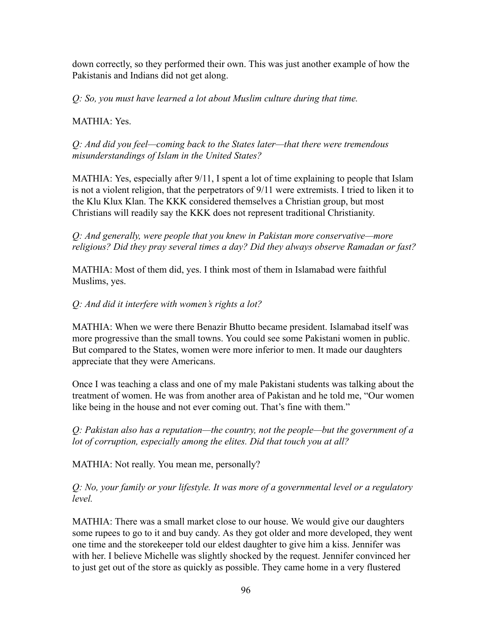down correctly, so they performed their own. This was just another example of how the Pakistanis and Indians did not get along.

*Q: So, you must have learned a lot about Muslim culture during that time.*

# MATHIA: Yes.

*Q: And did you feel—coming back to the States later—that there were tremendous misunderstandings of Islam in the United States?*

MATHIA: Yes, especially after 9/11, I spent a lot of time explaining to people that Islam is not a violent religion, that the perpetrators of 9/11 were extremists. I tried to liken it to the Klu Klux Klan. The KKK considered themselves a Christian group, but most Christians will readily say the KKK does not represent traditional Christianity.

*Q: And generally, were people that you knew in Pakistan more conservative—more religious? Did they pray several times a day? Did they always observe Ramadan or fast?*

MATHIA: Most of them did, yes. I think most of them in Islamabad were faithful Muslims, yes.

# *Q: And did it interfere with women's rights a lot?*

MATHIA: When we were there Benazir Bhutto became president. Islamabad itself was more progressive than the small towns. You could see some Pakistani women in public. But compared to the States, women were more inferior to men. It made our daughters appreciate that they were Americans.

Once I was teaching a class and one of my male Pakistani students was talking about the treatment of women. He was from another area of Pakistan and he told me, "Our women like being in the house and not ever coming out. That's fine with them."

*Q: Pakistan also has a reputation—the country, not the people—but the government of a lot of corruption, especially among the elites. Did that touch you at all?*

MATHIA: Not really. You mean me, personally?

*Q: No, your family or your lifestyle. It was more of a governmental level or a regulatory level.*

MATHIA: There was a small market close to our house. We would give our daughters some rupees to go to it and buy candy. As they got older and more developed, they went one time and the storekeeper told our eldest daughter to give him a kiss. Jennifer was with her. I believe Michelle was slightly shocked by the request. Jennifer convinced her to just get out of the store as quickly as possible. They came home in a very flustered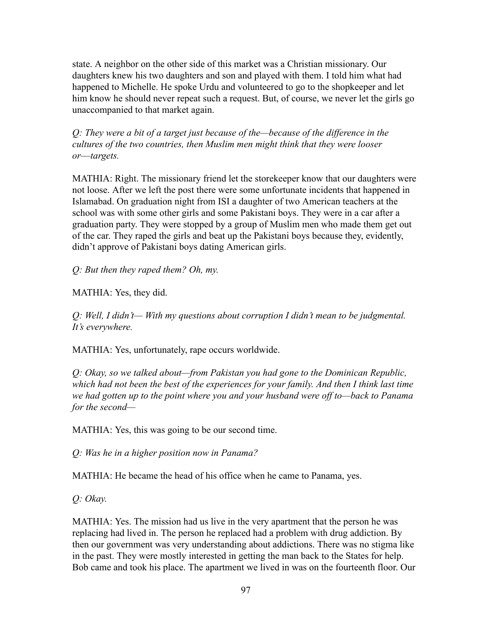state. A neighbor on the other side of this market was a Christian missionary. Our daughters knew his two daughters and son and played with them. I told him what had happened to Michelle. He spoke Urdu and volunteered to go to the shopkeeper and let him know he should never repeat such a request. But, of course, we never let the girls go unaccompanied to that market again.

*Q: They were a bit of a target just because of the—because of the difference in the cultures of the two countries, then Muslim men might think that they were looser or––targets.*

MATHIA: Right. The missionary friend let the storekeeper know that our daughters were not loose. After we left the post there were some unfortunate incidents that happened in Islamabad. On graduation night from ISI a daughter of two American teachers at the school was with some other girls and some Pakistani boys. They were in a car after a graduation party. They were stopped by a group of Muslim men who made them get out of the car. They raped the girls and beat up the Pakistani boys because they, evidently, didn't approve of Pakistani boys dating American girls.

*Q: But then they raped them? Oh, my.*

MATHIA: Yes, they did.

*Q: Well, I didn't— With my questions about corruption I didn't mean to be judgmental. It's everywhere.*

MATHIA: Yes, unfortunately, rape occurs worldwide.

*Q: Okay, so we talked about—from Pakistan you had gone to the Dominican Republic, which had not been the best of the experiences for your family. And then I think last time we had gotten up to the point where you and your husband were off to—back to Panama for the second—*

MATHIA: Yes, this was going to be our second time.

*Q: Was he in a higher position now in Panama?*

MATHIA: He became the head of his office when he came to Panama, yes.

*Q: Okay.*

MATHIA: Yes. The mission had us live in the very apartment that the person he was replacing had lived in. The person he replaced had a problem with drug addiction. By then our government was very understanding about addictions. There was no stigma like in the past. They were mostly interested in getting the man back to the States for help. Bob came and took his place. The apartment we lived in was on the fourteenth floor. Our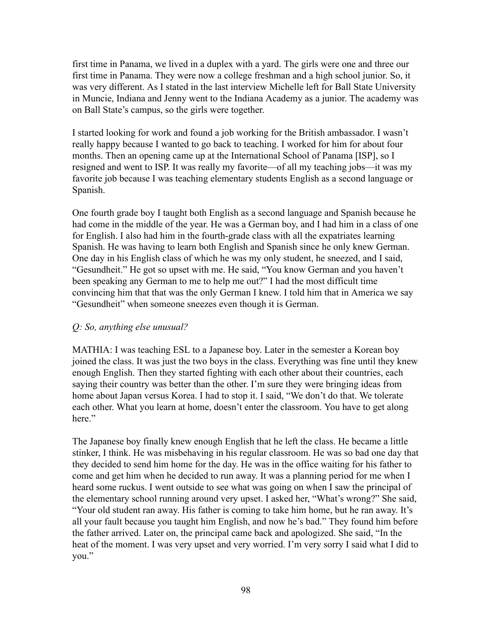first time in Panama, we lived in a duplex with a yard. The girls were one and three our first time in Panama. They were now a college freshman and a high school junior. So, it was very different. As I stated in the last interview Michelle left for Ball State University in Muncie, Indiana and Jenny went to the Indiana Academy as a junior. The academy was on Ball State's campus, so the girls were together.

I started looking for work and found a job working for the British ambassador. I wasn't really happy because I wanted to go back to teaching. I worked for him for about four months. Then an opening came up at the International School of Panama [ISP], so I resigned and went to ISP. It was really my favorite—of all my teaching jobs—it was my favorite job because I was teaching elementary students English as a second language or Spanish.

One fourth grade boy I taught both English as a second language and Spanish because he had come in the middle of the year. He was a German boy, and I had him in a class of one for English. I also had him in the fourth-grade class with all the expatriates learning Spanish. He was having to learn both English and Spanish since he only knew German. One day in his English class of which he was my only student, he sneezed, and I said, "Gesundheit." He got so upset with me. He said, "You know German and you haven't been speaking any German to me to help me out?" I had the most difficult time convincing him that that was the only German I knew. I told him that in America we say "Gesundheit" when someone sneezes even though it is German.

#### *Q: So, anything else unusual?*

MATHIA: I was teaching ESL to a Japanese boy. Later in the semester a Korean boy joined the class. It was just the two boys in the class. Everything was fine until they knew enough English. Then they started fighting with each other about their countries, each saying their country was better than the other. I'm sure they were bringing ideas from home about Japan versus Korea. I had to stop it. I said, "We don't do that. We tolerate each other. What you learn at home, doesn't enter the classroom. You have to get along here."

The Japanese boy finally knew enough English that he left the class. He became a little stinker, I think. He was misbehaving in his regular classroom. He was so bad one day that they decided to send him home for the day. He was in the office waiting for his father to come and get him when he decided to run away. It was a planning period for me when I heard some ruckus. I went outside to see what was going on when I saw the principal of the elementary school running around very upset. I asked her, "What's wrong?" She said, "Your old student ran away. His father is coming to take him home, but he ran away. It's all your fault because you taught him English, and now he's bad." They found him before the father arrived. Later on, the principal came back and apologized. She said, "In the heat of the moment. I was very upset and very worried. I'm very sorry I said what I did to you."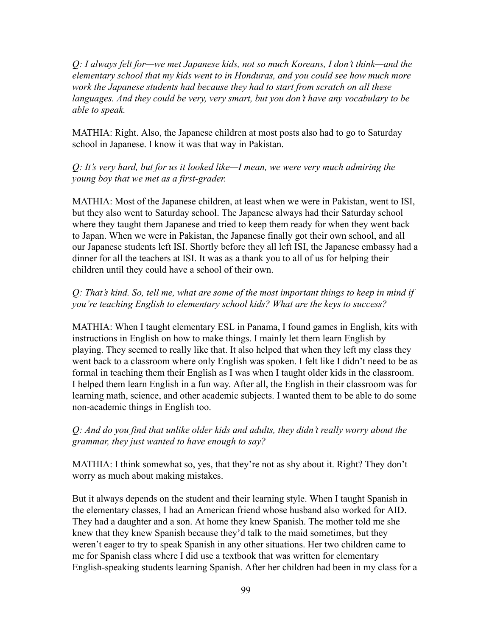*Q: I always felt for—we met Japanese kids, not so much Koreans, I don't think—and the elementary school that my kids went to in Honduras, and you could see how much more work the Japanese students had because they had to start from scratch on all these languages. And they could be very, very smart, but you don't have any vocabulary to be able to speak.*

MATHIA: Right. Also, the Japanese children at most posts also had to go to Saturday school in Japanese. I know it was that way in Pakistan.

*Q: It's very hard, but for us it looked like—I mean, we were very much admiring the young boy that we met as a first-grader.*

MATHIA: Most of the Japanese children, at least when we were in Pakistan, went to ISI, but they also went to Saturday school. The Japanese always had their Saturday school where they taught them Japanese and tried to keep them ready for when they went back to Japan. When we were in Pakistan, the Japanese finally got their own school, and all our Japanese students left ISI. Shortly before they all left ISI, the Japanese embassy had a dinner for all the teachers at ISI. It was as a thank you to all of us for helping their children until they could have a school of their own.

# *Q: That's kind. So, tell me, what are some of the most important things to keep in mind if you're teaching English to elementary school kids? What are the keys to success?*

MATHIA: When I taught elementary ESL in Panama, I found games in English, kits with instructions in English on how to make things. I mainly let them learn English by playing. They seemed to really like that. It also helped that when they left my class they went back to a classroom where only English was spoken. I felt like I didn't need to be as formal in teaching them their English as I was when I taught older kids in the classroom. I helped them learn English in a fun way. After all, the English in their classroom was for learning math, science, and other academic subjects. I wanted them to be able to do some non-academic things in English too.

*Q: And do you find that unlike older kids and adults, they didn't really worry about the grammar, they just wanted to have enough to say?*

MATHIA: I think somewhat so, yes, that they're not as shy about it. Right? They don't worry as much about making mistakes.

But it always depends on the student and their learning style. When I taught Spanish in the elementary classes, I had an American friend whose husband also worked for AID. They had a daughter and a son. At home they knew Spanish. The mother told me she knew that they knew Spanish because they'd talk to the maid sometimes, but they weren't eager to try to speak Spanish in any other situations. Her two children came to me for Spanish class where I did use a textbook that was written for elementary English-speaking students learning Spanish. After her children had been in my class for a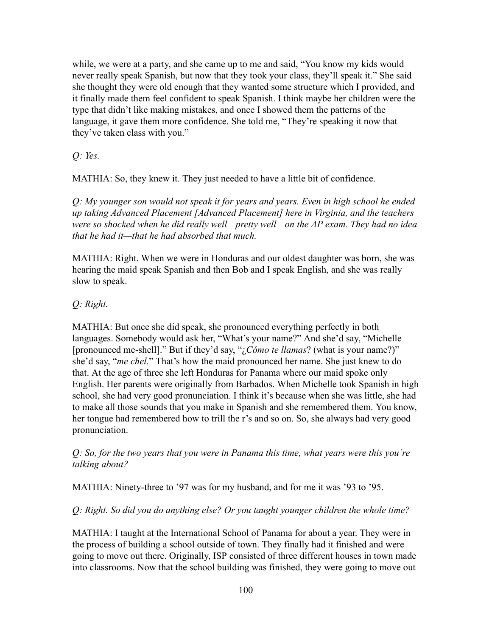while, we were at a party, and she came up to me and said, "You know my kids would never really speak Spanish, but now that they took your class, they'll speak it." She said she thought they were old enough that they wanted some structure which I provided, and it finally made them feel confident to speak Spanish. I think maybe her children were the type that didn't like making mistakes, and once I showed them the patterns of the language, it gave them more confidence. She told me, "They're speaking it now that they've taken class with you."

*Q: Yes.*

MATHIA: So, they knew it. They just needed to have a little bit of confidence.

*Q: My younger son would not speak it for years and years. Even in high school he ended up taking Advanced Placement [Advanced Placement] here in Virginia, and the teachers were so shocked when he did really well—pretty well—on the AP exam. They had no idea that he had it—that he had absorbed that much.*

MATHIA: Right. When we were in Honduras and our oldest daughter was born, she was hearing the maid speak Spanish and then Bob and I speak English, and she was really slow to speak.

*Q: Right.*

MATHIA: But once she did speak, she pronounced everything perfectly in both languages. Somebody would ask her, "What's your name?" And she'd say, "Michelle [pronounced me-shell]." But if they'd say, "¿*Cómo te llamas*? (what is your name?)" she'd say, "*me chel.*" That's how the maid pronounced her name. She just knew to do that. At the age of three she left Honduras for Panama where our maid spoke only English. Her parents were originally from Barbados. When Michelle took Spanish in high school, she had very good pronunciation. I think it's because when she was little, she had to make all those sounds that you make in Spanish and she remembered them. You know, her tongue had remembered how to trill the r's and so on. So, she always had very good pronunciation.

*Q: So, for the two years that you were in Panama this time, what years were this you're talking about?*

MATHIA: Ninety-three to '97 was for my husband, and for me it was '93 to '95.

*Q: Right. So did you do anything else? Or you taught younger children the whole time?*

MATHIA: I taught at the International School of Panama for about a year. They were in the process of building a school outside of town. They finally had it finished and were going to move out there. Originally, ISP consisted of three different houses in town made into classrooms. Now that the school building was finished, they were going to move out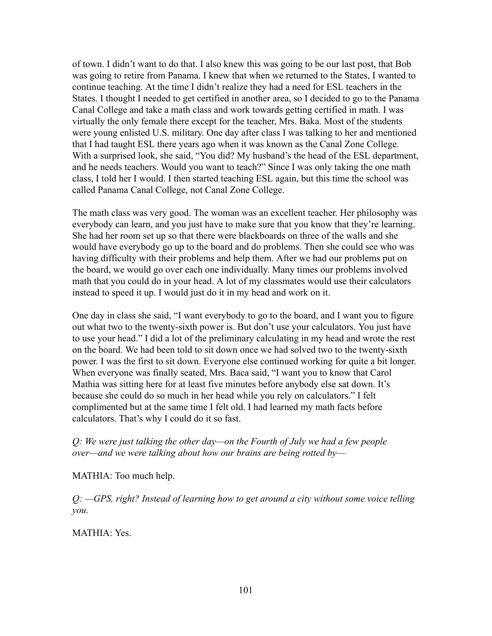of town. I didn't want to do that. I also knew this was going to be our last post, that Bob was going to retire from Panama. I knew that when we returned to the States, I wanted to continue teaching. At the time I didn't realize they had a need for ESL teachers in the States. I thought I needed to get certified in another area, so I decided to go to the Panama Canal College and take a math class and work towards getting certified in math. I was virtually the only female there except for the teacher, Mrs. Baka. Most of the students were young enlisted U.S. military. One day after class I was talking to her and mentioned that I had taught ESL there years ago when it was known as the Canal Zone College. With a surprised look, she said, "You did? My husband's the head of the ESL department, and he needs teachers. Would you want to teach?" Since I was only taking the one math class, I told her I would. I then started teaching ESL again, but this time the school was called Panama Canal College, not Canal Zone College.

The math class was very good. The woman was an excellent teacher. Her philosophy was everybody can learn, and you just have to make sure that you know that they're learning. She had her room set up so that there were blackboards on three of the walls and she would have everybody go up to the board and do problems. Then she could see who was having difficulty with their problems and help them. After we had our problems put on the board, we would go over each one individually. Many times our problems involved math that you could do in your head. A lot of my classmates would use their calculators instead to speed it up. I would just do it in my head and work on it.

One day in class she said, "I want everybody to go to the board, and I want you to figure out what two to the twenty-sixth power is. But don't use your calculators. You just have to use your head." I did a lot of the preliminary calculating in my head and wrote the rest on the board. We had been told to sit down once we had solved two to the twenty-sixth power. I was the first to sit down. Everyone else continued working for quite a bit longer. When everyone was finally seated, Mrs. Baca said, "I want you to know that Carol Mathia was sitting here for at least five minutes before anybody else sat down. It's because she could do so much in her head while you rely on calculators." I felt complimented but at the same time I felt old. I had learned my math facts before calculators. That's why I could do it so fast.

*Q: We were just talking the other day—on the Fourth of July we had a few people over—and we were talking about how our brains are being rotted by—*

MATHIA: Too much help.

*Q: —GPS, right? Instead of learning how to get around a city without some voice telling you.*

MATHIA: Yes.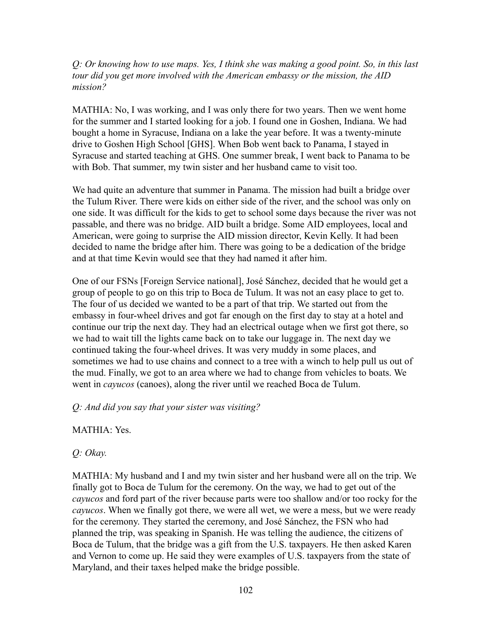*Q: Or knowing how to use maps. Yes, I think she was making a good point. So, in this last tour did you get more involved with the American embassy or the mission, the AID mission?*

MATHIA: No, I was working, and I was only there for two years. Then we went home for the summer and I started looking for a job. I found one in Goshen, Indiana. We had bought a home in Syracuse, Indiana on a lake the year before. It was a twenty-minute drive to Goshen High School [GHS]. When Bob went back to Panama, I stayed in Syracuse and started teaching at GHS. One summer break, I went back to Panama to be with Bob. That summer, my twin sister and her husband came to visit too.

We had quite an adventure that summer in Panama. The mission had built a bridge over the Tulum River. There were kids on either side of the river, and the school was only on one side. It was difficult for the kids to get to school some days because the river was not passable, and there was no bridge. AID built a bridge. Some AID employees, local and American, were going to surprise the AID mission director, Kevin Kelly. It had been decided to name the bridge after him. There was going to be a dedication of the bridge and at that time Kevin would see that they had named it after him.

One of our FSNs [Foreign Service national], José Sánchez, decided that he would get a group of people to go on this trip to Boca de Tulum. It was not an easy place to get to. The four of us decided we wanted to be a part of that trip. We started out from the embassy in four-wheel drives and got far enough on the first day to stay at a hotel and continue our trip the next day. They had an electrical outage when we first got there, so we had to wait till the lights came back on to take our luggage in. The next day we continued taking the four-wheel drives. It was very muddy in some places, and sometimes we had to use chains and connect to a tree with a winch to help pull us out of the mud. Finally, we got to an area where we had to change from vehicles to boats. We went in *cayucos* (canoes), along the river until we reached Boca de Tulum.

*Q: And did you say that your sister was visiting?*

MATHIA: Yes.

*Q: Okay.*

MATHIA: My husband and I and my twin sister and her husband were all on the trip. We finally got to Boca de Tulum for the ceremony. On the way, we had to get out of the *cayucos* and ford part of the river because parts were too shallow and/or too rocky for the *cayucos*. When we finally got there, we were all wet, we were a mess, but we were ready for the ceremony. They started the ceremony, and José Sánchez, the FSN who had planned the trip, was speaking in Spanish. He was telling the audience, the citizens of Boca de Tulum, that the bridge was a gift from the U.S. taxpayers. He then asked Karen and Vernon to come up. He said they were examples of U.S. taxpayers from the state of Maryland, and their taxes helped make the bridge possible.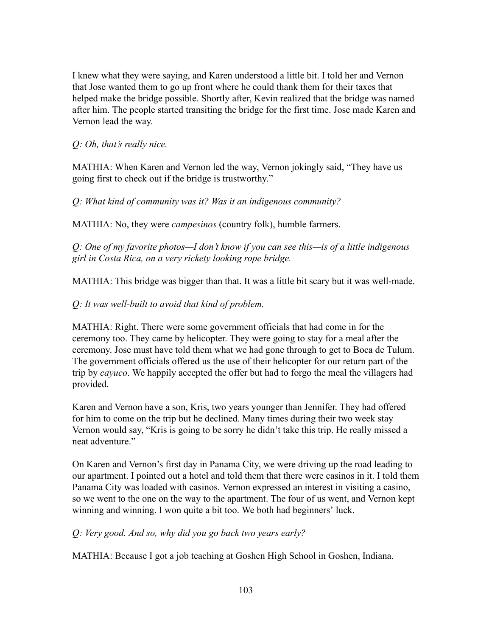I knew what they were saying, and Karen understood a little bit. I told her and Vernon that Jose wanted them to go up front where he could thank them for their taxes that helped make the bridge possible. Shortly after, Kevin realized that the bridge was named after him. The people started transiting the bridge for the first time. Jose made Karen and Vernon lead the way.

*Q: Oh, that's really nice.*

MATHIA: When Karen and Vernon led the way, Vernon jokingly said, "They have us going first to check out if the bridge is trustworthy."

*Q: What kind of community was it? Was it an indigenous community?*

MATHIA: No, they were *campesinos* (country folk), humble farmers.

*Q: One of my favorite photos—I don't know if you can see this—is of a little indigenous girl in Costa Rica, on a very rickety looking rope bridge.*

MATHIA: This bridge was bigger than that. It was a little bit scary but it was well-made.

*Q: It was well-built to avoid that kind of problem.*

MATHIA: Right. There were some government officials that had come in for the ceremony too. They came by helicopter. They were going to stay for a meal after the ceremony. Jose must have told them what we had gone through to get to Boca de Tulum. The government officials offered us the use of their helicopter for our return part of the trip by *cayuco*. We happily accepted the offer but had to forgo the meal the villagers had provided.

Karen and Vernon have a son, Kris, two years younger than Jennifer. They had offered for him to come on the trip but he declined. Many times during their two week stay Vernon would say, "Kris is going to be sorry he didn't take this trip. He really missed a neat adventure."

On Karen and Vernon's first day in Panama City, we were driving up the road leading to our apartment. I pointed out a hotel and told them that there were casinos in it. I told them Panama City was loaded with casinos. Vernon expressed an interest in visiting a casino, so we went to the one on the way to the apartment. The four of us went, and Vernon kept winning and winning. I won quite a bit too. We both had beginners' luck.

*Q: Very good. And so, why did you go back two years early?*

MATHIA: Because I got a job teaching at Goshen High School in Goshen, Indiana.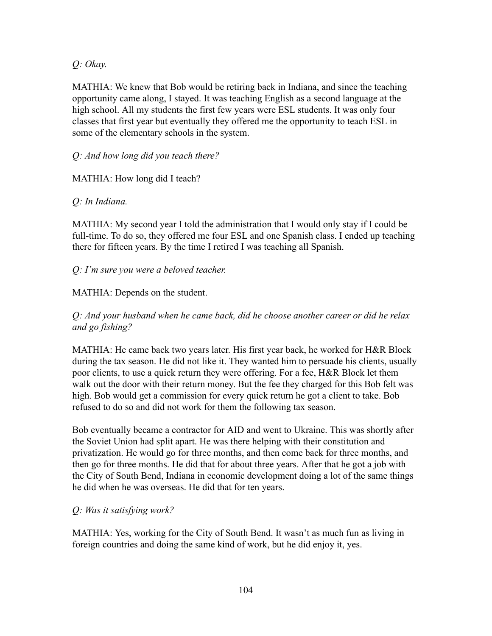*Q: Okay.*

MATHIA: We knew that Bob would be retiring back in Indiana, and since the teaching opportunity came along, I stayed. It was teaching English as a second language at the high school. All my students the first few years were ESL students. It was only four classes that first year but eventually they offered me the opportunity to teach ESL in some of the elementary schools in the system.

# *Q: And how long did you teach there?*

MATHIA: How long did I teach?

# *Q: In Indiana.*

MATHIA: My second year I told the administration that I would only stay if I could be full-time. To do so, they offered me four ESL and one Spanish class. I ended up teaching there for fifteen years. By the time I retired I was teaching all Spanish.

# *Q: I'm sure you were a beloved teacher.*

# MATHIA: Depends on the student.

# *Q: And your husband when he came back, did he choose another career or did he relax and go fishing?*

MATHIA: He came back two years later. His first year back, he worked for H&R Block during the tax season. He did not like it. They wanted him to persuade his clients, usually poor clients, to use a quick return they were offering. For a fee, H&R Block let them walk out the door with their return money. But the fee they charged for this Bob felt was high. Bob would get a commission for every quick return he got a client to take. Bob refused to do so and did not work for them the following tax season.

Bob eventually became a contractor for AID and went to Ukraine. This was shortly after the Soviet Union had split apart. He was there helping with their constitution and privatization. He would go for three months, and then come back for three months, and then go for three months. He did that for about three years. After that he got a job with the City of South Bend, Indiana in economic development doing a lot of the same things he did when he was overseas. He did that for ten years.

# *Q: Was it satisfying work?*

MATHIA: Yes, working for the City of South Bend. It wasn't as much fun as living in foreign countries and doing the same kind of work, but he did enjoy it, yes.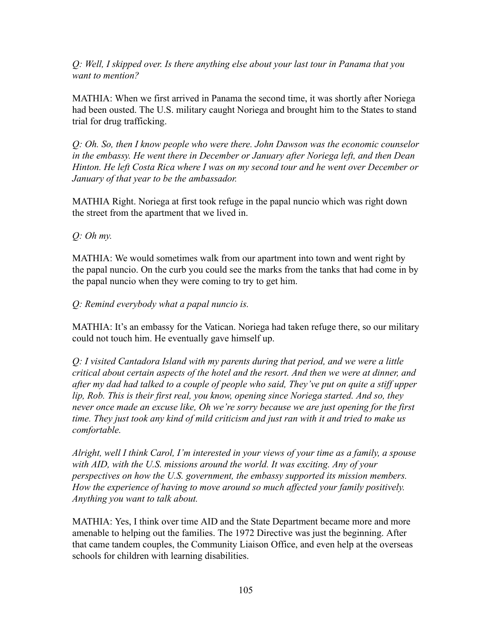*Q: Well, I skipped over. Is there anything else about your last tour in Panama that you want to mention?*

MATHIA: When we first arrived in Panama the second time, it was shortly after Noriega had been ousted. The U.S. military caught Noriega and brought him to the States to stand trial for drug trafficking.

*Q: Oh. So, then I know people who were there. John Dawson was the economic counselor in the embassy. He went there in December or January after Noriega left, and then Dean Hinton. He left Costa Rica where I was on my second tour and he went over December or January of that year to be the ambassador.*

MATHIA Right. Noriega at first took refuge in the papal nuncio which was right down the street from the apartment that we lived in.

*Q: Oh my.*

MATHIA: We would sometimes walk from our apartment into town and went right by the papal nuncio. On the curb you could see the marks from the tanks that had come in by the papal nuncio when they were coming to try to get him.

# *Q: Remind everybody what a papal nuncio is.*

MATHIA: It's an embassy for the Vatican. Noriega had taken refuge there, so our military could not touch him. He eventually gave himself up.

*Q: I visited Cantadora Island with my parents during that period, and we were a little critical about certain aspects of the hotel and the resort. And then we were at dinner, and after my dad had talked to a couple of people who said, They've put on quite a stiff upper lip, Rob. This is their first real, you know, opening since Noriega started. And so, they never once made an excuse like, Oh we're sorry because we are just opening for the first time. They just took any kind of mild criticism and just ran with it and tried to make us comfortable.*

*Alright, well I think Carol, I'm interested in your views of your time as a family, a spouse with AID, with the U.S. missions around the world. It was exciting. Any of your perspectives on how the U.S. government, the embassy supported its mission members. How the experience of having to move around so much affected your family positively. Anything you want to talk about.*

MATHIA: Yes, I think over time AID and the State Department became more and more amenable to helping out the families. The 1972 Directive was just the beginning. After that came tandem couples, the Community Liaison Office, and even help at the overseas schools for children with learning disabilities.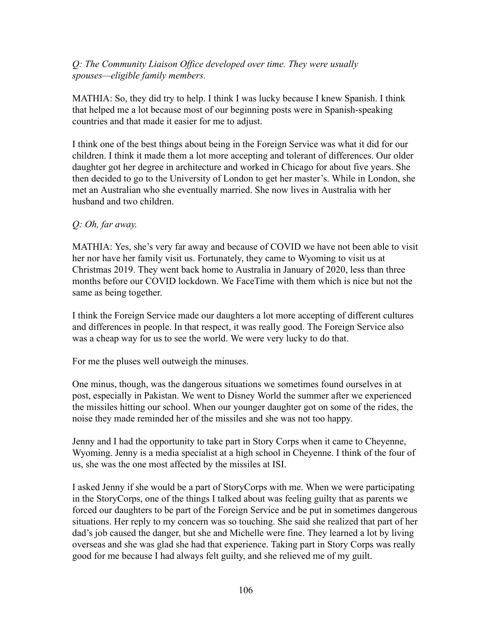# *Q: The Community Liaison Office developed over time. They were usually spouses—eligible family members.*

MATHIA: So, they did try to help. I think I was lucky because I knew Spanish. I think that helped me a lot because most of our beginning posts were in Spanish-speaking countries and that made it easier for me to adjust.

I think one of the best things about being in the Foreign Service was what it did for our children. I think it made them a lot more accepting and tolerant of differences. Our older daughter got her degree in architecture and worked in Chicago for about five years. She then decided to go to the University of London to get her master's. While in London, she met an Australian who she eventually married. She now lives in Australia with her husband and two children.

# *Q: Oh, far away.*

MATHIA: Yes, she's very far away and because of COVID we have not been able to visit her nor have her family visit us. Fortunately, they came to Wyoming to visit us at Christmas 2019. They went back home to Australia in January of 2020, less than three months before our COVID lockdown. We FaceTime with them which is nice but not the same as being together.

I think the Foreign Service made our daughters a lot more accepting of different cultures and differences in people. In that respect, it was really good. The Foreign Service also was a cheap way for us to see the world. We were very lucky to do that.

For me the pluses well outweigh the minuses.

One minus, though, was the dangerous situations we sometimes found ourselves in at post, especially in Pakistan. We went to Disney World the summer after we experienced the missiles hitting our school. When our younger daughter got on some of the rides, the noise they made reminded her of the missiles and she was not too happy.

Jenny and I had the opportunity to take part in Story Corps when it came to Cheyenne, Wyoming. Jenny is a media specialist at a high school in Cheyenne. I think of the four of us, she was the one most affected by the missiles at ISI.

I asked Jenny if she would be a part of StoryCorps with me. When we were participating in the StoryCorps, one of the things I talked about was feeling guilty that as parents we forced our daughters to be part of the Foreign Service and be put in sometimes dangerous situations. Her reply to my concern was so touching. She said she realized that part of her dad's job caused the danger, but she and Michelle were fine. They learned a lot by living overseas and she was glad she had that experience. Taking part in Story Corps was really good for me because I had always felt guilty, and she relieved me of my guilt.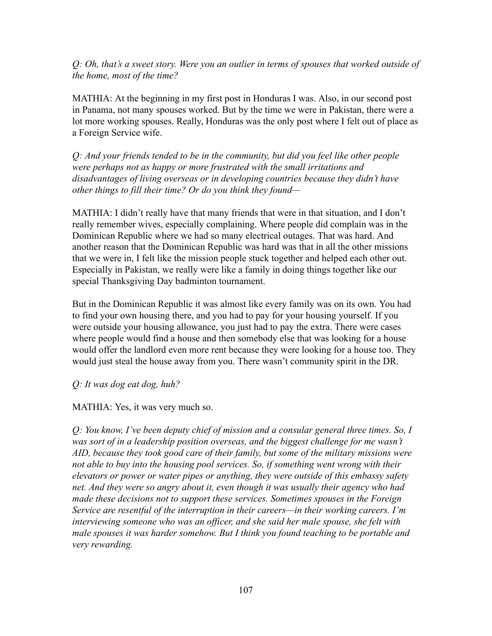*Q: Oh, that's a sweet story. Were you an outlier in terms of spouses that worked outside of the home, most of the time?*

MATHIA: At the beginning in my first post in Honduras I was. Also, in our second post in Panama, not many spouses worked. But by the time we were in Pakistan, there were a lot more working spouses. Really, Honduras was the only post where I felt out of place as a Foreign Service wife.

*Q: And your friends tended to be in the community, but did you feel like other people were perhaps not as happy or more frustrated with the small irritations and disadvantages of living overseas or in developing countries because they didn't have other things to fill their time? Or do you think they found—*

MATHIA: I didn't really have that many friends that were in that situation, and I don't really remember wives, especially complaining. Where people did complain was in the Dominican Republic where we had so many electrical outages. That was hard. And another reason that the Dominican Republic was hard was that in all the other missions that we were in, I felt like the mission people stuck together and helped each other out. Especially in Pakistan, we really were like a family in doing things together like our special Thanksgiving Day badminton tournament.

But in the Dominican Republic it was almost like every family was on its own. You had to find your own housing there, and you had to pay for your housing yourself. If you were outside your housing allowance, you just had to pay the extra. There were cases where people would find a house and then somebody else that was looking for a house would offer the landlord even more rent because they were looking for a house too. They would just steal the house away from you. There wasn't community spirit in the DR.

*Q: It was dog eat dog, huh?*

MATHIA: Yes, it was very much so.

*Q: You know, I've been deputy chief of mission and a consular general three times. So, I was sort of in a leadership position overseas, and the biggest challenge for me wasn't AID, because they took good care of their family, but some of the military missions were not able to buy into the housing pool services. So, if something went wrong with their elevators or power or water pipes or anything, they were outside of this embassy safety net. And they were so angry about it, even though it was usually their agency who had made these decisions not to support these services. Sometimes spouses in the Foreign Service are resentful of the interruption in their careers—in their working careers. I'm interviewing someone who was an officer, and she said her male spouse, she felt with male spouses it was harder somehow. But I think you found teaching to be portable and very rewarding.*